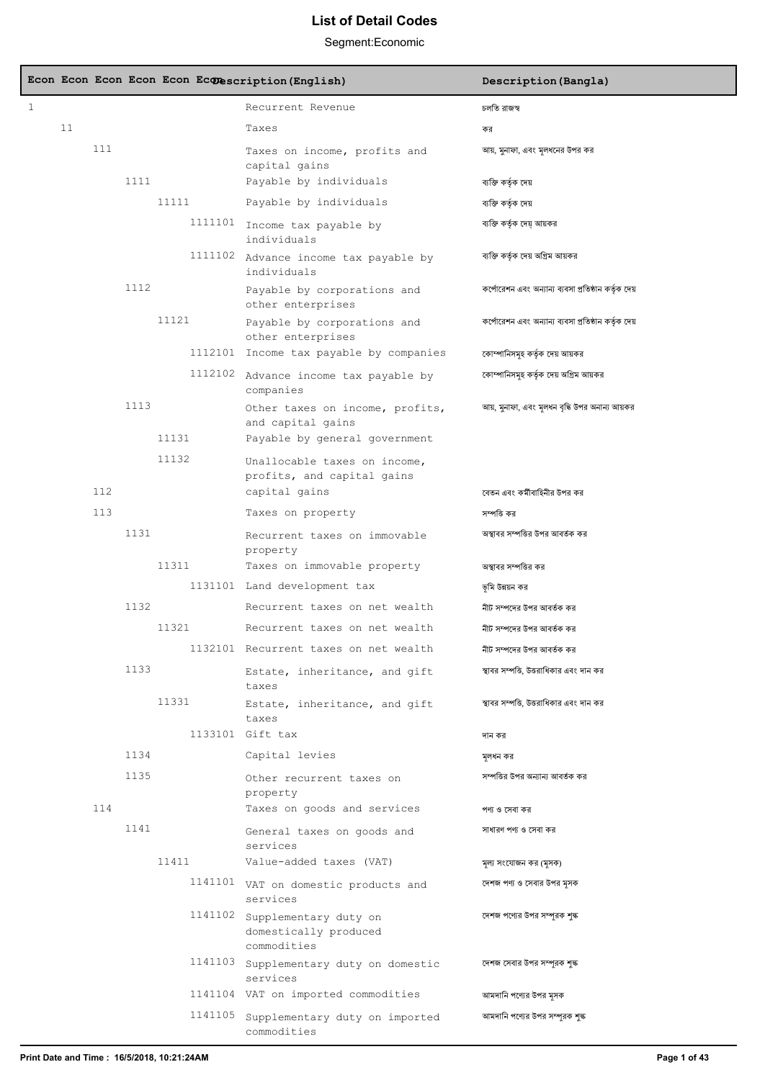|   |    |     |      |         | Econ Econ Econ Econ Econ Econescription (English)                           | Description (Bangla)                                 |
|---|----|-----|------|---------|-----------------------------------------------------------------------------|------------------------------------------------------|
| 1 |    |     |      |         | Recurrent Revenue                                                           | চলতি বাজস্ব                                          |
|   | 11 |     |      |         | Taxes                                                                       | কর                                                   |
|   |    | 111 |      |         | Taxes on income, profits and<br>capital gains                               | আয়, মুনাফা, এবং মূলধনের উপর কর                      |
|   |    |     | 1111 |         | Payable by individuals                                                      | ব্যক্তি কর্তৃক দেয়                                  |
|   |    |     |      | 11111   | Payable by individuals                                                      | ব্যক্তি কৰ্তৃক দেয়                                  |
|   |    |     |      |         | 1111101 Income tax payable by<br>individuals                                | ব্যক্তি কর্তৃক দেয় আয়কর                            |
|   |    |     |      |         | 1111102 Advance income tax payable by<br>individuals                        | ব্যক্তি কর্তৃক দেয় অগ্রিম আয়কর                     |
|   |    |     | 1112 |         | Payable by corporations and<br>other enterprises                            | কর্পোরেশন এবং অন্যান্য ব্যবসা প্রতিষ্ঠান কর্তৃক দেয় |
|   |    |     |      | 11121   | Payable by corporations and<br>other enterprises                            | কর্পোরেশন এবং অন্যান্য ব্যবসা প্রতিষ্ঠান কর্তৃক দেয় |
|   |    |     |      |         | 1112101 Income tax payable by companies                                     | কোম্পানিসমূহ কর্তৃক দেয় আয়কর                       |
|   |    |     |      | 1112102 | Advance income tax payable by<br>companies                                  | কোম্পানিসমূহ কর্তৃক দেয় অগ্রিম আয়কর                |
|   |    |     | 1113 | 11131   | Other taxes on income, profits,<br>and capital gains                        | আয়, মুনাফা, এবং মূলধন বৃদ্ধি উপর অনান্য আয়কর       |
|   |    |     |      | 11132   | Payable by general government                                               |                                                      |
|   |    | 112 |      |         | Unallocable taxes on income,<br>profits, and capital gains<br>capital gains | বেতন এবং কর্মীবাহিনীর উপর কর                         |
|   |    | 113 |      |         | Taxes on property                                                           | সম্পত্তি কর                                          |
|   |    |     | 1131 |         |                                                                             |                                                      |
|   |    |     |      |         | Recurrent taxes on immovable<br>property                                    | অস্থাবর সম্পত্তির উপর আবর্তক কর                      |
|   |    |     |      | 11311   | Taxes on immovable property                                                 | অস্থাবর সম্পত্তির কর                                 |
|   |    |     |      |         | 1131101 Land development tax                                                | ভূমি উন্নয়ন কর                                      |
|   |    |     | 1132 |         | Recurrent taxes on net wealth                                               | নীট সম্পদের উপর আবর্তক কর                            |
|   |    |     |      | 11321   | Recurrent taxes on net wealth                                               | নীট সম্পদের উপর আবর্তক কর                            |
|   |    |     |      |         | 1132101 Recurrent taxes on net wealth                                       | নীট সম্পদের উপর আবর্তক কর                            |
|   |    |     | 1133 |         | Estate, inheritance, and gift<br>taxes                                      | স্থাবর সম্পত্তি, উত্তরাধিকার এবং দান কর              |
|   |    |     |      | 11331   | Estate, inheritance, and gift<br>taxes                                      | স্থাবর সম্পত্তি, উত্তরাধিকার এবং দান কর              |
|   |    |     |      |         | 1133101 Gift tax                                                            | দান কর                                               |
|   |    |     | 1134 |         | Capital levies                                                              | মূলধন কর                                             |
|   |    |     | 1135 |         | Other recurrent taxes on<br>property                                        | সম্পত্তির উপর অন্যান্য আবর্তক কর                     |
|   |    | 114 |      |         | Taxes on goods and services                                                 | পণ্য ও সেবা কর                                       |
|   |    |     | 1141 |         | General taxes on goods and<br>services                                      | সাধারণ পণ্য ও সেবা কর                                |
|   |    |     |      | 11411   | Value-added taxes (VAT)                                                     | মূল্য সংযোজন কর (মৃসক)                               |
|   |    |     |      |         | 1141101 VAT on domestic products and<br>services                            | দেশজ পণ্য ও সেবার উপর মৃসক                           |
|   |    |     |      |         | 1141102 Supplementary duty on<br>domestically produced<br>commodities       | দেশজ পণ্যের উপর সম্পূরক শুল্ক                        |
|   |    |     |      | 1141103 | Supplementary duty on domestic<br>services                                  | দেশজ সেবার উপর সম্পূরক শুল্ক                         |
|   |    |     |      |         | 1141104 VAT on imported commodities                                         | আমদানি পণ্যের উপর মুসক                               |
|   |    |     |      | 1141105 | Supplementary duty on imported<br>commodities                               | আমদানি পণ্যের উপর সম্পূরক শুল্ক                      |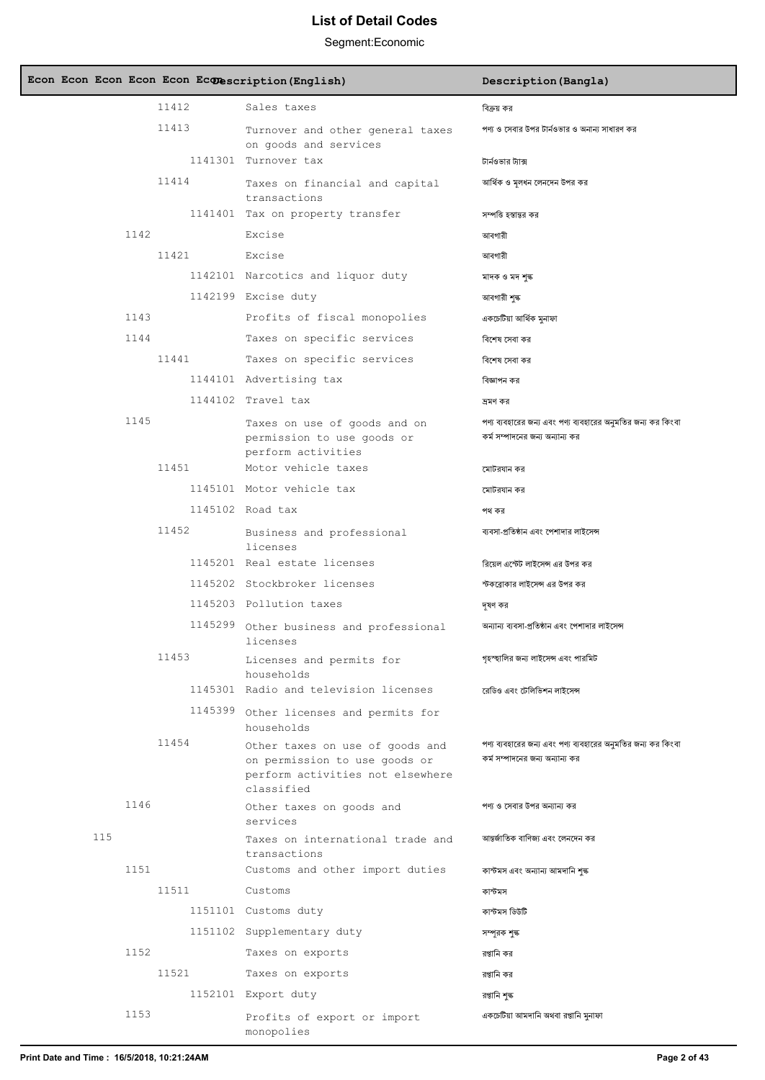| Econ Econ Econ Econ Econ Econescription (English) |                                                                                                                    | Description (Bangla)                                                                            |
|---------------------------------------------------|--------------------------------------------------------------------------------------------------------------------|-------------------------------------------------------------------------------------------------|
| 11412                                             | Sales taxes                                                                                                        | বিক্রয় কর                                                                                      |
| 11413                                             | Turnover and other general taxes<br>on goods and services                                                          | পণ্য ও সেবার উপর টার্নওভার ও অনান্য সাধারণ কর                                                   |
|                                                   | 1141301 Turnover tax                                                                                               | টার্নওভার ট্যাক্স                                                                               |
| 11414                                             | Taxes on financial and capital<br>transactions                                                                     | আর্থিক ও মূলধন লেনদেন উপর কর                                                                    |
|                                                   | 1141401 Tax on property transfer                                                                                   | সম্পত্তি হস্তান্তর কর                                                                           |
| 1142                                              | Excise                                                                                                             | আবগারী                                                                                          |
| 11421                                             | Excise                                                                                                             | আবগারী                                                                                          |
|                                                   | 1142101 Narcotics and liquor duty                                                                                  | মাদক ও মদ শুল্ক                                                                                 |
|                                                   | 1142199 Excise duty                                                                                                | আবগারী শঙ্ক                                                                                     |
| 1143                                              | Profits of fiscal monopolies                                                                                       | একচেটিয়া আৰ্থিক মুনাফা                                                                         |
| 1144                                              | Taxes on specific services                                                                                         | বিশেষ সেবা কর                                                                                   |
| 11441                                             | Taxes on specific services                                                                                         | বিশেষ সেবা কর                                                                                   |
|                                                   | 1144101 Advertising tax                                                                                            | বিজ্ঞাপন কর                                                                                     |
|                                                   | 1144102 Travel tax                                                                                                 | ভ্ৰমণ কৰ                                                                                        |
| 1145                                              | Taxes on use of goods and on<br>permission to use goods or<br>perform activities                                   | পণ্য ব্যবহারের জন্য এবং পণ্য ব্যবহারের অনুমতির জন্য কর কিংবা<br>কর্ম সম্পাদনের জন্য অন্যান্য কর |
| 11451                                             | Motor vehicle taxes                                                                                                | মোটরযান কর                                                                                      |
|                                                   | 1145101 Motor vehicle tax                                                                                          | মোটরযান কর                                                                                      |
|                                                   | 1145102 Road tax                                                                                                   | পথ কর                                                                                           |
| 11452                                             | Business and professional<br>licenses                                                                              | ব্যবসা-প্রতিষ্ঠান এবং পেশাদার লাইসেন্স                                                          |
|                                                   | 1145201 Real estate licenses                                                                                       | রিয়েল এস্টেট লাইসেন্স এর উপর কর                                                                |
|                                                   | 1145202 Stockbroker licenses                                                                                       | স্টকব্রোকার লাইসেন্স এর উপর কর                                                                  |
|                                                   | 1145203 Pollution taxes                                                                                            | দূষণ কর                                                                                         |
|                                                   | 1145299 Other business and professional<br>licenses                                                                | অন্যান্য ব্যবসা-প্রতিষ্ঠান এবং পেশাদার লাইসেন্স                                                 |
| 11453                                             | Licenses and permits for<br>households                                                                             | গৃহস্হালির জন্য লাইসেন্স এবং পারমিট                                                             |
|                                                   | 1145301 Radio and television licenses                                                                              | রেডিও এবং টেলিভিশন লাইসেন্স                                                                     |
|                                                   | 1145399 Other licenses and permits for<br>households                                                               |                                                                                                 |
| 11454                                             | Other taxes on use of goods and<br>on permission to use goods or<br>perform activities not elsewhere<br>classified | পণ্য ব্যবহারের জন্য এবং পণ্য ব্যবহারের অনুমতির জন্য কর কিংবা<br>কর্ম সম্পাদনের জন্য অন্যান্য কর |
| 1146                                              | Other taxes on goods and<br>services                                                                               | পণ্য ও সেবার উপর অন্যান্য কর                                                                    |
| 115                                               | Taxes on international trade and<br>transactions                                                                   | আন্তর্জাতিক বাণিজ্য এবং লেনদেন কর                                                               |
| 1151                                              | Customs and other import duties                                                                                    | কাস্টমস এবং অন্যান্য আমদানি শুল্ক                                                               |
| 11511                                             | Customs                                                                                                            | কাস্টমস                                                                                         |
|                                                   | 1151101 Customs duty                                                                                               | কাস্টমস ডিউটি                                                                                   |
|                                                   | 1151102 Supplementary duty                                                                                         | সম্পূরক শৃঙ্ক                                                                                   |
| 1152                                              | Taxes on exports                                                                                                   | রপ্তানি কর                                                                                      |
| 11521                                             | Taxes on exports                                                                                                   | রপ্তানি কর                                                                                      |
|                                                   | 1152101 Export duty                                                                                                | বপ্তানি শুল্ক                                                                                   |
| 1153                                              | Profits of export or import<br>monopolies                                                                          | একচেটিয়া আমদানি অথবা রপ্তানি মুনাফা                                                            |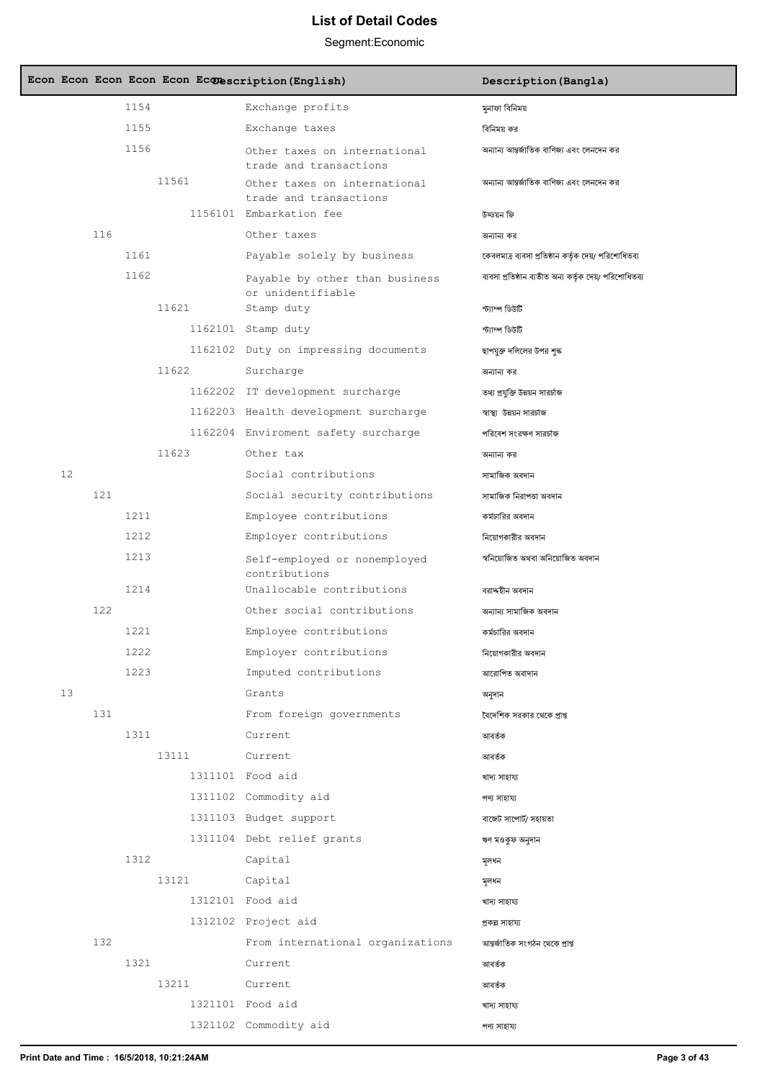|    |     |      |       | Econ Econ Econ Econ Econ Econescription (English)                          | Description (Bangla)                                   |
|----|-----|------|-------|----------------------------------------------------------------------------|--------------------------------------------------------|
|    |     | 1154 |       | Exchange profits                                                           | মুনাফা বিনিময়                                         |
|    |     | 1155 |       | Exchange taxes                                                             | বিনিময় কর                                             |
|    |     | 1156 |       | Other taxes on international<br>trade and transactions                     | অন্যান্য আন্তর্জাতিক বাণিজ্য এবং লেনদেন কর             |
|    |     |      | 11561 | Other taxes on international<br>trade and transactions                     | অন্যান্য আন্তর্জাতিক বাণিজ্য এবং লেনদেন কর             |
|    |     |      |       | 1156101 Embarkation fee                                                    | উড্ডয়ন ফি                                             |
|    | 116 |      |       | Other taxes                                                                | অন্যান্য কর                                            |
|    |     | 1161 |       | Payable solely by business                                                 | কেবলমাত্র ব্যবসা প্রতিষ্ঠান কর্তৃক দেয়/ পরিশোধিতব্য   |
|    |     | 1162 |       | Payable by other than business<br>or unidentifiable                        | ব্যবসা প্রতিষ্ঠান ব্যতীত অন্য কর্তৃক দেয়/ পরিশোধিতব্য |
|    |     |      | 11621 | Stamp duty                                                                 | ৰীৰ্ততী ক্ষাৰ্ফে                                       |
|    |     |      |       | 1162101 Stamp duty                                                         | ৰ্বীৰ্টভী ম্পাৰ্কে                                     |
|    |     |      |       | 1162102 Duty on impressing documents                                       | ছাপযুক্ত দলিলের উপর শৃঙ্ক                              |
|    |     |      | 11622 | Surcharge                                                                  | অন্যান্য কর                                            |
|    |     |      |       | 1162202 IT development surcharge                                           | তথ্য প্রযুক্তি উন্নয়ন সারর্চাজ                        |
|    |     |      |       | 1162203 Health development surcharge                                       | স্বাস্থ্য উন্নয়ন সারচাজ                               |
|    |     |      |       | 1162204 Enviroment safety surcharge                                        | পরিবেশ সংরক্ষণ সারর্চাজ                                |
| 12 |     |      | 11623 | Other tax<br>Social contributions                                          | অন্যান্য কর                                            |
|    | 121 |      |       |                                                                            | সামাজিক অবদান                                          |
|    |     | 1211 |       | Social security contributions<br>Employee contributions                    | সামাজিক নিরাপতা অবদান<br>কর্মচারির অবদান               |
|    |     | 1212 |       | Employer contributions                                                     | নিয়োগকারীর অবদান                                      |
|    |     | 1213 |       |                                                                            | স্বনিয়োজিত অথবা অনিয়োজিত অবদান                       |
|    |     | 1214 |       | Self-employed or nonemployed<br>contributions<br>Unallocable contributions | বরাদ্দহীন অবদান                                        |
|    | 122 |      |       | Other social contributions                                                 | অন্যান্য সামাজিক অবদান                                 |
|    |     | 1221 |       | Employee contributions                                                     | কর্মচারির অবদান                                        |
|    |     | 1222 |       | Employer contributions                                                     | নিয়োগকারীর অবদান                                      |
|    |     | 1223 |       | Imputed contributions                                                      | আরোপিত অবাদান                                          |
| 13 |     |      |       | Grants                                                                     | অনুদান                                                 |
|    | 131 |      |       | From foreign governments                                                   | বৈদেশিক সরকার থেকে প্রাপ্ত                             |
|    |     | 1311 |       | Current                                                                    | আবৰ্তক                                                 |
|    |     |      | 13111 | Current                                                                    | আবৰ্তক                                                 |
|    |     |      |       | 1311101 Food aid                                                           | খাদ্য সাহায্য                                          |
|    |     |      |       | 1311102 Commodity aid                                                      | পণ্য সাহায্য                                           |
|    |     |      |       | 1311103 Budget support                                                     | বাজেট সাপোর্ট/ সহায়তা                                 |
|    |     |      |       | 1311104 Debt relief grants                                                 | ঋণ মওকুফ অনুদান                                        |
|    |     | 1312 |       | Capital                                                                    | মূলধন                                                  |
|    |     |      | 13121 | Capital                                                                    | মূলধন                                                  |
|    |     |      |       | 1312101 Food aid                                                           | খাদ্য সাহায্য                                          |
|    |     |      |       | 1312102 Project aid                                                        | প্ৰকল্প সাহায্য                                        |
|    | 132 |      |       | From international organizations                                           | আন্তর্জাতিক সংগঠন থেকে প্রাপ্ত                         |
|    |     | 1321 |       | Current                                                                    | আবৰ্তক                                                 |
|    |     |      | 13211 | Current                                                                    | আবৰ্তক                                                 |
|    |     |      |       | 1321101 Food aid                                                           | খাদ্য সাহায্য                                          |
|    |     |      |       | 1321102 Commodity aid                                                      | পণ্য সাহায্য                                           |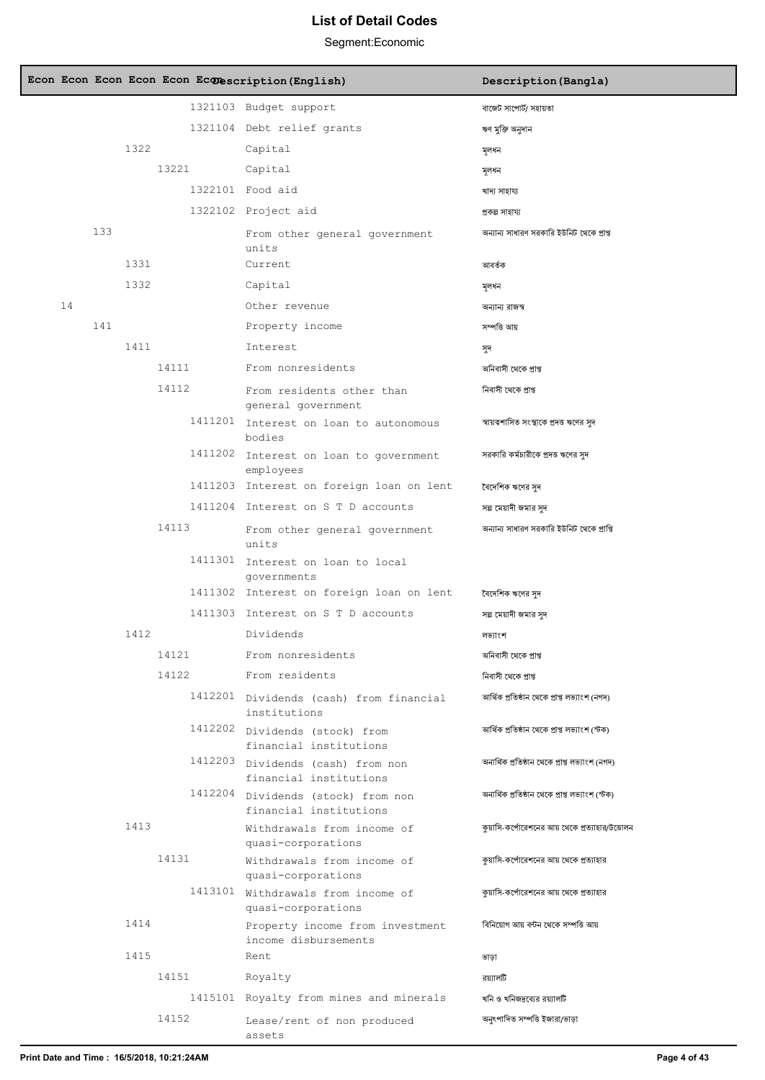|    |     |      |       | Econ Econ Econ Econ Econ Econ extription (English)           | Description (Bangla)                            |
|----|-----|------|-------|--------------------------------------------------------------|-------------------------------------------------|
|    |     |      |       | 1321103 Budget support                                       | বাজেট সাপোর্ট/ সহায়তা                          |
|    |     |      |       | 1321104 Debt relief grants                                   | ঋণ মুক্তি অনুদান                                |
|    |     | 1322 |       | Capital                                                      | সুলধন                                           |
|    |     |      | 13221 | Capital                                                      | মূলধন                                           |
|    |     |      |       | 1322101 Food aid                                             | খাদ্য সাহায্য                                   |
|    |     |      |       | 1322102 Project aid                                          | প্ৰকল্প সাহায্য                                 |
|    | 133 |      |       | From other general government<br>units                       | অন্যান্য সাধারণ সরকারি ইউনিট থেকে প্রাপ্ত       |
|    |     | 1331 |       | Current                                                      | আবৰ্তক                                          |
| 14 |     | 1332 |       | Capital<br>Other revenue                                     | মূলধন                                           |
|    | 141 |      |       | Property income                                              | অন্যান্য রাজস্ব<br>সম্পত্তি আয়                 |
|    |     | 1411 |       | Interest                                                     |                                                 |
|    |     |      | 14111 | From nonresidents                                            | সুদ<br>অনিবাসী থেকে প্ৰাপ্ত                     |
|    |     |      | 14112 | From residents other than                                    | নিবাসী থেকে প্রাপ্ত                             |
|    |     |      |       | general government                                           |                                                 |
|    |     |      |       | 1411201 Interest on loan to autonomous<br>bodies             | স্বায়ত্বশাসিত সংস্থাকে প্রদত্ত ঋণের সুদ        |
|    |     |      |       | 1411202 Interest on loan to government<br>employees          | সরকারি কর্মচারীকে প্রদত্ত ঋণের সুদ              |
|    |     |      |       | 1411203 Interest on foreign loan on lent                     | বৈদেশিক ঋণের সদ                                 |
|    |     |      |       | 1411204 Interest on S T D accounts                           | সল্প মেয়াদী জমার সুদ                           |
|    |     |      | 14113 | From other general government<br>units                       | অন্যান্য সাধারণ সরকারি ইউনিট থেকে প্রাপ্তি      |
|    |     |      |       | 1411301 Interest on loan to local<br>qovernments             |                                                 |
|    |     |      |       | 1411302 Interest on foreign loan on lent                     | বৈদেশিক ঋণের সুদ                                |
|    |     |      |       | 1411303 Interest on S T D accounts                           | সল্প মেয়াদী জমার সুদ                           |
|    |     | 1412 |       | Dividends                                                    | লভ্যাংশ                                         |
|    |     |      | 14121 | From nonresidents                                            | অনিবাসী থেকে প্রাপ্ত                            |
|    |     |      | 14122 | From residents                                               | নিবাসী থেকে প্রাপ্ত                             |
|    |     |      |       | 1412201 Dividends (cash) from financial<br>institutions      | আৰ্থিক প্ৰতিষ্ঠান থেকে প্ৰাপ্ত লভ্যাংশ (নগদ)    |
|    |     |      |       | 1412202 Dividends (stock) from<br>financial institutions     | আৰ্থিক প্ৰতিষ্ঠান থেকে প্ৰাপ্ত লভ্যাংশ (স্টক)   |
|    |     |      |       | 1412203 Dividends (cash) from non<br>financial institutions  | অনাৰ্থিক প্ৰতিষ্ঠান থেকে প্ৰাপ্ত লভ্যাংশ (নগদ)  |
|    |     |      |       | 1412204 Dividends (stock) from non<br>financial institutions | অনাৰ্থিক প্ৰতিষ্ঠান থেকে প্ৰাপ্ত লভ্যাংশ (স্টক) |
|    |     | 1413 |       | Withdrawals from income of<br>quasi-corporations             | কুয়াসি-কর্পোরেশনের আয় থেকে প্রত্যাহার/উত্তোলন |
|    |     |      | 14131 | Withdrawals from income of<br>quasi-corporations             | কুয়াসি-কর্পোরেশনের আয় থেকে প্রত্যাহার         |
|    |     |      |       | 1413101 Withdrawals from income of<br>quasi-corporations     | কুয়াসি-কর্পোরেশনের আয় থেকে প্রত্যাহার         |
|    |     | 1414 |       | Property income from investment<br>income disbursements      | বিনিয়োগ আয় বন্টন থেকে সম্পত্তি আয়            |
|    |     | 1415 |       | Rent                                                         | ভাড়া                                           |
|    |     |      | 14151 | Royalty                                                      | রয্যালটি                                        |
|    |     |      |       | 1415101 Royalty from mines and minerals                      | খনি ও খনিজদ্রব্যের রয়্যালটি                    |
|    |     |      | 14152 | Lease/rent of non produced<br>assets                         | অনুৎপাদিত সম্পত্তি ইজারা/ভাড়া                  |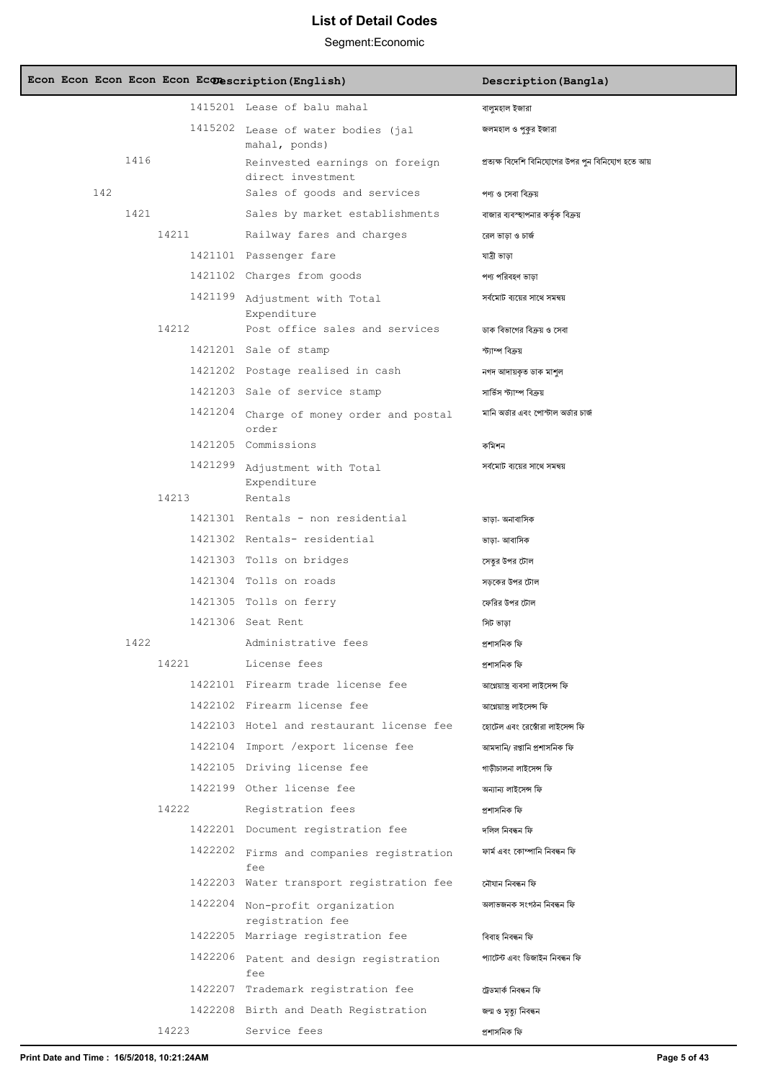|  |     |      |       | Econ Econ Econ Econ Econ Econ extention (English)   | Description (Bangla)                                   |
|--|-----|------|-------|-----------------------------------------------------|--------------------------------------------------------|
|  |     |      |       | 1415201 Lease of balu mahal                         | বালুমহাল ইজারা                                         |
|  |     |      |       | 1415202 Lease of water bodies (jal<br>mahal, ponds) | জলমহাল ও পুকুর ইজারা                                   |
|  |     | 1416 |       | Reinvested earnings on foreign<br>direct investment | প্রত্যক্ষ বিদেশি বিনিযোগের উপর পুন বিনিযোগ হতে আয়     |
|  | 142 |      |       | Sales of goods and services                         | পণ্য ও সেবা বিক্রয়                                    |
|  |     | 1421 |       | Sales by market establishments                      | বাজার ব্যবস্হাপনার কর্তৃক বিক্রয়                      |
|  |     |      | 14211 | Railway fares and charges                           | রেল ভাড়া ও চার্জ                                      |
|  |     |      |       | 1421101 Passenger fare                              | যাত্ৰী ভাড়া                                           |
|  |     |      |       | 1421102 Charges from goods                          | পণ্য পরিবহণ ভাড়া                                      |
|  |     |      |       | 1421199 Adjustment with Total<br>Expenditure        | সৰ্বমোট ব্যয়ের সাথে সমন্বয়                           |
|  |     |      | 14212 | Post office sales and services                      | ডাক বিভাগের বিক্রয় ও সেবা                             |
|  |     |      |       | 1421201 Sale of stamp                               | স্ট্যাম্প বিক্ৰয়                                      |
|  |     |      |       | 1421202 Postage realised in cash                    | নগদ আদায়কৃত ডাক মাশুল                                 |
|  |     |      |       | 1421203 Sale of service stamp                       | সার্ভিস স্ট্যাম্প বিক্রয়                              |
|  |     |      |       | 1421204 Charge of money order and postal            | মানি অর্ডার এবং পোস্টাল অর্ডার চার্জ                   |
|  |     |      |       | order<br>1421205 Commissions                        | কমিশন                                                  |
|  |     |      |       | 1421299 Adjustment with Total<br>Expenditure        | সৰ্বমোট ব্যয়ের সাথে সমন্বয়                           |
|  |     |      | 14213 | Rentals                                             |                                                        |
|  |     |      |       | 1421301 Rentals - non residential                   | ভাড়া- অনাবাসিক                                        |
|  |     |      |       | 1421302 Rentals- residential                        | ভাড়া- আবাসিক                                          |
|  |     |      |       | 1421303 Tolls on bridges                            | সেতুর উপর টোল                                          |
|  |     |      |       | 1421304 Tolls on roads                              | সড়কের উপর টোল                                         |
|  |     |      |       | 1421305 Tolls on ferry                              | ফেরির উপর টোল                                          |
|  |     |      |       | 1421306 Seat Rent<br>Administrative fees            | সিট ভাড়া                                              |
|  |     | 1422 | 14221 | License fees                                        | প্ৰশাসনিক ফি                                           |
|  |     |      |       | 1422101 Firearm trade license fee                   | প্ৰশাসনিক ফি                                           |
|  |     |      |       | 1422102 Firearm license fee                         | আগ্নেয়াস্ত্ৰ ব্যবসা লাইসেন্স ফি                       |
|  |     |      |       | 1422103 Hotel and restaurant license fee            | আগ্নেয়ান্ত্ৰ লাইসেন্স ফি                              |
|  |     |      |       | 1422104 Import /export license fee                  | হোটেল এবং রেঙোঁরা লাইসেন্স ফি                          |
|  |     |      |       | 1422105 Driving license fee                         | আমদানি/ রপ্তানি প্রশাসনিক ফি<br>গাড়ীচালনা লাইসেন্স ফি |
|  |     |      |       | 1422199 Other license fee                           | অন্যান্য লাইসেন্স ফি                                   |
|  |     |      | 14222 | Registration fees                                   | প্ৰশাসনিক ফি                                           |
|  |     |      |       | 1422201 Document registration fee                   | দলিল নিবন্ধন ফি                                        |
|  |     |      |       | 1422202 Firms and companies registration            | ফাৰ্ম এবং কোম্পানি নিবন্ধন ফি                          |
|  |     |      |       | fee                                                 |                                                        |
|  |     |      |       | 1422203 Water transport registration fee            | নৌযান নিবন্ধন ফি                                       |
|  |     |      |       | 1422204 Non-profit organization<br>registration fee | অলাভজনক সংগঠন নিবন্ধন ফি                               |
|  |     |      |       | 1422205 Marriage registration fee                   | বিবাহ নিবন্ধন ফি                                       |
|  |     |      |       | 1422206 Patent and design registration<br>fee       | প্যাটেন্ট এবং ডিজাইন নিবন্ধন ফি                        |
|  |     |      |       | 1422207 Trademark registration fee                  | ট্ৰেডমাৰ্ক নিবন্ধন ফি                                  |
|  |     |      |       | 1422208 Birth and Death Registration                | জন্ম ও মৃত্যু নিবন্ধন                                  |
|  |     |      | 14223 | Service fees                                        | প্ৰশাসনিক ফি                                           |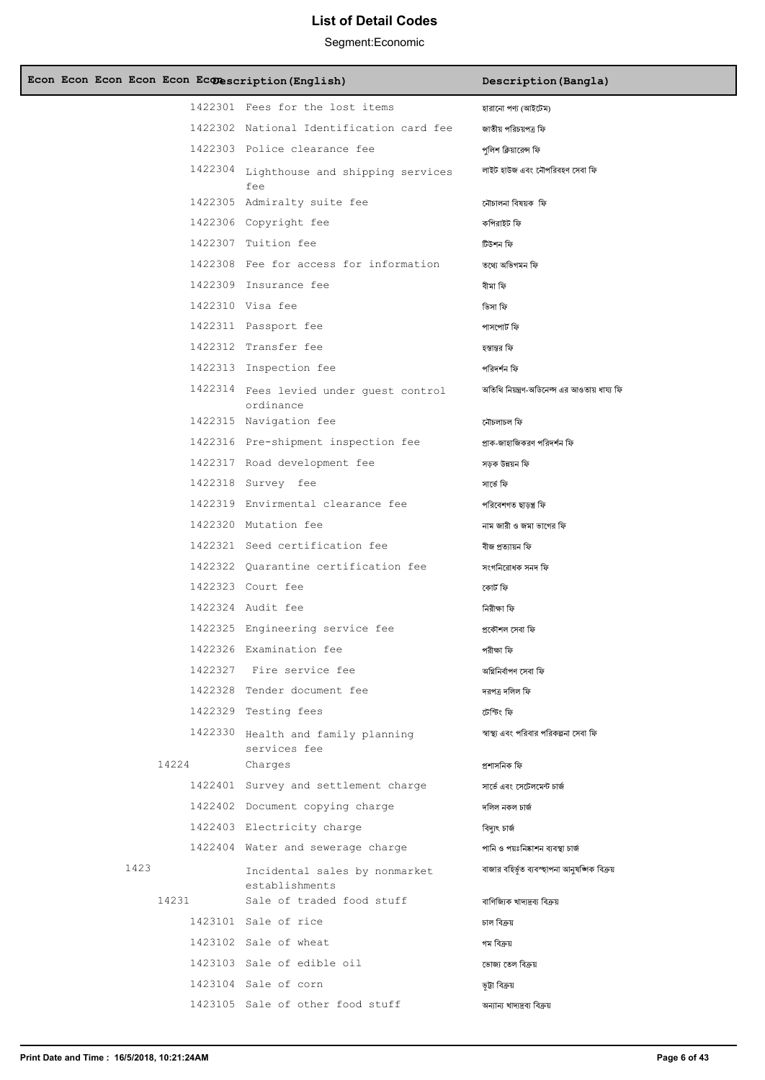| Econ Econ Econ Econ Econ Econescription (English) |                                                      | Description (Bangla)                         |
|---------------------------------------------------|------------------------------------------------------|----------------------------------------------|
|                                                   | 1422301 Fees for the lost items                      | হারানো পণ্য (আইটেম)                          |
|                                                   | 1422302 National Identification card fee             | জাতীয় পরিচয়পত্র ফি                         |
|                                                   | 1422303 Police clearance fee                         | পলিশ ক্লিয়ারেন্স ফি                         |
|                                                   | 1422304 Lighthouse and shipping services<br>fee      | লাইট হাউজ এবং নৌপরিবহণ সেবা ফি               |
|                                                   | 1422305 Admiralty suite fee                          | নৌচালনা বিষয়ক ফি                            |
|                                                   | 1422306 Copyright fee                                | কপিরাইট ফি                                   |
|                                                   | 1422307 Tuition fee                                  | টিউশন ফি                                     |
|                                                   | 1422308 Fee for access for information               | তথ্যে অভিগমন ফি                              |
|                                                   | 1422309 Insurance fee                                | বীমা ফি                                      |
|                                                   | 1422310 Visa fee                                     | তিসা ফি                                      |
|                                                   | 1422311 Passport fee                                 | পাসপোর্ট ফি                                  |
|                                                   | 1422312 Transfer fee                                 | হস্তান্তর ফি                                 |
|                                                   | 1422313 Inspection fee                               | পরিদর্শন ফি                                  |
|                                                   | 1422314 Fees levied under guest control<br>ordinance | অতিথি নিয়ন্ত্রণ-অডিনেল্স এর আওতায় ধায্য ফি |
|                                                   | 1422315 Navigation fee                               | নৌচলাচল ফি                                   |
|                                                   | 1422316 Pre-shipment inspection fee                  | প্রাক-জাহাজিকরণ পরিদর্শন ফি                  |
|                                                   | 1422317 Road development fee                         | সড়ক উন্নয়ন ফি                              |
|                                                   | 1422318 Survey fee                                   | সাৰ্ভে ফি                                    |
|                                                   | 1422319 Envirmental clearance fee                    | পরিবেশগত ছাড়প্ত্র ফি                        |
|                                                   | 1422320 Mutation fee                                 | নাম জারী ও জমা ভাগের ফি                      |
|                                                   | 1422321 Seed certification fee                       | বীজ প্ৰত্যায়ন ফি                            |
|                                                   | 1422322 Ouarantine certification fee                 | সংগনিরোধক সনদ ফি                             |
|                                                   | 1422323 Court fee                                    | কোৰ্ট ফি                                     |
|                                                   | 1422324 Audit fee                                    | নিরীক্ষা ফি                                  |
|                                                   | 1422325 Engineering service fee                      | প্ৰকৌশল সেবা ফি                              |
|                                                   | 1422326 Examination fee                              | পরীক্ষা ফি                                   |
|                                                   | 1422327 Fire service fee                             | অগ্নিনিৰ্বাপণ সেবা ফি                        |
|                                                   | 1422328 Tender document fee                          | দরপত্র দলিল ফি                               |
|                                                   | 1422329 Testing fees                                 | টেস্টিং ফি                                   |
|                                                   | 1422330 Health and family planning<br>services fee   | স্বাস্থ্য এবং পরিবার পরিকল্পনা সেবা ফি       |
| 14224                                             | Charges                                              | প্ৰশাসনিক ফি                                 |
|                                                   | 1422401 Survey and settlement charge                 | সার্ভে এবং সেটেলমেন্ট চার্জ                  |
|                                                   | 1422402 Document copying charge                      | দলিল নকল চাৰ্জ                               |
|                                                   | 1422403 Electricity charge                           | বিদ্যুৎ চাৰ্জ                                |
|                                                   | 1422404 Water and sewerage charge                    | পানি ও পয়ঃনিষ্কাশন ব্যবস্থা চার্জ           |
| 1423                                              | Incidental sales by nonmarket<br>establishments      | বাজার বহির্ভূত ব্যবস্হাপনা আনুষঙ্গিক বিক্রয় |
| 14231                                             | Sale of traded food stuff                            | বাণিজ্যিক খাদ্যদ্রব্য বিক্রয়                |
|                                                   | 1423101 Sale of rice                                 | চাল বিক্ৰয়                                  |
|                                                   | 1423102 Sale of wheat                                | গম বিক্রয়                                   |
|                                                   | 1423103 Sale of edible oil                           | ভোজ্য তেল বিক্ৰয়                            |
|                                                   | 1423104 Sale of corn                                 | ভূটা বিক্ৰয়                                 |
|                                                   | 1423105 Sale of other food stuff                     | অন্যান্য খাদ্যদ্রব্য বিক্রয়                 |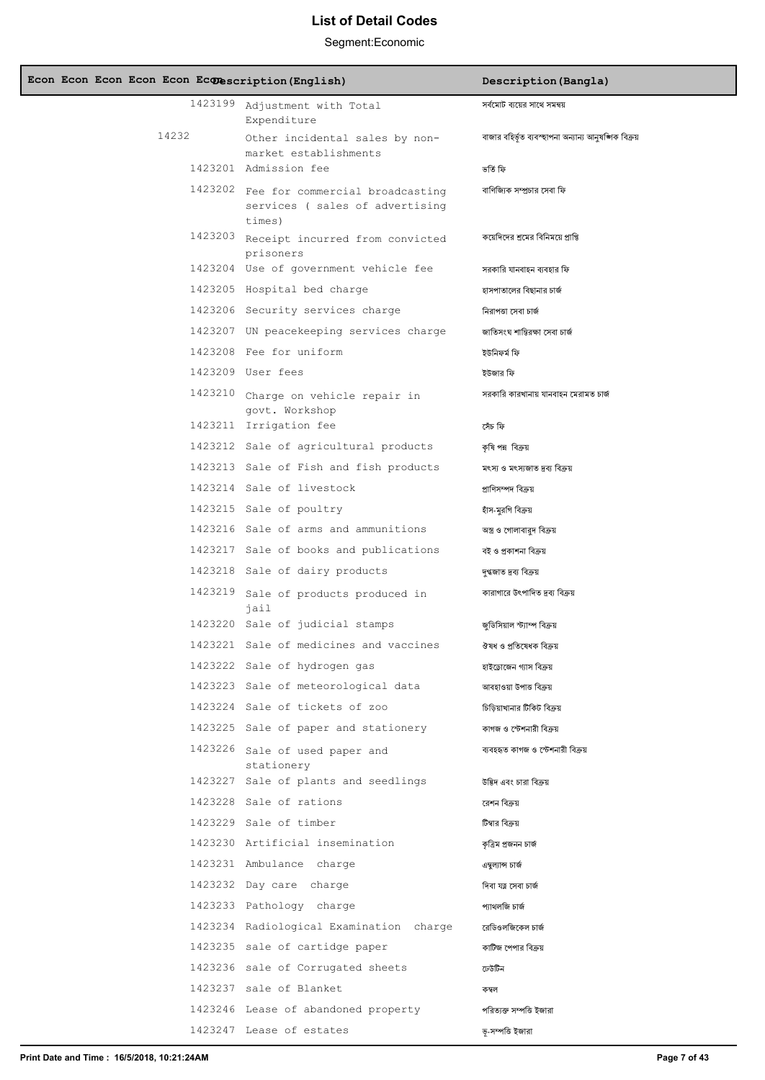| Econ Econ Econ Econ Econ Econescription (English) |                                                                                     | Description (Bangla)                                   |
|---------------------------------------------------|-------------------------------------------------------------------------------------|--------------------------------------------------------|
|                                                   | 1423199 Adjustment with Total<br>Expenditure                                        | সৰ্বমোট ব্যয়ের সাথে সমন্বয়                           |
| 14232                                             | Other incidental sales by non-<br>market establishments                             | বাজার বহির্ভূত ব্যবস্হাপনা অন্যান্য আনুষজ্ঞাক বিক্রয়  |
|                                                   | 1423201 Admission fee                                                               | তৰ্তি ফি                                               |
|                                                   | 1423202 Fee for commercial broadcasting<br>services (sales of advertising<br>times) | বাণিজ্যিক সম্প্রচার সেবা ফি                            |
|                                                   | 1423203 Receipt incurred from convicted<br>prisoners                                | কয়েদিদের শ্রমের বিনিময়ে প্রাপ্তি                     |
|                                                   | 1423204 Use of government vehicle fee                                               | সরকারি যানবাহন ব্যবহার ফি                              |
|                                                   | 1423205 Hospital bed charge                                                         | হাসপাতালের বিছানার চার্জ                               |
|                                                   | 1423206 Security services charge                                                    | নিরাপত্তা সেবা চার্জ                                   |
|                                                   | 1423207 UN peacekeeping services charge                                             | জাতিসংঘ শান্তিরক্ষা সেবা চার্জ                         |
|                                                   | 1423208 Fee for uniform                                                             | ইউনিফর্ম ফি                                            |
|                                                   | 1423209 User fees                                                                   | ইউজার ফি                                               |
|                                                   | 1423210 Charge on vehicle repair in<br>govt. Workshop                               | সরকারি কারখানায় যানবাহন মেরামত চার্জ                  |
|                                                   | 1423211 Irrigation fee                                                              | সেঁচ ফি                                                |
|                                                   | 1423212 Sale of agricultural products                                               | কৃষি পন্ন বিক্ৰয়                                      |
|                                                   | 1423213 Sale of Fish and fish products                                              | মৎস্য ও মৎস্যজাত দ্রব্য বিক্রয়                        |
|                                                   | 1423214 Sale of livestock                                                           | প্ৰাণিসম্পদ বিক্ৰয়                                    |
|                                                   | 1423215 Sale of poultry                                                             | হাঁস-মুরগি বিক্রয়                                     |
|                                                   | 1423216 Sale of arms and ammunitions                                                | অস্ত্র ও গোলাবারুদ বিক্রয়                             |
|                                                   | 1423217 Sale of books and publications                                              | বই ও প্রকাশনা বিক্রয়                                  |
|                                                   | 1423218 Sale of dairy products                                                      | দগ্ধজাত দ্ৰব্য বিক্ৰয়                                 |
|                                                   | 1423219 Sale of products produced in<br>jail<br>1423220 Sale of judicial stamps     | কারাগারে উৎপাদিত দ্রব্য বিক্রয়                        |
|                                                   | 1423221 Sale of medicines and vaccines                                              | জডিসিয়াল স্ট্যাম্প বিক্রয়<br>ঔষধ ও প্ৰতিষেধক বিক্ৰয় |
|                                                   | 1423222 Sale of hydrogen gas                                                        | হাইড্রোজেন গ্যাস বিক্রয়                               |
|                                                   | 1423223 Sale of meteorological data                                                 | আবহাওয়া উপাত্ত বিক্ৰয়                                |
|                                                   | 1423224 Sale of tickets of zoo                                                      | চিডিয়াখানার টিকিট বিক্রয়                             |
|                                                   | 1423225 Sale of paper and stationery                                                | কাগজ ও স্টেশনারী বিক্রয়                               |
|                                                   | 1423226 Sale of used paper and<br>stationery                                        | ব্যবহহৃত কাগজ ও স্টেশনারী বিক্রয়                      |
|                                                   | 1423227 Sale of plants and seedlings                                                | উদ্ভিদ এবং চারা বিক্রয়                                |
|                                                   | 1423228 Sale of rations                                                             | রেশন বিক্রয়                                           |
|                                                   | 1423229 Sale of timber                                                              | টিম্বার বিক্রয়                                        |
|                                                   | 1423230 Artificial insemination                                                     | কত্ৰিম প্ৰজনন চাৰ্জ                                    |
|                                                   | 1423231 Ambulance charge                                                            | এম্বল্যান্স চার্জ                                      |
|                                                   | 1423232 Day care charge                                                             | দিবা যত্ন সেবা চাৰ্জ                                   |
|                                                   | 1423233 Pathology charge                                                            | প্যাথলজি চার্জ                                         |
|                                                   | 1423234 Radiological Examination charge                                             | রেডিওলজিকেল চার্জ                                      |
|                                                   | 1423235 sale of cartidge paper                                                      | কাটিজ পেপার বিক্রয়                                    |
|                                                   | 1423236 sale of Corrugated sheets                                                   | ঢেউটিন                                                 |
|                                                   | 1423237 sale of Blanket                                                             | কম্বল                                                  |
|                                                   | 1423246 Lease of abandoned property                                                 | পরিত্যক্ত সম্পত্তি ইজারা                               |
|                                                   | 1423247 Lease of estates                                                            | ড়-সম্পত্তি ইজারা                                      |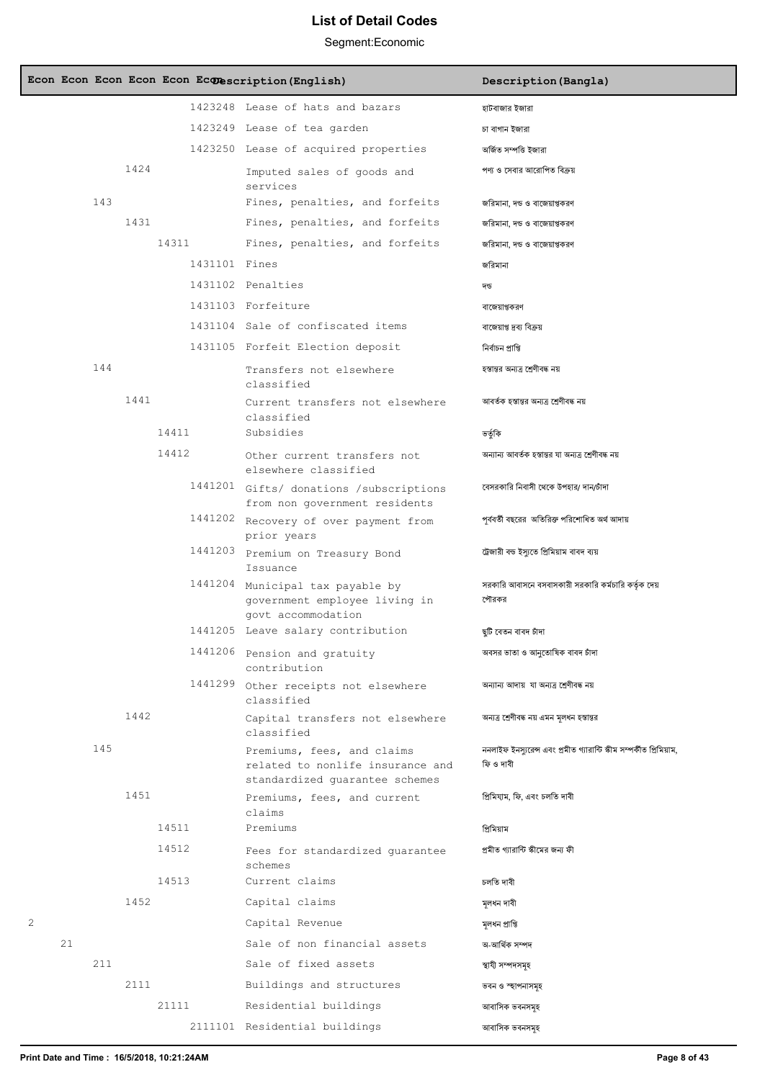|   |    |     |      |               | Econ Econ Econ Econ Econ Econescription (English)                                                | Description (Bangla)                                                             |
|---|----|-----|------|---------------|--------------------------------------------------------------------------------------------------|----------------------------------------------------------------------------------|
|   |    |     |      |               | 1423248 Lease of hats and bazars                                                                 | হাটবাজার ইজারা                                                                   |
|   |    |     |      |               | 1423249 Lease of tea garden                                                                      | চা বাগান ইজারা                                                                   |
|   |    |     |      |               | 1423250 Lease of acquired properties                                                             | অৰ্জিত সম্পত্তি ইজারা                                                            |
|   |    |     | 1424 |               | Imputed sales of goods and<br>services                                                           | পণ্য ও সেবার আরোপিত বিক্রয়                                                      |
|   |    | 143 |      |               | Fines, penalties, and forfeits                                                                   | জরিমানা, দন্ড ও বাজেয়াপ্তকরণ                                                    |
|   |    |     | 1431 |               | Fines, penalties, and forfeits                                                                   | জরিমানা, দন্ড ও বাজেয়াপ্তকরণ                                                    |
|   |    |     |      | 14311         | Fines, penalties, and forfeits                                                                   | জরিমানা, দন্ড ও বাজেয়াপ্তকরণ                                                    |
|   |    |     |      | 1431101 Fines |                                                                                                  | জরিমানা                                                                          |
|   |    |     |      |               | 1431102 Penalties                                                                                | দন্ড                                                                             |
|   |    |     |      |               | 1431103 Forfeiture                                                                               | বাজেয়াপ্তকরণ                                                                    |
|   |    |     |      |               | 1431104 Sale of confiscated items                                                                | বাজেয়াপ্ত দ্রব্য বিক্রয়                                                        |
|   |    |     |      |               | 1431105 Forfeit Election deposit                                                                 | নিৰ্বাচন প্ৰাপ্তি                                                                |
|   |    | 144 |      |               | Transfers not elsewhere<br>classified                                                            | হস্তান্তর অন্যত্র শ্রেণীবদ্ধ নয়                                                 |
|   |    |     | 1441 |               | Current transfers not elsewhere<br>classified                                                    | আবর্তক হস্তান্তর অন্যত্র শ্রেণীবদ্ধ নয়                                          |
|   |    |     |      | 14411         | Subsidies                                                                                        | ভৰ্তৃকি                                                                          |
|   |    |     |      | 14412         | Other current transfers not<br>elsewhere classified                                              | অন্যান্য আবর্তক হস্তান্তর যা অন্যত্র শ্রেণীবদ্ধ নয়                              |
|   |    |     |      |               | 1441201 Gifts/ donations /subscriptions<br>from non government residents                         | বেসরকারি নিবাসী থেকে উপহার/ দান/চাঁদা                                            |
|   |    |     |      |               | 1441202 Recovery of over payment from<br>prior years                                             | পূৰ্ববৰ্তী বছরের  অতিরিক্ত পরিশোধিত অর্থ আদায়                                   |
|   |    |     |      |               | 1441203 Premium on Treasury Bond<br>Issuance                                                     | ট্রেজারী বন্ড ইস্যুতে প্রিমিয়াম বাবদ ব্যয়                                      |
|   |    |     |      |               | 1441204 Municipal tax payable by<br>government employee living in<br>govt accommodation          | সরকারি আবাসনে বসবাসকারী সরকারি কর্মচারি কর্তৃক দেয়<br>পৌরকর                     |
|   |    |     |      |               | 1441205 Leave salary contribution                                                                | ছটি বেতন বাবদ চাঁদা                                                              |
|   |    |     |      |               | 1441206 Pension and gratuity<br>contribution                                                     | অবসর ভাতা ও আনুতোষিক বাবদ চাঁদা                                                  |
|   |    |     |      | 1441299       | Other receipts not elsewhere<br>classified                                                       | অন্যান্য আদায় যা অন্যত্র শ্রেণীবদ্ধ নয়                                         |
|   |    |     | 1442 |               | Capital transfers not elsewhere<br>classified                                                    | অন্যত্র শ্রেণীবদ্ধ নয় এমন মূলধন হস্তান্তর                                       |
|   |    | 145 |      |               | Premiums, fees, and claims<br>related to nonlife insurance and<br>standardized guarantee schemes | ননলাইফ ইনস্যরেন্স এবং প্রমীত গ্যারান্টি স্কীম সম্পর্কীত প্রিমিয়াম,<br>ফি ও দাবী |
|   |    |     | 1451 |               | Premiums, fees, and current<br>claims                                                            | প্ৰিমিযাম, ফি, এবং চলতি দাবী                                                     |
|   |    |     |      | 14511         | Premiums                                                                                         | প্ৰিমিয়াম                                                                       |
|   |    |     |      | 14512         | Fees for standardized quarantee<br>schemes                                                       | প্রমীত গ্যারান্টি স্কীমের জন্য ফী                                                |
|   |    |     |      | 14513         | Current claims                                                                                   | চলতি দাবী                                                                        |
|   |    |     | 1452 |               | Capital claims                                                                                   | মূলধন দাবী                                                                       |
| 2 |    |     |      |               | Capital Revenue                                                                                  | মূলধন প্ৰাপ্তি                                                                   |
|   | 21 |     |      |               | Sale of non financial assets                                                                     | অ-আৰ্থিক সম্পদ                                                                   |
|   |    | 211 |      |               | Sale of fixed assets                                                                             | স্থাযী সম্পদসমহ                                                                  |
|   |    |     | 2111 |               | Buildings and structures                                                                         | ভবন ও স্হাপনাসমূহ                                                                |
|   |    |     |      | 21111         | Residential buildings                                                                            | আবাসিক ভবনসমূহ                                                                   |
|   |    |     |      |               | 2111101 Residential buildings                                                                    | আবাসিক ভবনসমহ                                                                    |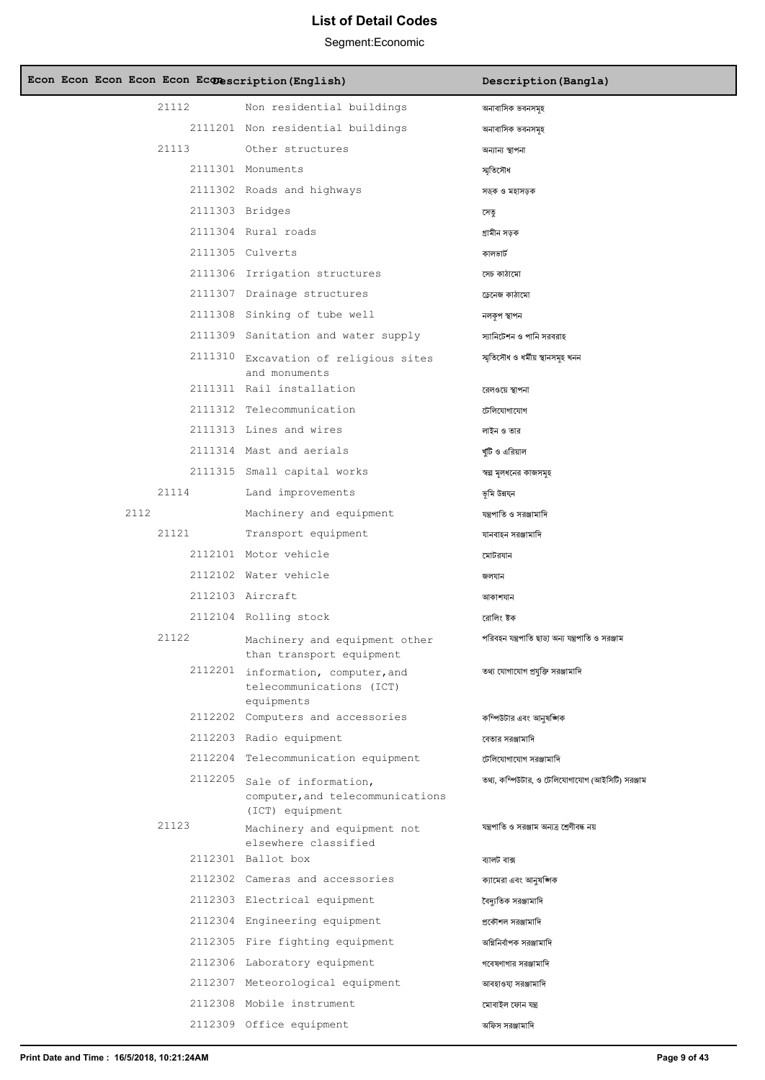| Econ Econ Econ Econ Econ Econescription (English) |                                                                                     | Description (Bangla)                              |
|---------------------------------------------------|-------------------------------------------------------------------------------------|---------------------------------------------------|
| 21112                                             | Non residential buildings                                                           | অনাবাসিক ভবনসমহ                                   |
|                                                   | 2111201 Non residential buildings                                                   | অনাবাসিক ভবনসমূহ                                  |
| 21113                                             | Other structures                                                                    | অন্যান্য স্থাপনা                                  |
|                                                   | 2111301 Monuments                                                                   | স্মতিসৌধ                                          |
|                                                   | 2111302 Roads and highways                                                          | সড়ক ও মহাসড়ক                                    |
|                                                   | 2111303 Bridges                                                                     | সেতু                                              |
|                                                   | 2111304 Rural roads                                                                 | গ্ৰামীন সড়ক                                      |
|                                                   | 2111305 Culverts                                                                    | কালভার্ট                                          |
|                                                   | 2111306 Irrigation structures                                                       | সেচ কাঠামো                                        |
|                                                   | 2111307 Drainage structures                                                         | ডেনেজ কাঠামো                                      |
|                                                   | 2111308 Sinking of tube well                                                        | নলকপ স্থাপন                                       |
|                                                   | 2111309 Sanitation and water supply                                                 | স্যানিটেশন ও পানি সরবরাহ                          |
|                                                   | 2111310 Excavation of religious sites<br>and monuments                              | স্মৃতিসৌধ ও ধৰ্মীয় স্থানসমূহ খনন                 |
|                                                   | 2111311 Rail installation                                                           | রেলওয়ে স্থাপনা                                   |
|                                                   | 2111312 Telecommunication                                                           | টেলিযোগাযোগ                                       |
|                                                   | 2111313 Lines and wires                                                             | লাইন ও তার                                        |
|                                                   | 2111314 Mast and aerials                                                            | খাঁটি ও এরিয়াল                                   |
|                                                   | 2111315 Small capital works                                                         | স্বল্প মূলধনের কাজসমূহ                            |
| 21114                                             | Land improvements                                                                   | ভূমি উন্নয্ন                                      |
| 2112                                              | Machinery and equipment                                                             | যন্ত্রপাতি ও সরঞ্জামাদি                           |
| 21121                                             | Transport equipment                                                                 | যানবাহন সরঞ্জামাদি                                |
|                                                   | 2112101 Motor vehicle                                                               | মোটরযান                                           |
|                                                   | 2112102 Water vehicle                                                               | জলযান                                             |
|                                                   | 2112103 Aircraft                                                                    | আকাশযান                                           |
|                                                   | 2112104 Rolling stock                                                               | রোলিং ষ্টক                                        |
| 21122                                             | Machinery and equipment other<br>than transport equipment                           | পরিবহন যন্ত্রপাতি ছাড়া অন্য যন্ত্রপাতি ও সরঞ্জাম |
|                                                   | 2112201 information, computer, and<br>telecommunications (ICT)<br>equipments        | তথ্য যোগাযোগ প্রযুক্তি সরঞ্জামাদি                 |
|                                                   | 2112202 Computers and accessories                                                   | কম্পিউটার এবং আনুষজ্ঞাক                           |
|                                                   | 2112203 Radio equipment                                                             | বেতার সরঞ্জামাদি                                  |
|                                                   | 2112204 Telecommunication equipment                                                 | টেলিযোগাযোগ সরঞ্জামাদি                            |
|                                                   | 2112205 Sale of information,<br>computer, and telecommunications<br>(ICT) equipment | তথ্য, কম্পিউটার, ও টেলিযোগাযোগ (আইসিটি) সরঞ্জাম   |
| 21123                                             | Machinery and equipment not<br>elsewhere classified                                 | যন্ত্রপাতি ও সরঞ্জাম অন্যত্র শ্রেণীবদ্ধ নয়       |
|                                                   | 2112301 Ballot box                                                                  | ব্যালট বাক্স                                      |
|                                                   | 2112302 Cameras and accessories                                                     | ক্যামেরা এবং আনুষজ্ঞাক                            |
|                                                   | 2112303 Electrical equipment                                                        | বৈদ্যুতিক সরঞ্জামাদি                              |
|                                                   | 2112304 Engineering equipment                                                       | প্রকৌশল সরঞ্জামাদি                                |
|                                                   | 2112305 Fire fighting equipment                                                     | অগ্নিনির্বাপক সরঞ্জামাদি                          |
|                                                   | 2112306 Laboratory equipment                                                        | গবেষণাগার সরঞ্জামাদি                              |
|                                                   | 2112307 Meteorological equipment                                                    | আবহাওযা সরঞ্জামাদি                                |
|                                                   | 2112308 Mobile instrument                                                           | মোবাইল ফোন যন্ত্ৰ                                 |
|                                                   | 2112309 Office equipment                                                            | অফিস সরঞ্জামাদি                                   |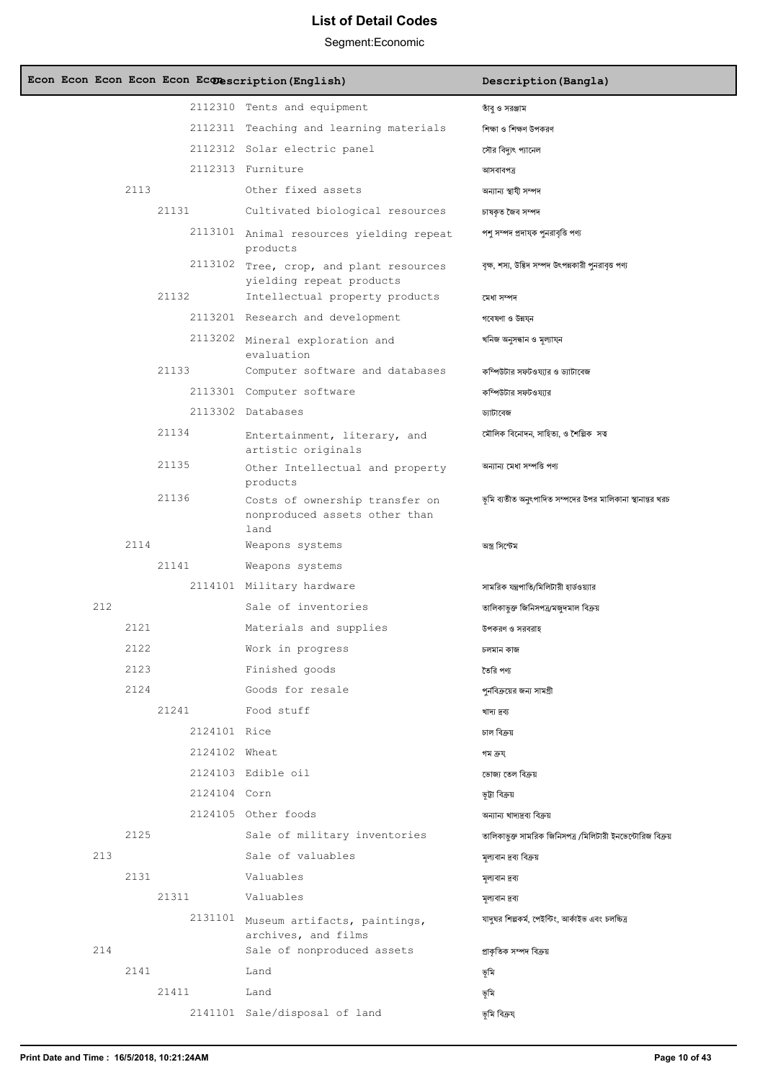| Econ Econ Econ Econ Econ Econescription (English) |                                                                         | Description (Bangla)                                       |
|---------------------------------------------------|-------------------------------------------------------------------------|------------------------------------------------------------|
|                                                   | 2112310 Tents and equipment                                             | তাঁবু ও সরঞ্জাম                                            |
|                                                   | 2112311 Teaching and learning materials                                 | শিক্ষা ও শিক্ষণ উপকরণ                                      |
|                                                   | 2112312 Solar electric panel                                            | সৌর বিদ্যুৎ প্যানেল                                        |
|                                                   | 2112313 Furniture                                                       | আসবাবপত্ৰ                                                  |
| 2113                                              | Other fixed assets                                                      | অন্যান্য স্থাযী সম্পদ                                      |
| 21131                                             | Cultivated biological resources                                         | চাষকৃত জৈব সম্পদ                                           |
|                                                   | 2113101 Animal resources yielding repeat<br>products                    | পশু সম্পদ প্রদাযক পুনরাবৃত্তি পণ্য                         |
|                                                   | 2113102 Tree, crop, and plant resources<br>yielding repeat products     | বৃক্ষ, শস্য, উদ্ভিদ সম্পদ উৎপন্নকারী পুনরাবৃত্ত পণ্য       |
| 21132                                             | Intellectual property products                                          | মেধা সম্পদ                                                 |
|                                                   | 2113201 Research and development                                        | গবেষণা ও উন্নয্ন                                           |
|                                                   | 2113202 Mineral exploration and<br>evaluation                           | খনিজ অনুসন্ধান ও মূল্যায্ন                                 |
| 21133                                             | Computer software and databases                                         | কম্পিউটার সফটওয্যার ও ড্যাটাবেজ                            |
|                                                   | 2113301 Computer software                                               | কম্পিউটার সফটওয্যার                                        |
|                                                   | 2113302 Databases                                                       | ড্যাটাবেজ                                                  |
| 21134                                             | Entertainment, literary, and<br>artistic originals                      | মৌলিক বিনোদন, সাহিত্য, ও শৈল্পিক সত্ব                      |
| 21135                                             | Other Intellectual and property<br>products                             | অন্যান্য মেধা সম্পত্তি পণ্য                                |
| 21136                                             | Costs of ownership transfer on<br>nonproduced assets other than<br>land | ভূমি ব্যতীত অনুৎপাদিত সম্পদের উপর মালিকানা স্থানান্তর খরচ  |
| 2114                                              | Weapons systems                                                         | অস্ত্ৰ সিস্টেম                                             |
| 21141                                             | Weapons systems                                                         |                                                            |
|                                                   | 2114101 Military hardware                                               | সামরিক যন্ত্রপাতি/মিলিটারী হার্ডওয়্যার                    |
| 212                                               | Sale of inventories                                                     | তালিকাভুক্ত জিনিসপত্ৰ/মজুদমাল বিক্ৰয়                      |
| 2121                                              | Materials and supplies                                                  | উপকরণ ও সরবরাহ                                             |
| 2122                                              | Work in progress                                                        | চলমান কাজ                                                  |
| 2123                                              | Finished goods                                                          | তৈরি পণ্য                                                  |
| 2124                                              | Goods for resale                                                        | পর্নবিক্রয়ের জন্য সামগ্রী                                 |
| 21241                                             | Food stuff                                                              | খাদ্য দ্ৰব্য                                               |
| 2124101 Rice                                      |                                                                         | চাল বিক্ৰয়                                                |
| 2124102 Wheat                                     |                                                                         | গম ক্ৰয্                                                   |
|                                                   | 2124103 Edible oil                                                      | ভোজ্য তেল বিক্ৰয়                                          |
| 2124104 Corn                                      |                                                                         | ভূটা বিক্রয়                                               |
|                                                   | 2124105 Other foods                                                     | অন্যান্য খাদ্যদ্রব্য বিক্রয়                               |
| 2125                                              | Sale of military inventories                                            | তালিকাভুক্ত সামরিক জিনিসপত্র /মিলিটারী ইনভেন্টোরিজ বিক্রয় |
| 213                                               | Sale of valuables                                                       | মূল্যবান দ্রব্য বিক্রয়                                    |
| 2131                                              | Valuables                                                               | মূল্যবান দ্রব্য                                            |
| 21311                                             | Valuables                                                               | মূল্যবান দ্রব্য                                            |
|                                                   | 2131101 Museum artifacts, paintings,<br>archives, and films             | যাদুঘর শিল্পকর্ম, পেইন্টিং, আর্কাইভ এবং চলচ্চিত্র          |
| 214                                               | Sale of nonproduced assets                                              | প্ৰাকৃতিক সম্পদ বিক্ৰয়                                    |
| 2141                                              | Land                                                                    | ভূমি                                                       |
| 21411                                             | Land                                                                    | ভূমি                                                       |
|                                                   | 2141101 Sale/disposal of land                                           | ভূমি বিক্রয                                                |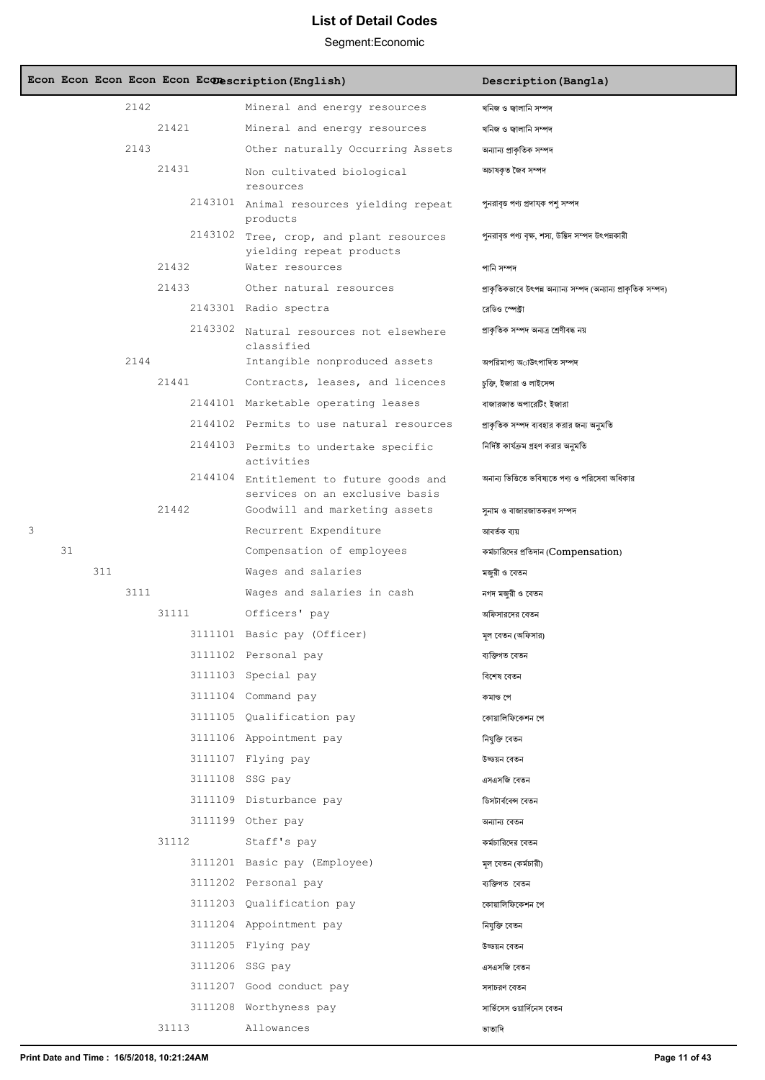|   |    |     |      |         | Econ Econ Econ Econ Econ Econescription (English)                                                          | Description (Bangla)                                           |
|---|----|-----|------|---------|------------------------------------------------------------------------------------------------------------|----------------------------------------------------------------|
|   |    |     | 2142 |         | Mineral and energy resources                                                                               | খনিজ ও জ্বালানি সম্পদ                                          |
|   |    |     |      | 21421   | Mineral and energy resources                                                                               | খনিজ ও জ্বালানি সম্পদ                                          |
|   |    |     | 2143 |         | Other naturally Occurring Assets                                                                           | অন্যান্য প্রাকৃতিক সম্পদ                                       |
|   |    |     |      | 21431   | Non cultivated biological<br>resources                                                                     | অচাষকৃত জৈব সম্পদ                                              |
|   |    |     |      |         | 2143101 Animal resources yielding repeat<br>products                                                       | পুনরাবৃত্ত পণ্য প্রদাযক পশু সম্পদ                              |
|   |    |     |      | 2143102 | Tree, crop, and plant resources<br>yielding repeat products                                                | পুনরাবৃত্ত পণ্য বৃক্ষ, শস্য, উদ্ভিদ সম্পদ উৎপন্নকারী           |
|   |    |     |      | 21432   | Water resources                                                                                            | পানি সম্পদ                                                     |
|   |    |     |      | 21433   | Other natural resources                                                                                    | প্রাকৃতিকভাবে উৎপন্ন অন্যান্য সম্পদ (অন্যান্য প্রাকৃতিক সম্পদ) |
|   |    |     |      |         | 2143301 Radio spectra                                                                                      | রেডিও স্পেক্টা                                                 |
|   |    |     |      |         | 2143302 Natural resources not elsewhere<br>classified                                                      | প্ৰাকৃতিক সম্পদ অন্যত্ৰ শ্ৰেণীবদ্ধ নয়                         |
|   |    |     | 2144 |         | Intangible nonproduced assets                                                                              | অপরিমাপ্য অাউৎপাদিত সম্পদ                                      |
|   |    |     |      | 21441   | Contracts, leases, and licences                                                                            | চুক্তি, ইজারা ও লাইসেন্স                                       |
|   |    |     |      |         | 2144101 Marketable operating leases                                                                        | বাজারজাত অপারেটিং ইজারা                                        |
|   |    |     |      |         | 2144102 Permits to use natural resources                                                                   | প্রাকৃতিক সম্পদ ব্যবহার করার জন্য অনুমতি                       |
|   |    |     |      |         | 2144103 Permits to undertake specific<br>activities                                                        | নিৰ্দিষ্ট কাৰ্যক্ৰম গ্ৰহণ করার অনুমতি                          |
|   |    |     |      | 21442   | 2144104 Entitlement to future goods and<br>services on an exclusive basis<br>Goodwill and marketing assets | অনান্য ভিত্তিতে ভবিষ্যতে পণ্য ও পরিসেবা অধিকার                 |
| 3 |    |     |      |         | Recurrent Expenditure                                                                                      | সুনাম ও বাজারজাতকরণ সম্পদ<br>আবৰ্তক ব্যয়                      |
|   | 31 |     |      |         | Compensation of employees                                                                                  | কর্মচারিদের প্রতিদান (Compensation)                            |
|   |    | 311 |      |         | Wages and salaries                                                                                         | মজুরী ও বেতন                                                   |
|   |    |     | 3111 |         | Wages and salaries in cash                                                                                 | নগদ মজুরী ও বেতন                                               |
|   |    |     |      | 31111   | Officers' pay                                                                                              | অফিসারদের বেতন                                                 |
|   |    |     |      |         | 3111101 Basic pay (Officer)                                                                                | মল বেতন (অফিসার)                                               |
|   |    |     |      |         | 3111102 Personal pay                                                                                       | ব্যক্তিগত বেতন                                                 |
|   |    |     |      |         | 3111103 Special pay                                                                                        | বিশেষ বেতন                                                     |
|   |    |     |      |         | 3111104 Command pay                                                                                        | কমান্ড পে                                                      |
|   |    |     |      |         | 3111105 Qualification pay                                                                                  | কোয়ালিফিকেশন পে                                               |
|   |    |     |      |         | 3111106 Appointment pay                                                                                    | নিযুক্তি বেতন                                                  |
|   |    |     |      |         | 3111107 Flying pay                                                                                         | উড্ডয়ন বেতন                                                   |
|   |    |     |      |         | 3111108 SSG pay                                                                                            | এসএসজি বেতন                                                    |
|   |    |     |      |         | 3111109 Disturbance pay                                                                                    | ডিসটার্ববেন্স বেতন                                             |
|   |    |     |      |         | 3111199 Other pay                                                                                          | অন্যান্য বেতন                                                  |
|   |    |     |      | 31112   | Staff's pay                                                                                                | কর্মচারিদের বেতন                                               |
|   |    |     |      |         | 3111201 Basic pay (Employee)                                                                               | মূল বেতন (কর্মচারী)                                            |
|   |    |     |      |         | 3111202 Personal pay                                                                                       | ব্যক্তিগত বেতন                                                 |
|   |    |     |      |         | 3111203 Qualification pay                                                                                  | কোয়ালিফিকেশন পে                                               |
|   |    |     |      |         | 3111204 Appointment pay                                                                                    | নিযুক্তি বেতন                                                  |
|   |    |     |      |         | 3111205 Flying pay                                                                                         | উড্ডয়ন বেতন                                                   |
|   |    |     |      |         | 3111206 SSG pay                                                                                            | এসএসজি বেতন                                                    |
|   |    |     |      |         | 3111207 Good conduct pay                                                                                   | সদাচরণ বেতন                                                    |
|   |    |     |      |         | 3111208 Worthyness pay                                                                                     | সার্ভিসেস ওয়ার্দিনেস বেতন                                     |
|   |    |     |      | 31113   | Allowances                                                                                                 | ভাতাদি                                                         |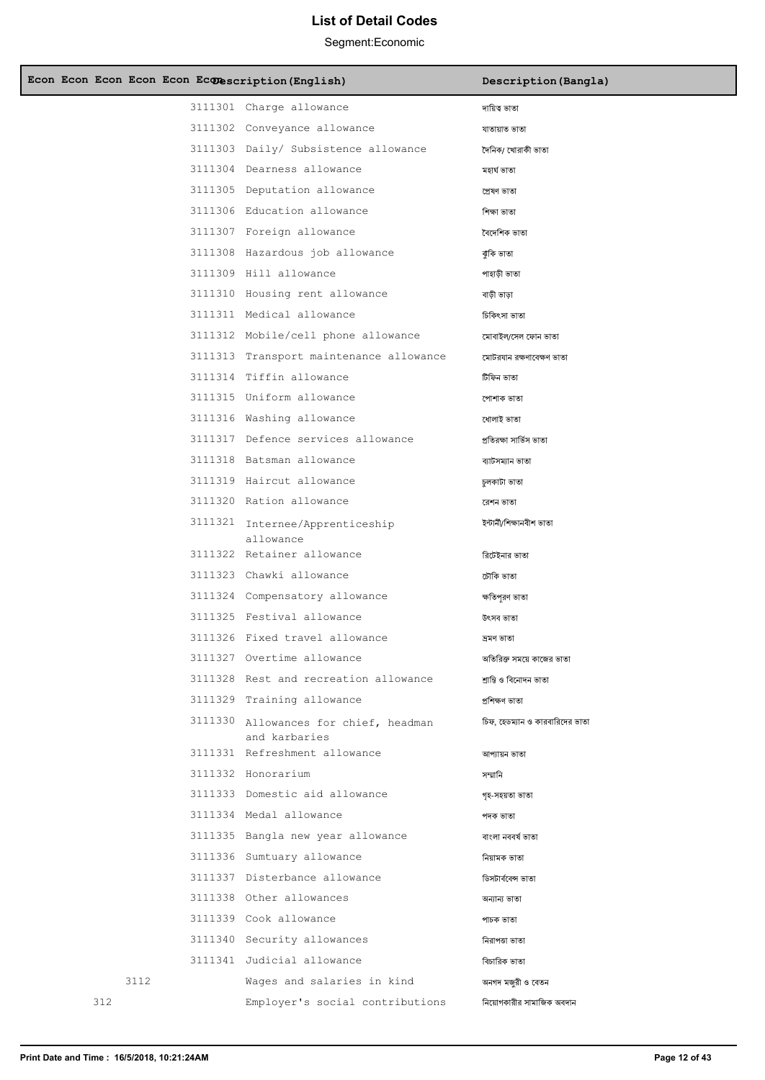| Econ Econ Econ Econ Econ Econescription (English) |                                         | Description (Bangla)            |
|---------------------------------------------------|-----------------------------------------|---------------------------------|
|                                                   | 3111301 Charge allowance                | দায়িত্ব ভাতা                   |
|                                                   | 3111302 Conveyance allowance            | যাতায়াত ভাতা                   |
|                                                   | 3111303 Daily/ Subsistence allowance    | দৈনিক/ খোরাকী ভাতা              |
|                                                   | 3111304 Dearness allowance              | মহাৰ্ঘ ভাতা                     |
|                                                   | 3111305 Deputation allowance            | প্ৰেষণ ভাতা                     |
|                                                   | 3111306 Education allowance             | শিক্ষা ভাতা                     |
|                                                   | 3111307 Foreign allowance               | বৈদেশিক ভাতা                    |
|                                                   | 3111308 Hazardous job allowance         | ঝুঁকি ভাতা                      |
|                                                   | 3111309 Hill allowance                  | পাহাড়ী ভাতা                    |
|                                                   | 3111310 Housing rent allowance          | বাড়ী ভাড়া                     |
|                                                   | 3111311 Medical allowance               | চিকিৎসা ভাতা                    |
|                                                   | 3111312 Mobile/cell phone allowance     | মোবাইল/সেল ফোন ভাতা             |
|                                                   | 3111313 Transport maintenance allowance | মোটরযান রক্ষণাবেক্ষণ ভাতা       |
|                                                   | 3111314 Tiffin allowance                | টিফিন ভাতা                      |
|                                                   | 3111315 Uniform allowance               | পোশাক ভাতা                      |
|                                                   | 3111316 Washing allowance               | ধোলাই ভাতা                      |
|                                                   | 3111317 Defence services allowance      | প্ৰতিৰক্ষা সাৰ্ভিস ভাতা         |
|                                                   | 3111318 Batsman allowance               | ব্যাটসম্যান ভাতা                |
|                                                   | 3111319 Haircut allowance               | চুলকাটা ভাতা                    |
|                                                   | 3111320 Ration allowance                | রেশন ভাতা                       |
|                                                   | 3111321 Internee/Apprenticeship         | ইন্টাৰ্নী/শিক্ষানবীশ ভাতা       |
|                                                   | allowance<br>3111322 Retainer allowance | রিটেইনার ভাতা                   |
|                                                   | 3111323 Chawki allowance                | চৌকি ভাতা                       |
|                                                   | 3111324 Compensatory allowance          | ক্ষতিপূরণ ভাতা                  |
|                                                   | 3111325 Festival allowance              | উৎসব ভাতা                       |
|                                                   | 3111326 Fixed travel allowance          | দ্ৰমণ ভাতা                      |
|                                                   | 3111327 Overtime allowance              | অতিরিক্ত সময়ে কাজের ভাতা       |
|                                                   | 3111328 Rest and recreation allowance   | শ্ৰান্তি ও বিনোদন ভাতা          |
|                                                   | 3111329 Training allowance              | প্ৰশিক্ষণ ভাতা                  |
|                                                   | 3111330 Allowances for chief, headman   | চিফ, হেডম্যান ও কারবারিদের ভাতা |
|                                                   | and karbaries                           |                                 |
|                                                   | 3111331 Refreshment allowance           | আপ্যায়ন ভাতা                   |
|                                                   | 3111332 Honorarium                      | সম্মানি                         |
|                                                   | 3111333 Domestic aid allowance          | গৃহ-সহয়তা ভাতা                 |
|                                                   | 3111334 Medal allowance                 | পদক ভাতা                        |
|                                                   | 3111335 Bangla new year allowance       | বাংলা নববর্ষ ভাতা               |
|                                                   | 3111336 Sumtuary allowance              | নিয়ামক ভাতা                    |
|                                                   | 3111337 Disterbance allowance           | ডিসটাৰ্ববেন্স ভাতা              |
|                                                   | 3111338 Other allowances                | অন্যান্য ভাতা                   |
|                                                   | 3111339 Cook allowance                  | পাচক ভাতা                       |
|                                                   | 3111340 Security allowances             | নিরাপত্তা ভাতা                  |
|                                                   | 3111341 Judicial allowance              | বিচারিক ভাতা                    |
| 3112                                              | Wages and salaries in kind              | অনগদ মজুরী ও বেতন               |
| 312                                               | Employer's social contributions         | নিয়োগকারীর সামাজিক অবদান       |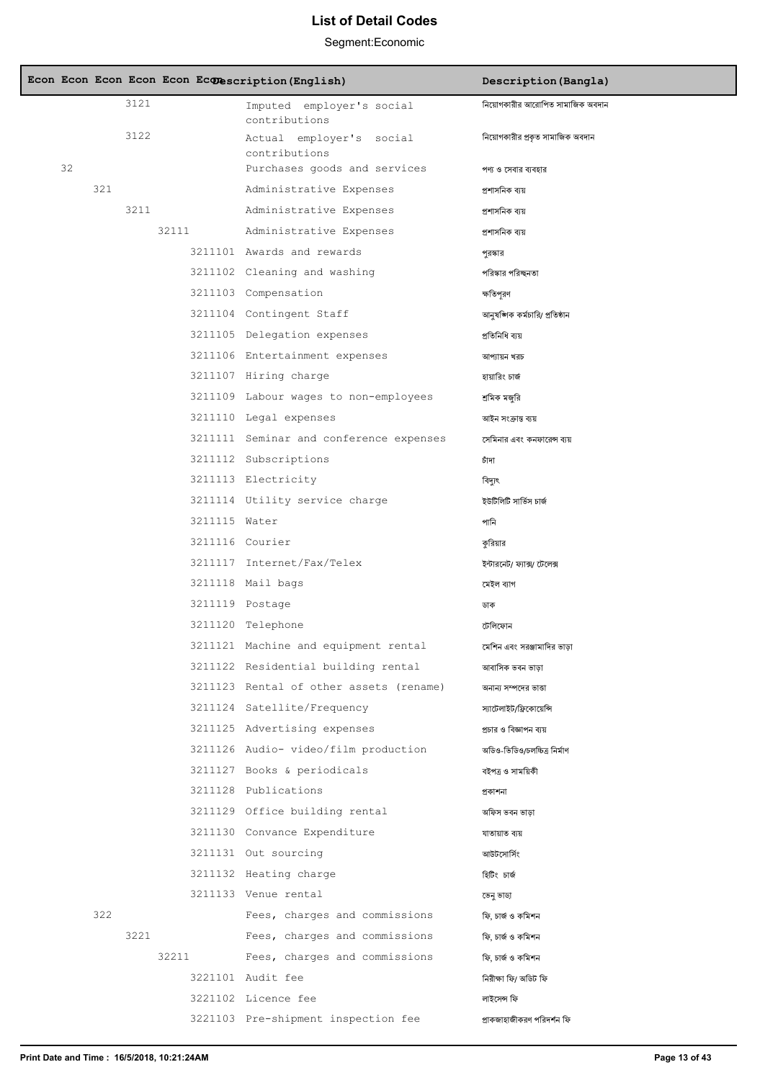|    |     |      |       |               | Econ Econ Econ Econ Econ Econescription (English) | Description (Bangla)             |
|----|-----|------|-------|---------------|---------------------------------------------------|----------------------------------|
|    |     | 3121 |       |               | Imputed employer's social<br>contributions        | নিয়োগকারীর আরোপিত সামাজিক অবদান |
|    |     | 3122 |       |               | Actual employer's social<br>contributions         | নিয়োগকারীর প্রকৃত সামাজিক অবদান |
| 32 |     |      |       |               | Purchases goods and services                      | পণ্য ও সেবার ব্যবহার             |
|    | 321 |      |       |               | Administrative Expenses                           | প্ৰশাসনিক ব্যয়                  |
|    |     | 3211 |       |               | Administrative Expenses                           | প্ৰশাসনিক ব্যয়                  |
|    |     |      | 32111 |               | Administrative Expenses                           | প্ৰশাসনিক ব্যয়                  |
|    |     |      |       |               | 3211101 Awards and rewards                        | পুরস্কার                         |
|    |     |      |       |               | 3211102 Cleaning and washing                      | পরিস্কার পরিচ্ছনতা               |
|    |     |      |       |               | 3211103 Compensation                              | ক্ষতিপূরণ                        |
|    |     |      |       |               | 3211104 Contingent Staff                          | আনুষঙ্গিক কৰ্মচারি/ প্রতিষ্ঠান   |
|    |     |      |       |               | 3211105 Delegation expenses                       | প্রতিনিধি বায়                   |
|    |     |      |       |               | 3211106 Entertainment expenses                    | আপ্যায়ন খরচ                     |
|    |     |      |       |               | 3211107 Hiring charge                             | হায়ারিং চার্জ                   |
|    |     |      |       |               | 3211109 Labour wages to non-employees             | শ্ৰমিক মজরি                      |
|    |     |      |       |               | 3211110 Legal expenses                            | আইন সংক্ৰান্ত ব্যয়              |
|    |     |      |       |               | 3211111 Seminar and conference expenses           | সেমিনার এবং কনফারেন্স ব্যয়      |
|    |     |      |       |               | 3211112 Subscriptions                             | চাঁদা                            |
|    |     |      |       |               | 3211113 Electricity                               | বিদ্যুৎ                          |
|    |     |      |       |               | 3211114 Utility service charge                    | ইউটিলিটি সার্ভিস চার্জ           |
|    |     |      |       | 3211115 Water |                                                   | পানি                             |
|    |     |      |       |               | 3211116 Courier                                   | কুরিয়ার                         |
|    |     |      |       |               | 3211117 Internet/Fax/Telex                        | ইন্টারনেট/ ফ্যাক্স/ টেলেক্স      |
|    |     |      |       |               | 3211118 Mail bags                                 | মেইল ব্যাগ                       |
|    |     |      |       |               | 3211119 Postage                                   | ডাক                              |
|    |     |      |       |               | 3211120 Telephone                                 | টেলিফোন                          |
|    |     |      |       |               | 3211121 Machine and equipment rental              | মেশিন এবং সরঞ্জামাদির ভাড়া      |
|    |     |      |       |               | 3211122 Residential building rental               | আবাসিক ভবন ভাড়া                 |
|    |     |      |       |               | 3211123 Rental of other assets (rename)           | অনান্য সম্পদের ভাত্তা            |
|    |     |      |       |               | 3211124 Satellite/Frequency                       | স্যাটেলাইট/ফ্রিকোয়েন্সি         |
|    |     |      |       |               | 3211125 Advertising expenses                      | প্রচার ও বিজ্ঞাপন ব্যয়          |
|    |     |      |       |               | 3211126 Audio- video/film production              | অডিও-ভিডিও/চলচ্চিত্র নির্মাণ     |
|    |     |      |       |               | 3211127 Books & periodicals                       | বইপত্ৰ ও সাময়িকী                |
|    |     |      |       |               | 3211128 Publications                              | প্ৰকাশনা                         |
|    |     |      |       |               | 3211129 Office building rental                    | অফিস ভবন ভাড়া                   |
|    |     |      |       |               | 3211130 Convance Expenditure                      | যাতায়াত ব্যয়                   |
|    |     |      |       |               | 3211131 Out sourcing                              | আউটসোর্সিং                       |
|    |     |      |       |               | 3211132 Heating charge                            | হিটিং চাৰ্জ                      |
|    |     |      |       |               | 3211133 Venue rental                              | ভেনু ভাডা                        |
|    | 322 |      |       |               | Fees, charges and commissions                     | ফি, চাৰ্জ ও কমিশন                |
|    |     | 3221 |       |               | Fees, charges and commissions                     | ফি, চাৰ্জ ও কমিশন                |
|    |     |      | 32211 |               | Fees, charges and commissions                     | ফি, চাৰ্জ ও কমিশন                |
|    |     |      |       |               | 3221101 Audit fee                                 | নিরীক্ষা ফি/ অডিট ফি             |
|    |     |      |       |               | 3221102 Licence fee                               | লাইসেন্স ফি                      |
|    |     |      |       |               | 3221103 Pre-shipment inspection fee               | প্ৰাকজাহাজীকরণ পরিদর্শন ফি       |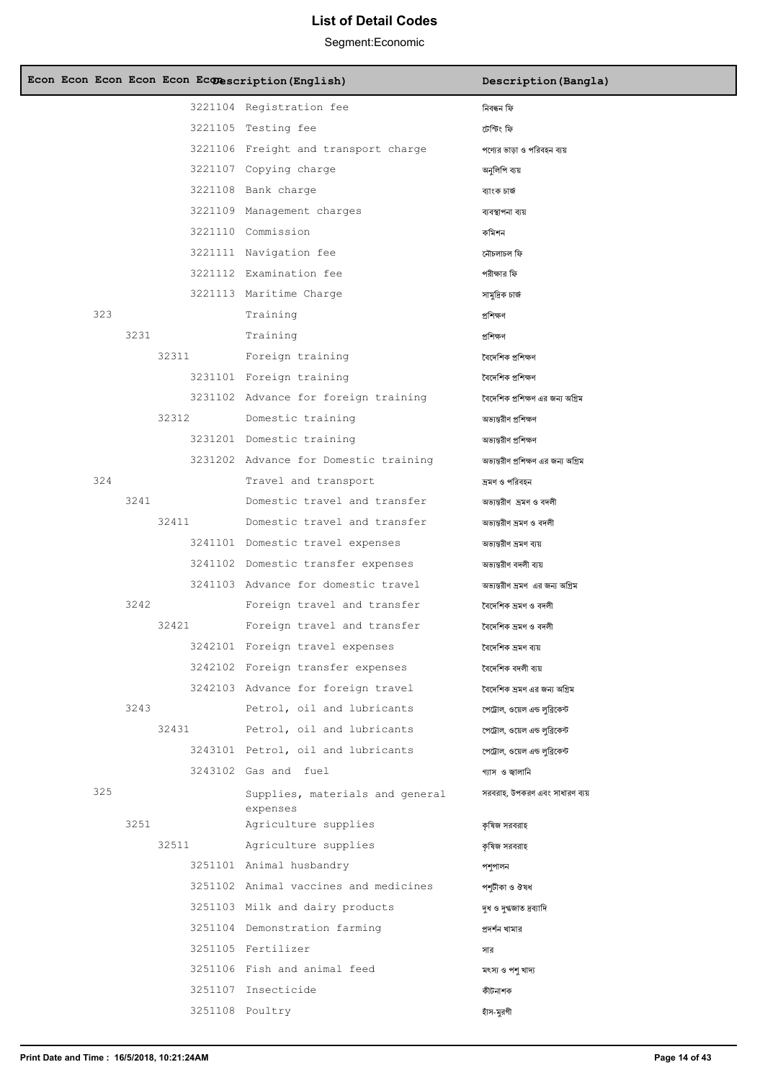| Econ Econ Econ Econ Econ Econescription (English) |                                             | Description (Bangla)                |
|---------------------------------------------------|---------------------------------------------|-------------------------------------|
|                                                   | 3221104 Registration fee                    | নিবন্ধন ফি                          |
|                                                   | 3221105 Testing fee                         | টেস্টিং ফি                          |
|                                                   | 3221106 Freight and transport charge        | পণ্যের ভাড়া ও পরিবহন ব্যয়         |
|                                                   | 3221107 Copying charge                      | অনুলিপি ব্যয়                       |
|                                                   | 3221108 Bank charge                         | ব্যাংক চাৰ্জ                        |
|                                                   | 3221109 Management charges                  | ব্যবস্থাপনা ব্যয়                   |
|                                                   | 3221110 Commission                          | কমিশন                               |
|                                                   | 3221111 Navigation fee                      | নৌচলাচল ফি                          |
|                                                   | 3221112 Examination fee                     | পরীক্ষার ফি                         |
|                                                   | 3221113 Maritime Charge                     | সামুদ্রিক চার্জ                     |
| 323                                               | Training                                    | প্ৰশিক্ষণ                           |
| 3231                                              | Training                                    | প্ৰশিক্ষণ                           |
| 32311                                             | Foreign training                            | বৈদেশিক প্ৰশিক্ষণ                   |
|                                                   | 3231101 Foreign training                    | বৈদেশিক প্ৰশিক্ষণ                   |
|                                                   | 3231102 Advance for foreign training        | বৈদেশিক প্রশিক্ষণ এর জন্য অগ্রিম    |
| 32312                                             | Domestic training                           | অভ্যন্তরীণ প্রশিক্ষণ                |
|                                                   | 3231201 Domestic training                   | অভ্যন্তরীণ প্রশিক্ষণ                |
|                                                   | 3231202 Advance for Domestic training       | অভ্যন্তরীণ প্রশিক্ষণ এর জন্য অগ্রিম |
| 324                                               | Travel and transport                        | ভ্ৰমণ ও পরিবহন                      |
| 3241                                              | Domestic travel and transfer                | অভান্তরীণ ভ্রমণ ও বদলী              |
| 32411                                             | Domestic travel and transfer                | অভ্যন্তরীণ ভ্রমণ ও বদলী             |
|                                                   | 3241101 Domestic travel expenses            | অভ্যন্তরীণ ভ্রমণ ব্যয়              |
|                                                   | 3241102 Domestic transfer expenses          | অভ্যন্তরীণ বদলী ব্যয়               |
|                                                   | 3241103 Advance for domestic travel         | অভ্যন্তরীণ ভ্রমণ এর জন্য অগ্রিম     |
| 3242                                              | Foreign travel and transfer                 | বৈদেশিক ভ্ৰমণ ও বদলী                |
| 32421                                             | Foreign travel and transfer                 | বৈদেশিক ভ্ৰমণ ও বদলী                |
|                                                   | 3242101 Foreign travel expenses             | বৈদেশিক ভ্ৰমণ ব্যয়                 |
|                                                   | 3242102 Foreign transfer expenses           | বৈদেশিক বদলী ব্যয়                  |
|                                                   | 3242103 Advance for foreign travel          | বৈদেশিক ভ্ৰমণ এর জন্য অগ্রিম        |
| 3243                                              | Petrol, oil and lubricants                  | পেট্রাল, ওয়েল এন্ড লুব্রিকেন্ট     |
| 32431                                             | Petrol, oil and lubricants                  | পেট্রাল, ওয়েল এন্ড লুব্রিকেন্ট     |
|                                                   | 3243101 Petrol, oil and lubricants          | পেট্রোল, ওয়েল এন্ড লব্রিকেন্ট      |
|                                                   | 3243102 Gas and fuel                        | গ্যাস ও জ্বালানি                    |
| 325                                               | Supplies, materials and general<br>expenses | সরবরাহ, উপকরণ এবং সাধারণ ব্যয়      |
| 3251                                              | Agriculture supplies                        | কৃষিজ সরবরাহ                        |
| 32511                                             | Agriculture supplies                        | কৃষিজ সরবরাহ                        |
|                                                   | 3251101 Animal husbandry                    | পশুপালন                             |
|                                                   | 3251102 Animal vaccines and medicines       | পশূটীকা ও ঔষধ                       |
|                                                   | 3251103 Milk and dairy products             | দুধ ও দুগ্ধজাত দ্রব্যাদি            |
|                                                   | 3251104 Demonstration farming               | প্ৰদৰ্শন খামার                      |
|                                                   | 3251105 Fertilizer                          | সাব                                 |
|                                                   | 3251106 Fish and animal feed                | মৎস্য ও পশু খাদ্য                   |
|                                                   | 3251107 Insecticide                         | কীটনাশক                             |
|                                                   | 3251108 Poultry                             | হাঁস-মুরগী                          |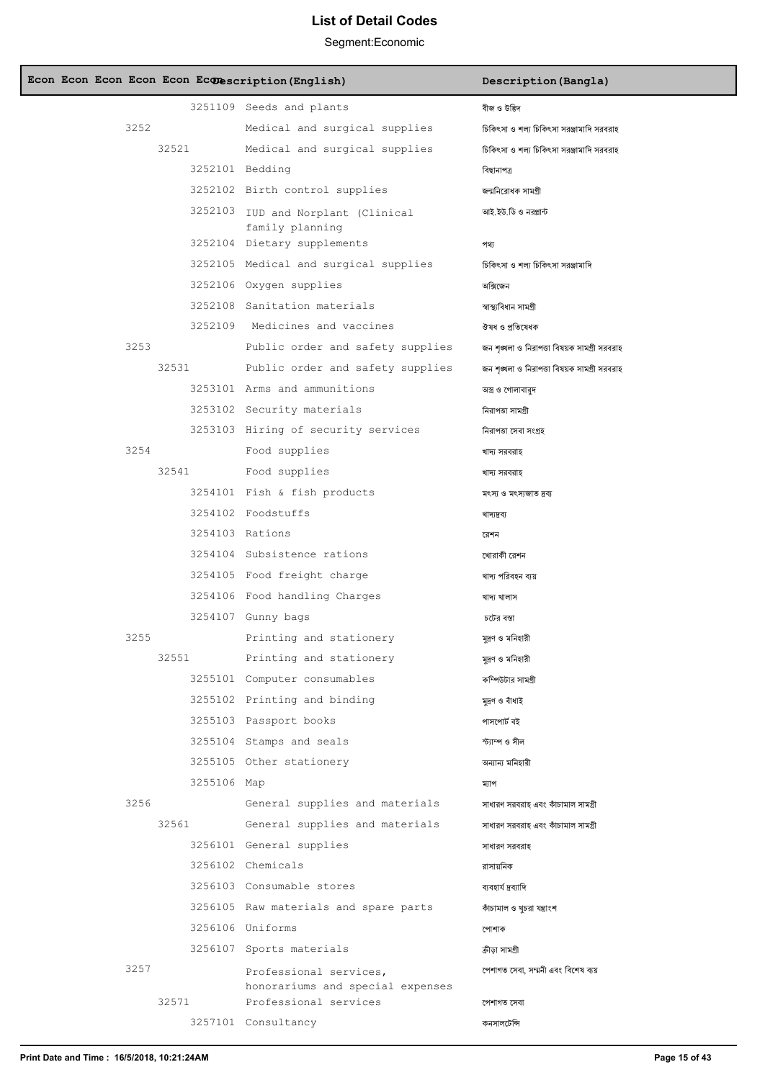| Econ Econ Econ Econ Econ Econescription (English) |                                                            | Description (Bangla)                         |
|---------------------------------------------------|------------------------------------------------------------|----------------------------------------------|
|                                                   | 3251109 Seeds and plants                                   | বীজ ও উদ্ভিদ                                 |
| 3252                                              | Medical and surgical supplies                              | চিকিৎসা ও শল্য চিকিৎসা সরঞ্জামাদি সরবরাহ     |
| 32521                                             | Medical and surgical supplies                              | চিকিৎসা ও শল্য চিকিৎসা সরঞ্জামাদি সরবরাহ     |
|                                                   | 3252101 Bedding                                            | বিছানাপত্ৰ                                   |
|                                                   | 3252102 Birth control supplies                             | জন্মনিরোধক সামগ্রী                           |
|                                                   | 3252103 IUD and Norplant (Clinical                         | আই ইউ ডি ও নরপ্লান্ট                         |
|                                                   | family planning<br>3252104 Dietary supplements             | পথ্য                                         |
|                                                   | 3252105 Medical and surgical supplies                      | চিকিৎসা ও শল্য চিকিৎসা সরঞ্জামাদি            |
|                                                   | 3252106 Oxygen supplies                                    | অক্সিজেন                                     |
|                                                   | 3252108 Sanitation materials                               | স্বাস্থ্যবিধান সামগ্ৰী                       |
|                                                   | 3252109 Medicines and vaccines                             | ঔষধ ও প্ৰতিষেধক                              |
| 3253                                              | Public order and safety supplies                           | জন শৃঙ্খলা ও নিরাপত্তা বিষয়ক সামগ্রী সরবরাহ |
| 32531                                             | Public order and safety supplies                           | জন শৃঙ্খলা ও নিরাপতা বিষয়ক সামগ্রী সরবরাহ   |
|                                                   | 3253101 Arms and ammunitions                               | অস্ত্র ও গোলাবারুদ                           |
|                                                   | 3253102 Security materials                                 | নিরাপত্তা সামগ্রী                            |
|                                                   | 3253103 Hiring of security services                        | নিরাপতা সেবা সংগ্রহ                          |
| 3254                                              | Food supplies                                              | খাদ্য সরবরাহ                                 |
| 32541                                             | Food supplies                                              | খাদ্য সরবরাহ                                 |
|                                                   | 3254101 Fish & fish products                               | মৎস্য ও মৎস্যজাত দ্রব্য                      |
|                                                   | 3254102 Foodstuffs                                         | খাদ্যদ্ৰব্য                                  |
|                                                   | 3254103 Rations                                            | রেশন                                         |
|                                                   | 3254104 Subsistence rations                                | খোরাকী রেশন                                  |
|                                                   | 3254105 Food freight charge                                | খাদ্য পরিবহন ব্যয়                           |
|                                                   | 3254106 Food handling Charges                              | খাদ্য খালাস                                  |
|                                                   | 3254107 Gunny bags                                         | চটের বস্তা                                   |
| 3255                                              | Printing and stationery                                    | মুদ্রণ ও মনিহারী                             |
| 32551                                             | Printing and stationery                                    | মদ্রণ ও মনিহারী                              |
|                                                   | 3255101 Computer consumables                               | কম্পিউটার সামগ্রী                            |
|                                                   | 3255102 Printing and binding                               | মূদ্রণ ও বাঁধাই                              |
|                                                   | 3255103 Passport books                                     | পাসপোর্ট বই                                  |
|                                                   | 3255104 Stamps and seals                                   | স্ট্যাম্প ও সীল                              |
|                                                   | 3255105 Other stationery                                   | অন্যান্য মনিহারী                             |
| 3255106 Map                                       |                                                            | ম্যাপ                                        |
| 3256                                              | General supplies and materials                             | সাধারণ সরবরাহ এবং কাঁচামাল সামগ্রী           |
| 32561                                             | General supplies and materials                             | সাধারণ সরবরাহ এবং কাঁচামাল সামগ্রী           |
|                                                   | 3256101 General supplies                                   | সাধারণ সরবরাহ                                |
|                                                   | 3256102 Chemicals                                          | রাসায়নিক                                    |
|                                                   | 3256103 Consumable stores                                  | ব্যবহাৰ্য দ্ৰব্যাদি                          |
|                                                   | 3256105 Raw materials and spare parts                      | কাঁচামাল ও খুচরা যন্ত্রাংশ                   |
|                                                   | 3256106 Uniforms                                           | পোশাক                                        |
|                                                   | 3256107 Sports materials                                   | ক্রীড়া সামগ্রী                              |
| 3257                                              | Professional services,<br>honorariums and special expenses | পেশাগত সেবা, সম্মনী এবং বিশেষ ব্যয়          |
| 32571                                             | Professional services                                      | পেশাগত সেবা                                  |
|                                                   | 3257101 Consultancy                                        | কনসালটেন্সি                                  |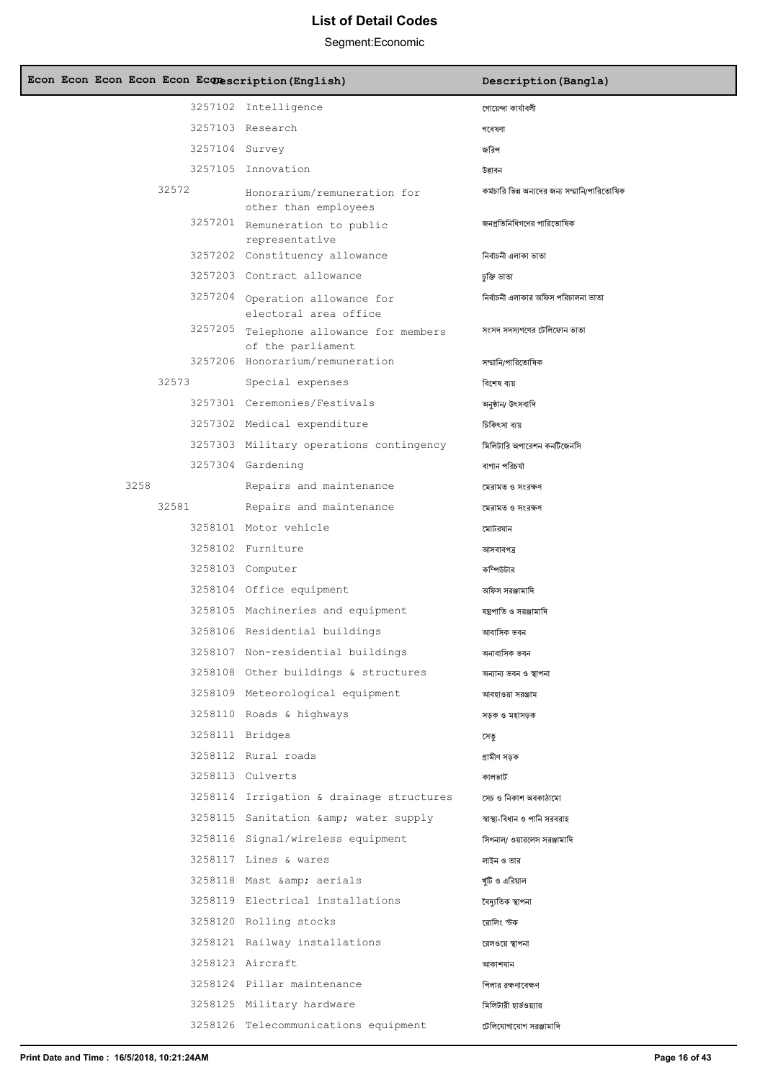| Econ Econ Econ Econ Econ Econescription (English) |                                                              | Description (Bangla)                          |
|---------------------------------------------------|--------------------------------------------------------------|-----------------------------------------------|
|                                                   | 3257102 Intelligence                                         | গোয়েন্দা কাৰ্যাবলী                           |
|                                                   | 3257103 Research                                             | গবেষণা                                        |
| 3257104 Survey                                    |                                                              | জরিপ                                          |
|                                                   | 3257105 Innovation                                           | উদ্ভাবন                                       |
| 32572                                             | Honorarium/remuneration for<br>other than employees          | কর্মচারি ভিন্ন অন্যদের জন্য সম্মানি/পারিতোষিক |
|                                                   | 3257201 Remuneration to public                               | জনপ্রতিনিধিগণের পারিতোষিক                     |
|                                                   | representative<br>3257202 Constituency allowance             |                                               |
|                                                   | 3257203 Contract allowance                                   | নিৰ্বাচনী এলাকা ভাতা                          |
|                                                   |                                                              | চুক্তি ভাতা                                   |
|                                                   | 3257204 Operation allowance for<br>electoral area office     | নিৰ্বাচনী এলাকার অফিস পরিচালনা ভাতা           |
|                                                   | 3257205 Telephone allowance for members<br>of the parliament | সংসদ সদস্যগণের টেলিফোন ভাতা                   |
|                                                   | 3257206 Honorarium/remuneration                              | সম্মানি/পারিতোষিক                             |
| 32573                                             | Special expenses                                             | বিশেষ ব্যয়                                   |
|                                                   | 3257301 Ceremonies/Festivals                                 | অনুষ্ঠান/ উৎসবাদি                             |
|                                                   | 3257302 Medical expenditure                                  | চিকিৎসা ব্যয়                                 |
|                                                   | 3257303 Military operations contingency                      | মিলিটারি অপারেশন কনটিজেনসি                    |
|                                                   | 3257304 Gardening                                            | বাগান পরিচর্যা                                |
| 3258                                              | Repairs and maintenance                                      | মেরামত ও সংরক্ষণ                              |
| 32581                                             | Repairs and maintenance                                      | মেরামত ও সংরক্ষণ                              |
|                                                   | 3258101 Motor vehicle                                        | মোটরযান                                       |
|                                                   | 3258102 Furniture                                            | আসবাবপত্ৰ                                     |
|                                                   | 3258103 Computer                                             | কম্পিউটার                                     |
|                                                   | 3258104 Office equipment                                     | অফিস সরঞ্জামাদি                               |
|                                                   | 3258105 Machineries and equipment                            | যন্ত্রপাতি ও সরঞ্জামাদি                       |
|                                                   | 3258106 Residential buildings                                | আবাসিক ভবন                                    |
|                                                   | 3258107 Non-residential buildings                            | অনাবাসিক ভবন                                  |
|                                                   | 3258108 Other buildings & structures                         | অন্যান্য ভবন ও স্থাপনা                        |
|                                                   | 3258109 Meteorological equipment                             | আবহাওয়া সরঞ্জাম                              |
|                                                   | 3258110 Roads & highways                                     | সড়ক ও মহাসড়ক                                |
|                                                   | 3258111 Bridges                                              | সেতু                                          |
|                                                   | 3258112 Rural roads                                          | গ্ৰামীণ সড়ক                                  |
|                                                   | 3258113 Culverts                                             | কালভার্ট                                      |
|                                                   | 3258114 Irrigation & drainage structures                     | সেচ ও নিকাশ অবকাঠামো                          |
|                                                   | 3258115 Sanitation & water supply                            | স্বাস্থ্য-বিধান ও পানি সরবরাহ                 |
|                                                   | 3258116 Signal/wireless equipment                            | সিগনাল/ ওয়ারলেস সরঞ্জামাদি                   |
|                                                   | 3258117 Lines & wares                                        | লাইন ও তার                                    |
|                                                   | 3258118 Mast & aerials                                       | খ্যটি ও এরিয়াল                               |
|                                                   | 3258119 Electrical installations                             | বৈদ্যুতিক স্থাপনা                             |
|                                                   | 3258120 Rolling stocks                                       | রোলিং স্টক                                    |
|                                                   | 3258121 Railway installations                                |                                               |
|                                                   | 3258123 Aircraft                                             | রেলওয়ে স্থাপনা                               |
|                                                   |                                                              | আকাশযান                                       |
|                                                   | 3258124 Pillar maintenance                                   | পিলার রক্ষণাবেক্ষণ                            |
|                                                   | 3258125 Military hardware                                    | মিলিটারী হার্ডওয়্যার                         |
|                                                   | 3258126 Telecommunications equipment                         | টেলিযোগাযোগ সরঞ্জামাদি                        |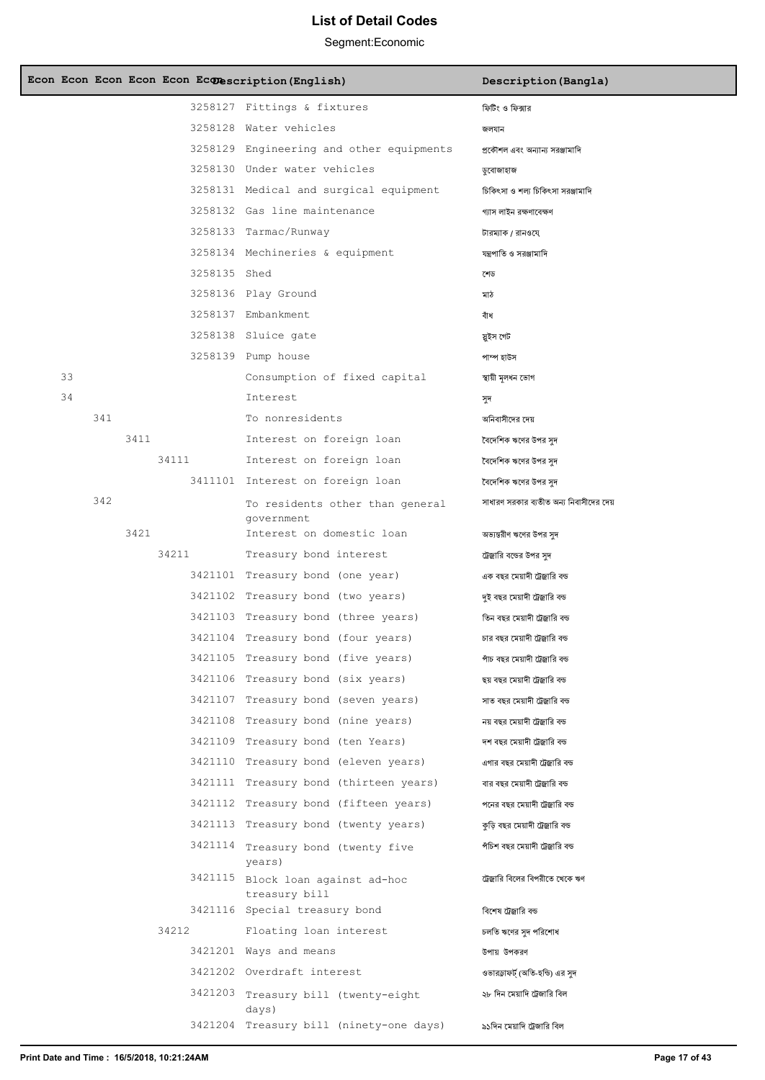|    |     |      |       |              | Econ Econ Econ Econ Econ Econescription (English)  | Description (Bangla)                    |
|----|-----|------|-------|--------------|----------------------------------------------------|-----------------------------------------|
|    |     |      |       |              | 3258127 Fittings & fixtures                        | ফিটিং ও ফিক্সার                         |
|    |     |      |       |              | 3258128 Water vehicles                             | জলযান                                   |
|    |     |      |       |              | 3258129 Engineering and other equipments           | প্রকৌশল এবং অন্যান্য সরঞ্জামাদি         |
|    |     |      |       |              | 3258130 Under water vehicles                       | ডুবোজাহাজ                               |
|    |     |      |       |              | 3258131 Medical and surgical equipment             | চিকিৎসা ও শল্য চিকিৎসা সরঞ্জামাদি       |
|    |     |      |       |              | 3258132 Gas line maintenance                       | গ্যাস লাইন রক্ষণাবেক্ষণ                 |
|    |     |      |       |              | 3258133 Tarmac/Runway                              | টারম্যাক / রানওযে                       |
|    |     |      |       |              | 3258134 Mechineries & equipment                    | যন্ত্রপাতি ও সরঞ্জামাদি                 |
|    |     |      |       | 3258135 Shed |                                                    | শেড                                     |
|    |     |      |       |              | 3258136 Play Ground                                | মাঠ                                     |
|    |     |      |       |              | 3258137 Embankment                                 | বাঁধ                                    |
|    |     |      |       |              | 3258138 Sluice gate                                | স্ত্ৰইস গেট                             |
|    |     |      |       |              | 3258139 Pump house                                 | পাম্প হাউস                              |
| 33 |     |      |       |              | Consumption of fixed capital                       | স্থায়ী মূলধন ভোগ                       |
| 34 |     |      |       |              | Interest                                           | সুদ                                     |
|    | 341 |      |       |              | To nonresidents                                    | অনিবাসীদের দেয়                         |
|    |     | 3411 |       |              | Interest on foreign loan                           | বৈদেশিক ঋণের উপর সুদ                    |
|    |     |      | 34111 |              | Interest on foreign loan                           | বৈদেশিক ঋণের উপর সদ                     |
|    |     |      |       |              | 3411101 Interest on foreign loan                   | বৈদেশিক ঋণের উপর সদ                     |
|    | 342 |      |       |              | To residents other than general<br>qovernment      | সাধারণ সরকার ব্যতীত অন্য নিবাসীদের দেয় |
|    |     | 3421 |       |              | Interest on domestic loan                          | অভ্যন্তরীণ ঋণের উপর সুদ                 |
|    |     |      | 34211 |              | Treasury bond interest                             | ট্রেজ্রারি বন্ডের উপর সুদ               |
|    |     |      |       |              | 3421101 Treasury bond (one year)                   | এক বছর মেয়াদী ট্রেজ্বারি বন্ড          |
|    |     |      |       |              | 3421102 Treasury bond (two years)                  | দুই বছর মেয়াদী ট্রেজ্রারি বন্ড         |
|    |     |      |       |              | 3421103 Treasury bond (three years)                | তিন বছর মেয়াদী ট্রেজ্বারি বন্ড         |
|    |     |      |       |              | 3421104 Treasury bond (four years)                 | চার বছর মেয়াদী ট্রেজ্বারি বন্ড         |
|    |     |      |       |              | 3421105 Treasury bond (five years)                 | পাঁচ বছর মেয়াদী ট্রেজ্বারি বন্ড        |
|    |     |      |       |              | 3421106 Treasury bond (six years)                  | ছয় বছর মেয়াদী ট্রেজ্বারি বন্ড         |
|    |     |      |       |              | 3421107 Treasury bond (seven years)                | সাত বছর মেয়াদী ট্রেজ্বারি বন্ড         |
|    |     |      |       |              | 3421108 Treasury bond (nine years)                 | নয় বছর মেয়াদী ট্রেজ্বারি বন্ড         |
|    |     |      |       |              | 3421109 Treasury bond (ten Years)                  | দশ বছর মেয়াদী ট্রেজ্বারি বন্ড          |
|    |     |      |       |              | 3421110 Treasury bond (eleven years)               | এগার বছর মেয়াদী ট্রেজ্বারি বন্ড        |
|    |     |      |       |              | 3421111 Treasury bond (thirteen years)             | বার বছর মেয়াদী ট্রেজ্বারি বন্ড         |
|    |     |      |       |              | 3421112 Treasury bond (fifteen years)              | পনের বছর মেয়াদী ট্রেজ্বারি বন্ড        |
|    |     |      |       |              | 3421113 Treasury bond (twenty years)               | কুড়ি বছর মেয়াদী ট্রেজ্বারি বন্ড       |
|    |     |      |       |              | 3421114 Treasury bond (twenty five<br>years)       | পঁচিশ বছর মেয়াদী ট্রেজ্বারি বন্ড       |
|    |     |      |       |              | 3421115 Block loan against ad-hoc<br>treasury bill | ট্রেজ্বারি বিলের বিপরীতে খেকে ঋণ        |
|    |     |      |       |              | 3421116 Special treasury bond                      | বিশেষ ট্রেজ্বারি বন্ড                   |
|    |     |      | 34212 |              | Floating loan interest                             | চলতি ঋণের সৃদ পরিশোধ                    |
|    |     |      |       |              | 3421201 Ways and means                             | উপায় উপকরণ                             |
|    |     |      |       |              | 3421202 Overdraft interest                         | ওভারড্রাফর্ট (অতি-হন্ডি) এর সদ          |
|    |     |      |       |              | 3421203 Treasury bill (twenty-eight<br>days)       | ২৮ দিন মেয়াদি ট্রেজারি বিল             |
|    |     |      |       |              | 3421204 Treasury bill (ninety-one days)            | ৯১দিন মেয়াদি ট্রেজারি বিল              |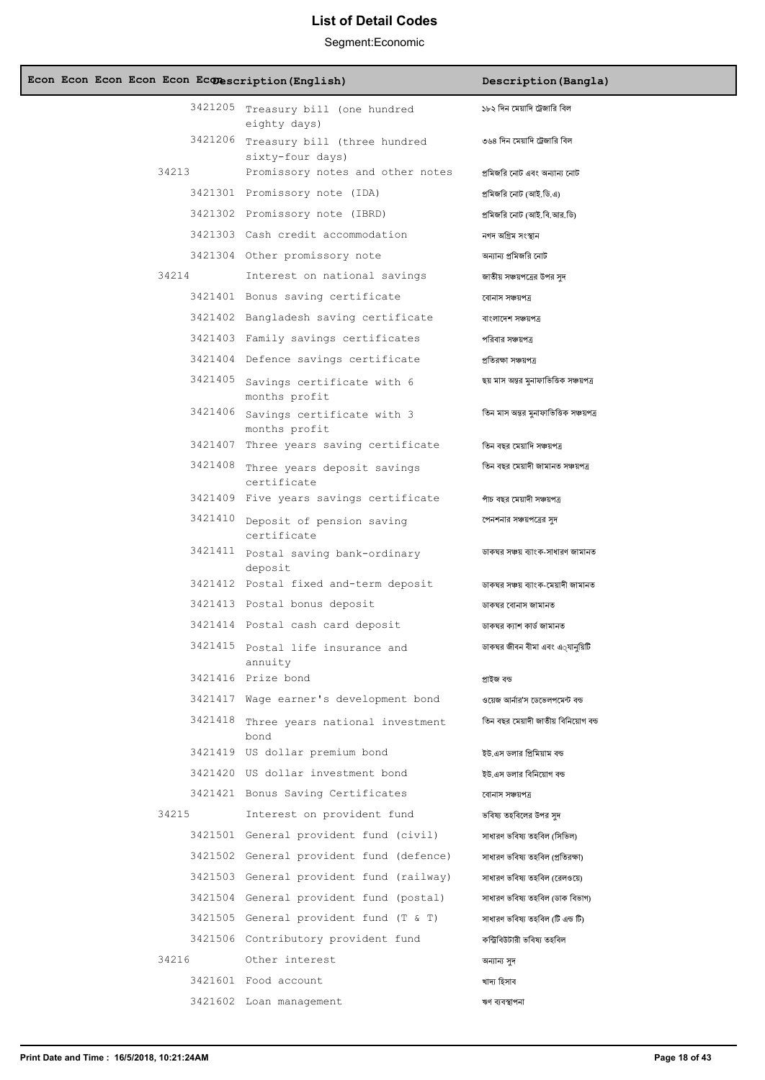| Econ Econ Econ Econ Econ Econescription (English) |                                                          | Description (Bangla)                   |
|---------------------------------------------------|----------------------------------------------------------|----------------------------------------|
|                                                   | 3421205 Treasury bill (one hundred<br>eighty days)       | ১৮২ দিন মেয়াদি ট্রেজারি বিল           |
|                                                   | 3421206 Treasury bill (three hundred<br>sixty-four days) | ৩৬৪ দিন মেয়াদি ট্রেজারি বিল           |
| 34213                                             | Promissory notes and other notes                         | প্রমিজরি নোট এবং অন্যান্য নোট          |
|                                                   | 3421301 Promissory note (IDA)                            | প্রমিজরি নোট (আই.ডি.এ)                 |
|                                                   | 3421302 Promissory note (IBRD)                           | প্রমিজরি নোট (আই.বি.আর.ডি)             |
|                                                   | 3421303 Cash credit accommodation                        | নগদ অগ্ৰিম সংস্থান                     |
|                                                   | 3421304 Other promissory note                            | অন্যান্য প্রমিজরি নোট                  |
| 34214                                             | Interest on national savings                             | জাতীয় সঞ্চয়পত্রের উপর সৃদ            |
|                                                   | 3421401 Bonus saving certificate                         | বোনাস সঞ্চয়পত্ৰ                       |
|                                                   | 3421402 Bangladesh saving certificate                    | বাংলাদেশ সঞ্চয়পত্ৰ                    |
|                                                   | 3421403 Family savings certificates                      | পরিবার সঞ্চয়পত্র                      |
|                                                   | 3421404 Defence savings certificate                      | প্ৰতিবক্ষা সঞ্চয়পত্ৰ                  |
|                                                   | 3421405 Savings certificate with 6<br>months profit      | ছয় মাস অন্তর মুনাফাভিত্তিক সঞ্চয়পত্র |
|                                                   | 3421406 Savings certificate with 3<br>months profit      | তিন মাস অন্তর মুনাফাভিত্তিক সঞ্চয়পত্র |
|                                                   | 3421407 Three years saving certificate                   | তিন বছর মেয়াদি সঞ্চয়পত্র             |
|                                                   | 3421408 Three years deposit savings<br>certificate       | তিন বছর মেয়াদী জামানত সঞ্চয়পত্র      |
|                                                   | 3421409 Five years savings certificate                   | পাঁচ বছর মেয়াদী সঞ্চয়পত্র            |
|                                                   | 3421410 Deposit of pension saving<br>certificate         | পেনশনার সঞ্চয়পত্রের সুদ               |
|                                                   | 3421411 Postal saving bank-ordinary<br>deposit           | ডাকঘর সঞ্চয় ব্যাংক-সাধারণ জামানত      |
|                                                   | 3421412 Postal fixed and-term deposit                    | ডাকঘর সঞ্চয় ব্যাংক-মেয়াদী জামানত     |
|                                                   | 3421413 Postal bonus deposit                             | ডাকঘর বোনাস জামানত                     |
|                                                   | 3421414 Postal cash card deposit                         | ডাকঘর কাাশ কার্ড জামানত                |
| 3421415                                           | Postal life insurance and<br>annuity                     | ডাকঘর জীবন বীমা এবং এ্যানুয়িটি        |
|                                                   | 3421416 Prize bond                                       | প্ৰাইজ বন্ড                            |
|                                                   | 3421417 Wage earner's development bond                   | ওয়েজ আর্নার'স ডেভেলপমেন্ট বন্ড        |
|                                                   | 3421418 Three years national investment<br>bond          | তিন বছর মেয়াদী জাতীয় বিনিয়োগ বন্ড   |
|                                                   | 3421419 US dollar premium bond                           | ইউ.এস ডলার প্রিমিয়াম বন্ড             |
|                                                   | 3421420 US dollar investment bond                        | ইউ.এস ডলার বিনিয়োগ বন্ড               |
|                                                   | 3421421 Bonus Saving Certificates                        | বোনাস সঞ্চয়পত্ৰ                       |
| 34215                                             | Interest on provident fund                               | ভবিষ্য তহবিলের উপর সৃদ                 |
|                                                   | 3421501 General provident fund (civil)                   | সাধারণ ভবিষ্য তহবিল (সিভিল)            |
|                                                   | 3421502 General provident fund (defence)                 | সাধারণ ভবিষ্য তহবিল (প্রতিরক্ষা)       |
|                                                   | 3421503 General provident fund (railway)                 | সাধারণ ভবিষ্য তহবিল (রেলওয়ে)          |
|                                                   | 3421504 General provident fund (postal)                  | সাধারণ ভবিষ্য তহবিল (ডাক বিভাগ)        |
|                                                   | 3421505 General provident fund (T & T)                   | সাধারণ ভবিষ্য তহবিল (টি এন্ড টি)       |
|                                                   | 3421506 Contributory provident fund                      | কন্ট্ৰিবিউটারী ভবিষ্য তহবিল            |
| 34216                                             | Other interest                                           | অন্যান্য সুদ                           |
|                                                   | 3421601 Food account                                     | খাদ্য হিসাব                            |
|                                                   | 3421602 Loan management                                  | ঋণ ব্যবস্থাপনা                         |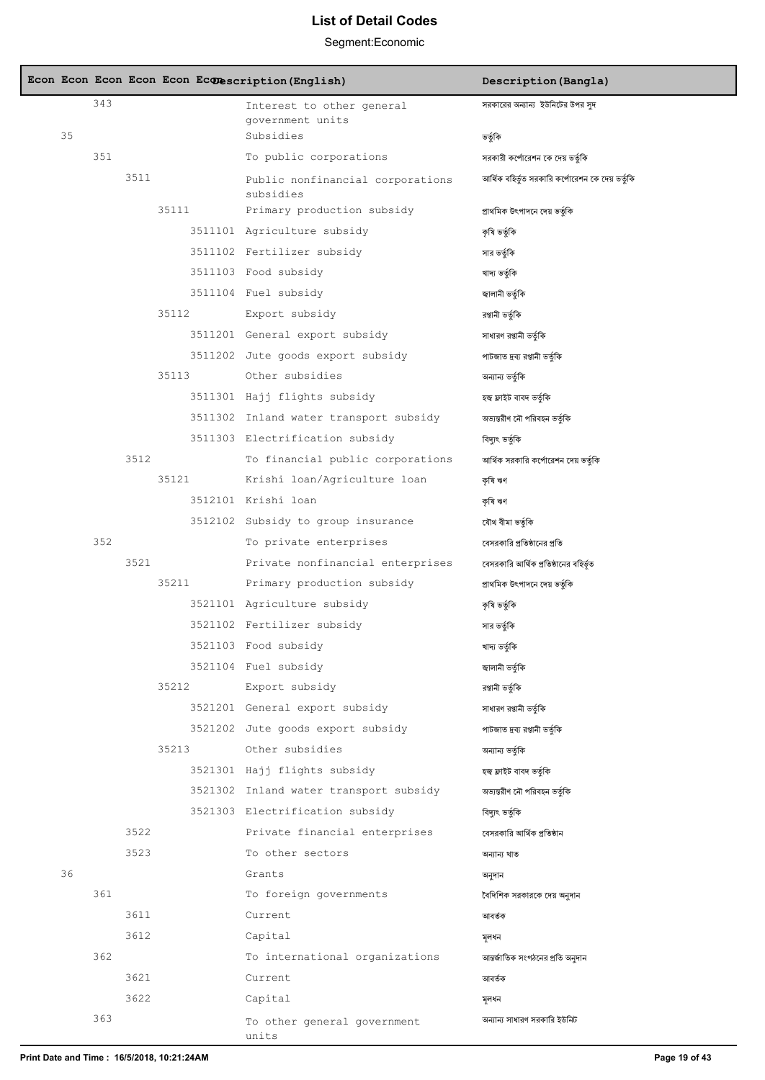|    |     |      |       | Econ Econ Econ Econ Econ Econescription (English)              | Description (Bangla)                             |
|----|-----|------|-------|----------------------------------------------------------------|--------------------------------------------------|
|    | 343 |      |       | Interest to other general                                      | সরকারের অন্যান্য ইউনিটের উপর সুদ                 |
| 35 |     |      |       | government units<br>Subsidies                                  | ভর্তুকি                                          |
|    | 351 |      |       | To public corporations                                         | সরকারী কর্পোরেশন কে দেয় ভর্তুকি                 |
|    |     | 3511 |       | Public nonfinancial corporations                               | আর্থিক বহির্ভূত সরকারি কর্পোরেশন কে দেয় ভর্তুকি |
|    |     |      |       | subsidies                                                      |                                                  |
|    |     |      | 35111 | Primary production subsidy                                     | প্ৰাথমিক উৎপাদনে দেয় ভৰ্তৃকি                    |
|    |     |      |       | 3511101 Agriculture subsidy                                    | কৃষি ভৰ্তুকি                                     |
|    |     |      |       | 3511102 Fertilizer subsidy                                     | সার ভর্তৃকি                                      |
|    |     |      |       | 3511103 Food subsidy                                           | খাদ্য ভৰ্তৃকি                                    |
|    |     |      |       | 3511104 Fuel subsidy                                           | জ্বালানী ভর্তুকি                                 |
|    |     |      | 35112 | Export subsidy                                                 | রপ্তানী ভর্তৃকি                                  |
|    |     |      |       | 3511201 General export subsidy                                 | সাধারণ রপ্তানী ভর্তৃকি                           |
|    |     |      |       | 3511202 Jute goods export subsidy                              | পাটজাত দ্রব্য রপ্তানী ভর্তুকি                    |
|    |     |      | 35113 | Other subsidies                                                | অন্যান্য ভর্তৃকি                                 |
|    |     |      |       | 3511301 Hajj flights subsidy                                   | হজ্ব ফ্লাইট বাবদ ভৰ্তৃকি                         |
|    |     |      |       | 3511302 Inland water transport subsidy                         | অভ্যন্তরীণ নৌ পরিবহন ভর্তুকি                     |
|    |     |      |       | 3511303 Electrification subsidy                                | বিদ্যৎ ভৰ্তৃকি                                   |
|    |     | 3512 |       | To financial public corporations                               | আর্থিক সরকারি কর্পোরেশন দেয় ভর্তুকি             |
|    |     |      | 35121 | Krishi loan/Agriculture loan                                   | কৃষি ঋণ                                          |
|    |     |      |       | 3512101 Krishi loan                                            | কৃষি ঋণ                                          |
|    | 352 |      |       | 3512102 Subsidy to group insurance                             | যৌথ বীমা ভৰ্তুকি                                 |
|    |     | 3521 |       | To private enterprises                                         | বেসরকারি প্রতিষ্ঠানের প্রতি                      |
|    |     |      | 35211 | Private nonfinancial enterprises<br>Primary production subsidy | বেসরকারি আর্থিক প্রতিষ্ঠানের বহির্ভ়ত            |
|    |     |      |       | 3521101 Agriculture subsidy                                    | প্ৰাথমিক উৎপাদনে দেয় ভৰ্তৃকি                    |
|    |     |      |       | 3521102 Fertilizer subsidy                                     | কৃষি ভৰ্তুকি                                     |
|    |     |      |       | 3521103 Food subsidy                                           | সার ভর্তুকি                                      |
|    |     |      |       | 3521104 Fuel subsidy                                           | খাদ্য ভৰ্তুকি<br>জ্বালানী ভৰ্তৃকি                |
|    |     |      | 35212 | Export subsidy                                                 | রপ্তানী ভর্তুকি                                  |
|    |     |      |       | 3521201 General export subsidy                                 | সাধারণ রপ্তানী ভর্তৃকি                           |
|    |     |      |       | 3521202 Jute goods export subsidy                              | পাটজাত দ্রব্য রপ্তানী ভর্তৃকি                    |
|    |     |      | 35213 | Other subsidies                                                | অন্যান্য ভর্তুকি                                 |
|    |     |      |       | 3521301 Hajj flights subsidy                                   | হজ্ব ফ্লাইট বাবদ ভৰ্তৃকি                         |
|    |     |      |       | 3521302 Inland water transport subsidy                         | অভ্যন্তরীণ নৌ পরিবহন ভর্তৃকি                     |
|    |     |      |       | 3521303 Electrification subsidy                                | বিদ্যুৎ ভৰ্তুকি                                  |
|    |     | 3522 |       | Private financial enterprises                                  | বেসরকারি আর্থিক প্রতিষ্ঠান                       |
|    |     | 3523 |       | To other sectors                                               | অন্যান্য খাত                                     |
| 36 |     |      |       | Grants                                                         | অনুদান                                           |
|    | 361 |      |       | To foreign governments                                         | বৈদিশিক সরকারকে দেয় অনুদান                      |
|    |     | 3611 |       | Current                                                        | আবৰ্তক                                           |
|    |     | 3612 |       | Capital                                                        | সলধন                                             |
|    | 362 |      |       | To international organizations                                 | আন্তর্জাতিক সংগঠনের প্রতি অনুদান                 |
|    |     | 3621 |       | Current                                                        | আবৰ্তক                                           |
|    |     | 3622 |       | Capital                                                        | মূলধন                                            |
|    | 363 |      |       | To other general government<br>units                           | অন্যান্য সাধারণ সরকারি ইউনিট                     |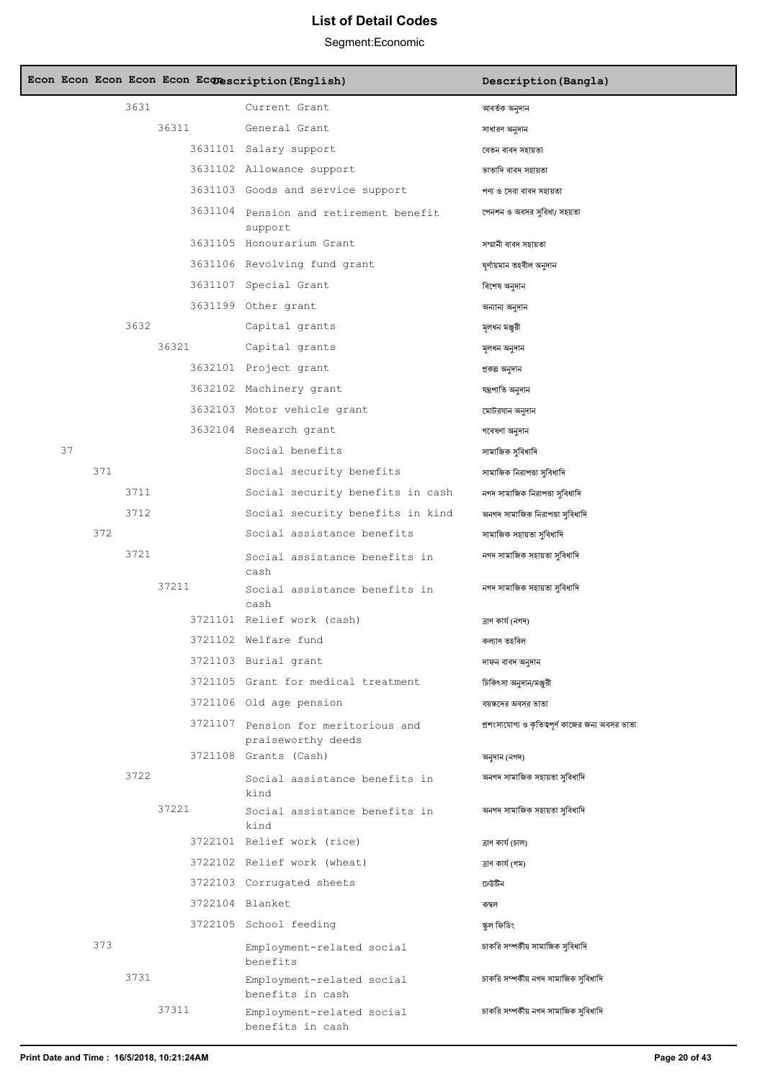|    |     |      |       |                 | Econ Econ Econ Econ Econ Econescription (English)         | Description (Bangla)                             |
|----|-----|------|-------|-----------------|-----------------------------------------------------------|--------------------------------------------------|
|    |     | 3631 |       |                 | Current Grant                                             | আবৰ্তক অনুদান                                    |
|    |     |      | 36311 |                 | General Grant                                             | সাধারণ অনুদান                                    |
|    |     |      |       |                 | 3631101 Salary support                                    | বেতন বাবদ সহায়তা                                |
|    |     |      |       |                 | 3631102 Allowance support                                 | ভাতাদি বাবদ সহায়তা                              |
|    |     |      |       |                 | 3631103 Goods and service support                         | পণ্য ও সেবা বাবদ সহায়তা                         |
|    |     |      |       |                 | 3631104 Pension and retirement benefit<br>support         | পেনশন ও অবসর সবিধা/ সহয়তা                       |
|    |     |      |       |                 | 3631105 Honourarium Grant                                 | সম্মানী বাবদ সহায়তা                             |
|    |     |      |       |                 | 3631106 Revolving fund grant                              | ঘূৰ্ণায়মান তহবীল অনুদান                         |
|    |     |      |       |                 | 3631107 Special Grant                                     | বিশেষ অনুদান                                     |
|    |     |      |       |                 | 3631199 Other grant                                       | অন্যান্য অনুদান                                  |
|    |     | 3632 |       |                 | Capital grants                                            | মলধন মঞ্জুরী                                     |
|    |     |      | 36321 |                 | Capital grants                                            | মূলধন অনুদান                                     |
|    |     |      |       |                 | 3632101 Project grant                                     | প্ৰকল্প অনুদান                                   |
|    |     |      |       |                 | 3632102 Machinery grant                                   | যন্ত্ৰপাতি অনুদান                                |
|    |     |      |       |                 | 3632103 Motor vehicle grant                               | মোটরযান অনুদান                                   |
|    |     |      |       |                 | 3632104 Research grant                                    | গবেষণা অনুদান                                    |
| 37 |     |      |       |                 | Social benefits                                           | সামাজিক সুবিধাদি                                 |
|    | 371 |      |       |                 | Social security benefits                                  | সামাজিক নিরাপত্তা সুবিধাদি                       |
|    |     | 3711 |       |                 | Social security benefits in cash                          | নগদ সামাজিক নিরাপত্তা সুবিধাদি                   |
|    |     | 3712 |       |                 | Social security benefits in kind                          | অনগদ সামাজিক নিরাপত্তা সুবিধাদি                  |
|    | 372 |      |       |                 | Social assistance benefits                                | সামাজিক সহায়তা সুবিধাদি                         |
|    |     | 3721 |       |                 | Social assistance benefits in<br>cash                     | নগদ সামাজিক সহায়তা সুবিধাদি                     |
|    |     |      | 37211 |                 | Social assistance benefits in<br>cash                     | নগদ সামাজিক সহায়তা সুবিধাদি                     |
|    |     |      |       |                 | 3721101 Relief work (cash)                                | ত্ৰাণ কাৰ্য (নগদ)                                |
|    |     |      |       |                 | 3721102 Welfare fund                                      | কল্যাণ তহবিল                                     |
|    |     |      |       |                 | 3721103 Burial grant                                      | দাফন বাবদ অনুদান                                 |
|    |     |      |       |                 | 3721105 Grant for medical treatment                       | চিকিৎসা অনুদান/মঞ্জুরী                           |
|    |     |      |       |                 | 3721106 Old age pension                                   | বয়স্কদের অবসর ভাতা                              |
|    |     |      |       |                 | 3721107 Pension for meritorious and<br>praiseworthy deeds | প্রশংসাযোগ্য ও কৃতিত্বপূর্ণ কাজের জন্য অবসর ভাতা |
|    |     |      |       |                 | 3721108 Grants (Cash)                                     | অনুদান (নগদ)                                     |
|    |     | 3722 |       |                 | Social assistance benefits in<br>kind                     | অনগদ সামাজিক সহায়তা সুবিধাদি                    |
|    |     |      | 37221 |                 | Social assistance benefits in<br>kind                     | অনগদ সামাজিক সহায়তা সুবিধাদি                    |
|    |     |      |       |                 | 3722101 Relief work (rice)                                | ত্ৰাণ কাৰ্য (চাল)                                |
|    |     |      |       |                 | 3722102 Relief work (wheat)                               | ত্ৰাণ কাৰ্য (গম)                                 |
|    |     |      |       |                 | 3722103 Corrugated sheets                                 | ঢেউটিন                                           |
|    |     |      |       | 3722104 Blanket |                                                           | কম্বল                                            |
|    |     |      |       |                 | 3722105 School feeding                                    | স্কুল ফিডিং                                      |
|    | 373 |      |       |                 | Employment-related social<br>benefits                     | চাকরি সম্পর্কীয় সামাজিক সুবিধাদি                |
|    |     | 3731 |       |                 | Employment-related social<br>benefits in cash             | চাকরি সম্পর্কীয় নগদ সামাজিক সুবিধাদি            |
|    |     |      | 37311 |                 | Employment-related social<br>benefits in cash             | চাকরি সম্পর্কীয় নগদ সামাজিক সুবিধাদি            |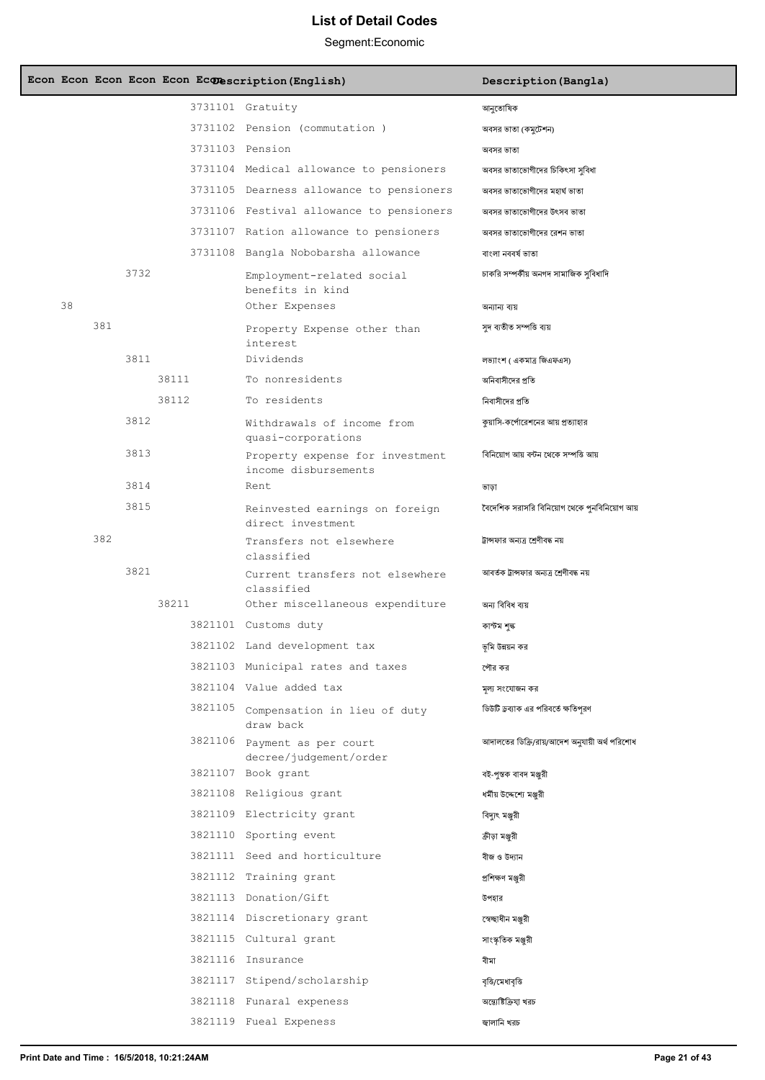|    |     |      |       | Econ Econ Econ Econ Econ Econescription (English)               | Description (Bangla)                                     |
|----|-----|------|-------|-----------------------------------------------------------------|----------------------------------------------------------|
|    |     |      |       | 3731101 Gratuity                                                | আনুতোষিক                                                 |
|    |     |      |       | 3731102 Pension (commutation)                                   | অবসর ভাতা (কমুটেশন)                                      |
|    |     |      |       | 3731103 Pension                                                 | অবসর ভাতা                                                |
|    |     |      |       | 3731104 Medical allowance to pensioners                         | অবসর ভাতাভোগীদের চিকিৎসা সুবিধা                          |
|    |     |      |       | 3731105 Dearness allowance to pensioners                        | অবসর ভাতাভোগীদের মহার্ঘ ভাতা                             |
|    |     |      |       | 3731106 Festival allowance to pensioners                        | অবসর ভাতাভোগীদের উৎসব ভাতা                               |
|    |     |      |       | 3731107 Ration allowance to pensioners                          | অবসর ভাতাভোগীদের রেশন ভাতা                               |
|    |     |      |       | 3731108 Bangla Nobobarsha allowance                             | বাংলা নববর্ষ ভাতা                                        |
| 38 |     | 3732 |       | Employment-related social<br>benefits in kind<br>Other Expenses | চাকরি সম্পর্কীয় অনগদ সামাজিক সুবিধাদি<br>অন্যান্য ব্যয় |
|    | 381 |      |       | Property Expense other than<br>interest                         | সুদ ব্যতীত সম্পত্তি ব্যয়                                |
|    |     | 3811 |       | Dividends                                                       | লভ্যাংশ ( একমাত্র জিএফএস)                                |
|    |     |      | 38111 | To nonresidents                                                 | অনিবাসীদের প্রতি                                         |
|    |     |      | 38112 | To residents                                                    | নিবাসীদের প্রতি                                          |
|    |     | 3812 |       | Withdrawals of income from<br>quasi-corporations                | কুয়াসি-কর্পোরেশনের আয় প্রত্যাহার                       |
|    |     | 3813 |       | Property expense for investment<br>income disbursements         | বিনিয়োগ আয় বন্টন থেকে সম্পত্তি আয়                     |
|    |     | 3814 |       | Rent                                                            | ভাড়া                                                    |
|    |     | 3815 |       | Reinvested earnings on foreign<br>direct investment             | বৈদেশিক সরাসরি বিনিয়োগ থেকে পুনবিনিয়োগ আয়             |
|    | 382 |      |       | Transfers not elsewhere<br>classified                           | ট্রান্সফার অন্যত্র শ্রেণীবদ্ধ নয়                        |
|    |     | 3821 |       | Current transfers not elsewhere<br>classified                   | আবর্তক ট্রান্সফার অন্যত্র শ্রেণীবদ্ধ নয়                 |
|    |     |      | 38211 | Other miscellaneous expenditure                                 | অন্য বিবিধ ব্যয়                                         |
|    |     |      |       | 3821101 Customs duty                                            | কাস্টম শৃঙ্ক                                             |
|    |     |      |       | 3821102 Land development tax                                    | ভূমি উন্নয়ন কর                                          |
|    |     |      |       | 3821103 Municipal rates and taxes                               | পৌর কর                                                   |
|    |     |      |       | 3821104 Value added tax                                         | মূল্য সংযোজন কর                                          |
|    |     |      |       | 3821105 Compensation in lieu of duty<br>draw back               | ডিউটি ড্রব্যাক এর পরিবর্তে ক্ষতিপরণ                      |
|    |     |      |       | 3821106 Payment as per court<br>decree/judgement/order          | আদালতের ডিক্রি/রায়/আদেশ অনুযায়ী অর্থ পরিশোধ            |
|    |     |      |       | 3821107 Book grant                                              | বই-পুস্তক বাবদ মঞ্জুরী                                   |
|    |     |      |       | 3821108 Religious grant                                         | ধৰ্মীয় উদ্দেশ্যে মঞ্জুরী                                |
|    |     |      |       | 3821109 Electricity grant                                       | বিদ্যুৎ মঞ্জুরী                                          |
|    |     |      |       | 3821110 Sporting event                                          | ক্রীড়া মঞ্জুরী                                          |
|    |     |      |       | 3821111 Seed and horticulture                                   | বীজ ও উদ্যান                                             |
|    |     |      |       | 3821112 Training grant                                          | প্ৰশিক্ষণ মঞ্জরী                                         |
|    |     |      |       | 3821113 Donation/Gift                                           | উপহার                                                    |
|    |     |      |       | 3821114 Discretionary grant                                     | স্বেচ্ছাধীন মঞ্জুরী                                      |
|    |     |      |       | 3821115 Cultural grant                                          | সাংস্কৃতিক মঞ্জুরী                                       |
|    |     |      |       | 3821116 Insurance                                               | বীমা                                                     |
|    |     |      |       | 3821117 Stipend/scholarship                                     | বৃত্তি/মেধাবৃত্তি                                        |
|    |     |      |       | 3821118 Funaral expeness                                        | অন্ত্যেষ্টিক্রিযা খরচ                                    |
|    |     |      |       | 3821119 Fueal Expeness                                          | জ্বালানি খরচ                                             |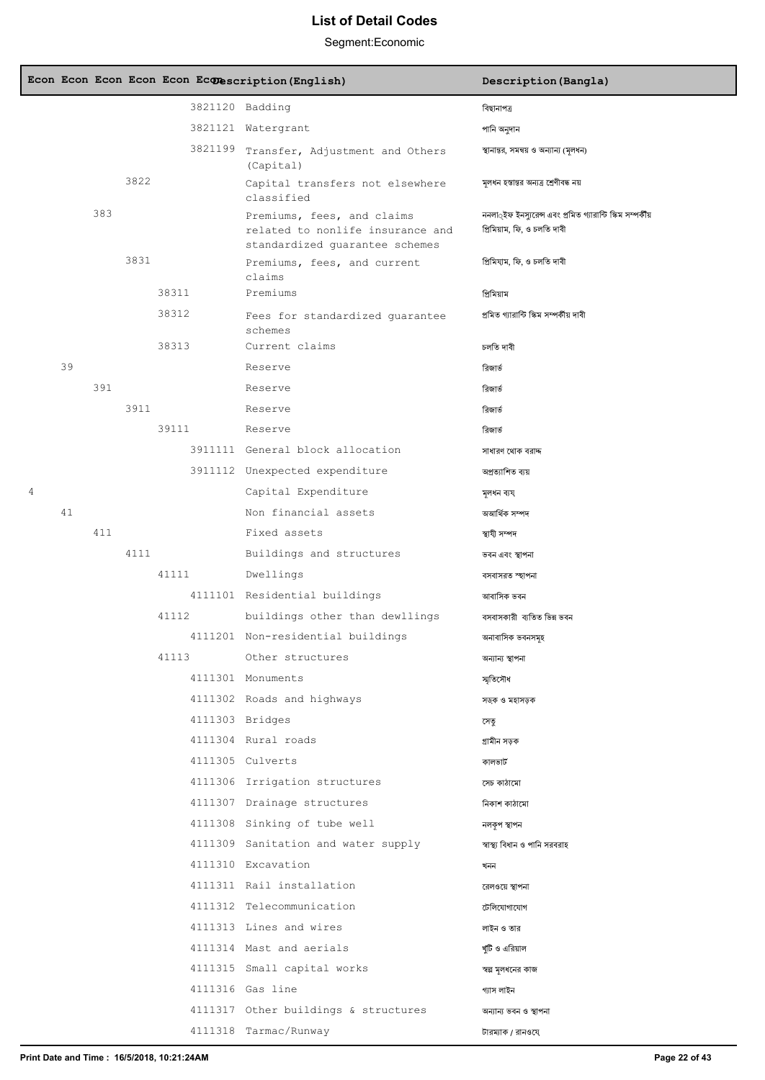|                |    |     |      |       | Econ Econ Econ Econ Econ Econescription (English)                                                | Description (Bangla)                                                                               |
|----------------|----|-----|------|-------|--------------------------------------------------------------------------------------------------|----------------------------------------------------------------------------------------------------|
|                |    |     |      |       | 3821120 Badding                                                                                  | বিছানাপত্ৰ                                                                                         |
|                |    |     |      |       | 3821121 Watergrant                                                                               | পানি অনুদান                                                                                        |
|                |    |     |      |       | 3821199 Transfer, Adjustment and Others<br>(Capital)                                             | স্থানান্তর, সমন্বয় ও অন্যান্য (মূলধন)                                                             |
|                |    |     | 3822 |       | Capital transfers not elsewhere<br>classified                                                    | মূলধন হস্তান্তর অন্যত্র শ্রেণীবদ্ধ নয়                                                             |
|                |    | 383 |      |       | Premiums, fees, and claims<br>related to nonlife insurance and<br>standardized quarantee schemes | ননলা <b>্</b> ইফ ইনস্যুরেন্স এবং প্রমিত গ্যারান্টি স্কিম সম্পর্কীয়<br>প্ৰিমিয়াম, ফি, ও চলতি দাবী |
|                |    |     | 3831 |       | Premiums, fees, and current<br>claims                                                            | প্ৰিমিযাম, ফি, ও চলতি দাবী                                                                         |
|                |    |     |      | 38311 | Premiums                                                                                         | প্ৰিমিয়াম                                                                                         |
|                |    |     |      | 38312 | Fees for standardized quarantee<br>schemes                                                       | প্ৰমিত গ্যাৱান্টি স্কিম সম্পৰ্কীয় দাবী                                                            |
|                |    |     |      | 38313 | Current claims                                                                                   | চলতি দাবী                                                                                          |
|                | 39 |     |      |       | Reserve                                                                                          | রিজার্ত                                                                                            |
|                |    | 391 |      |       | Reserve                                                                                          | রিজার্ভ                                                                                            |
|                |    |     | 3911 |       | Reserve                                                                                          | রিজার্ভ                                                                                            |
|                |    |     |      | 39111 | Reserve                                                                                          | রিজার্ত                                                                                            |
|                |    |     |      |       | 3911111 General block allocation                                                                 | সাধারণ থোক বরাদ্দ                                                                                  |
|                |    |     |      |       | 3911112 Unexpected expenditure                                                                   | অপ্ৰত্যাশিত ব্যয়                                                                                  |
| $\overline{4}$ |    |     |      |       | Capital Expenditure                                                                              | মূলধন ব্যয                                                                                         |
|                | 41 |     |      |       | Non financial assets                                                                             | অআৰ্থিক সম্পদ                                                                                      |
|                |    | 411 |      |       | Fixed assets                                                                                     | স্থাযী সম্পদ                                                                                       |
|                |    |     | 4111 |       | Buildings and structures                                                                         | ভবন এবং স্থাপনা                                                                                    |
|                |    |     |      | 41111 | Dwellings                                                                                        | বসবাসরত স্হাপনা                                                                                    |
|                |    |     |      |       | 4111101 Residential buildings                                                                    | আবাসিক ভবন                                                                                         |
|                |    |     |      | 41112 | buildings other than dewllings                                                                   | বসবাসকারী ব্যতিত ভিন্ন ভবন                                                                         |
|                |    |     |      |       | 4111201 Non-residential buildings                                                                | অনাবাসিক ভবনসমূহ                                                                                   |
|                |    |     |      |       | 41113 Other structures                                                                           | অন্যান্য স্থাপনা                                                                                   |
|                |    |     |      |       | 4111301 Monuments                                                                                | স্মতিসৌধ                                                                                           |
|                |    |     |      |       | 4111302 Roads and highways                                                                       | সড়ক ও মহাসড়ক                                                                                     |
|                |    |     |      |       | 4111303 Bridges                                                                                  | সেতু                                                                                               |
|                |    |     |      |       | 4111304 Rural roads                                                                              | গ্ৰামীন সড়ক                                                                                       |
|                |    |     |      |       | 4111305 Culverts                                                                                 | কালভার্ট                                                                                           |
|                |    |     |      |       | 4111306 Irrigation structures                                                                    | সেচ কাঠামো                                                                                         |
|                |    |     |      |       | 4111307 Drainage structures                                                                      | নিকাশ কাঠামো                                                                                       |
|                |    |     |      |       | 4111308 Sinking of tube well                                                                     | নলকপ স্থাপন                                                                                        |
|                |    |     |      |       | 4111309 Sanitation and water supply                                                              | স্বাস্থ্য বিধান ও পানি সরবরাহ                                                                      |
|                |    |     |      |       | 4111310 Excavation                                                                               | খনন                                                                                                |
|                |    |     |      |       | 4111311 Rail installation                                                                        | রেলওয়ে স্থাপনা                                                                                    |
|                |    |     |      |       | 4111312 Telecommunication                                                                        | টেলিযোগাযোগ                                                                                        |
|                |    |     |      |       | 4111313 Lines and wires                                                                          | লাইন ও তার                                                                                         |
|                |    |     |      |       | 4111314 Mast and aerials                                                                         | খুটি ও এরিয়াল                                                                                     |
|                |    |     |      |       | 4111315 Small capital works                                                                      | স্বল্প মূলধনের কাজ                                                                                 |
|                |    |     |      |       | 4111316 Gas line                                                                                 | গ্যাস লাইন                                                                                         |
|                |    |     |      |       | 4111317 Other buildings & structures                                                             | অন্যান্য ভবন ও স্থাপনা                                                                             |
|                |    |     |      |       | 4111318 Tarmac/Runway                                                                            | টারম্যাক / রানওযে                                                                                  |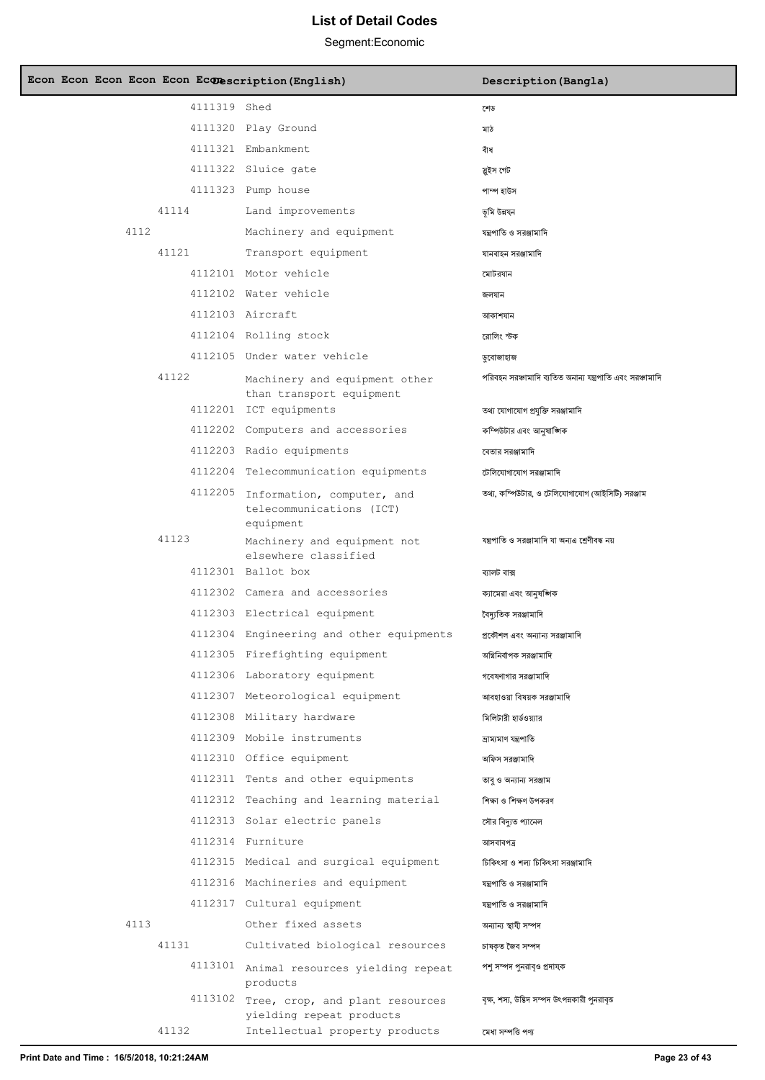| Econ Econ Econ Econ Econ Econescription (English) |                                                                                                 | Description (Bangla)                                                         |
|---------------------------------------------------|-------------------------------------------------------------------------------------------------|------------------------------------------------------------------------------|
| 4111319 Shed                                      |                                                                                                 | শেড                                                                          |
|                                                   | 4111320 Play Ground                                                                             | মাঠ                                                                          |
|                                                   | 4111321 Embankment                                                                              | বাঁধ                                                                         |
|                                                   | 4111322 Sluice gate                                                                             | স্ত্ৰইস গেট                                                                  |
|                                                   | 4111323 Pump house                                                                              | পাম্প হাউস                                                                   |
| 41114                                             | Land improvements                                                                               | ভূমি উন্নযন                                                                  |
| 4112                                              | Machinery and equipment                                                                         | যন্ত্রপাতি ও সরঞ্জামাদি                                                      |
| 41121                                             | Transport equipment                                                                             | যানবাহন সরঞ্জামাদি                                                           |
|                                                   | 4112101 Motor vehicle                                                                           | মোটরযান                                                                      |
|                                                   | 4112102 Water vehicle                                                                           | জলযান                                                                        |
|                                                   | 4112103 Aircraft                                                                                | আকাশযান                                                                      |
|                                                   | 4112104 Rolling stock                                                                           | রোলিং স্টক                                                                   |
|                                                   | 4112105 Under water vehicle                                                                     | ডুবোজাহাজ                                                                    |
| 41122                                             | Machinery and equipment other<br>than transport equipment                                       | পরিবহন সরঞ্চামাদি ব্যতিত অনান্য যন্ত্রপাতি এবং সরঞ্চামাদি                    |
|                                                   | 4112201 ICT equipments                                                                          | তথ্য যোগাযোগ প্রযুক্তি সরঞ্জামাদি                                            |
|                                                   | 4112202 Computers and accessories                                                               | কম্পিউটার এবং আনষাঙ্গিক                                                      |
|                                                   | 4112203 Radio equipments                                                                        | বেতার সরঞ্জামাদি                                                             |
|                                                   | 4112204 Telecommunication equipments                                                            | টেলিযোগাযোগ সরঞ্জামাদি                                                       |
|                                                   | 4112205 Information, computer, and<br>telecommunications (ICT)<br>equipment                     | তথ্য, কম্পিউটার, ও টেলিযোগাযোগ (আইসিটি) সরঞ্জাম                              |
| 41123                                             | Machinery and equipment not<br>elsewhere classified                                             | যন্ত্রপাতি ও সরঞ্জামাদি যা অন্যএ শ্রেণীবদ্ধ নয়                              |
|                                                   | 4112301 Ballot box                                                                              | ব্যালট বাক্স                                                                 |
|                                                   | 4112302 Camera and accessories                                                                  | ক্যামেরা এবং আনষজ্ঞাক                                                        |
|                                                   | 4112303 Electrical equipment                                                                    | বৈদ্যতিক সরঞ্জামাদি                                                          |
|                                                   | 4112304 Engineering and other equipments                                                        | প্রকৌশল এবং অন্যান্য সরঞ্জামাদি                                              |
|                                                   | 4112305 Firefighting equipment                                                                  | অগ্নিনিৰ্বাপক সরঞ্জামাদি                                                     |
|                                                   | 4112306 Laboratory equipment                                                                    | গবেষণাগার সরঞ্জামাদি                                                         |
|                                                   | 4112307 Meteorological equipment                                                                | আবহাওয়া বিষয়ক সরঞ্জামাদি                                                   |
|                                                   | 4112308 Military hardware                                                                       | মিলিটারী হার্ডওয়্যার                                                        |
|                                                   | 4112309 Mobile instruments                                                                      | ভ্ৰাম্যমাণ যন্ত্ৰপাতি                                                        |
|                                                   | 4112310 Office equipment                                                                        | অফিস সরঞ্জামাদি                                                              |
|                                                   | 4112311 Tents and other equipments                                                              | তাব ও অন্যান্য সরঞ্জাম                                                       |
|                                                   | 4112312 Teaching and learning material                                                          | শিক্ষা ও শিক্ষণ উপকরণ                                                        |
|                                                   | 4112313 Solar electric panels                                                                   | সৌর বিদ্যুত প্যানেল                                                          |
|                                                   | 4112314 Furniture                                                                               | আসবাবপত্ৰ                                                                    |
|                                                   | 4112315 Medical and surgical equipment                                                          | চিকিৎসা ও শল্য চিকিৎসা সরঞ্জামাদি                                            |
|                                                   | 4112316 Machineries and equipment                                                               | যন্ত্রপাতি ও সরঞ্জামাদি                                                      |
|                                                   |                                                                                                 |                                                                              |
| 4113                                              | 4112317 Cultural equipment                                                                      | যন্ত্রপাতি ও সরঞ্জামাদি                                                      |
|                                                   | Other fixed assets                                                                              | অন্যান্য স্থাযী সম্পদ                                                        |
| 41131                                             | Cultivated biological resources                                                                 | চাষকত জৈব সম্পদ                                                              |
|                                                   | 4113101 Animal resources yielding repeat<br>products<br>4113102 Tree, crop, and plant resources | পশু সম্পদ পুনরাবৃও প্রদাযক<br>বক্ষ, শস্য, উদ্ভিদ সম্পদ উৎপন্নকারী পুনরাবৃত্ত |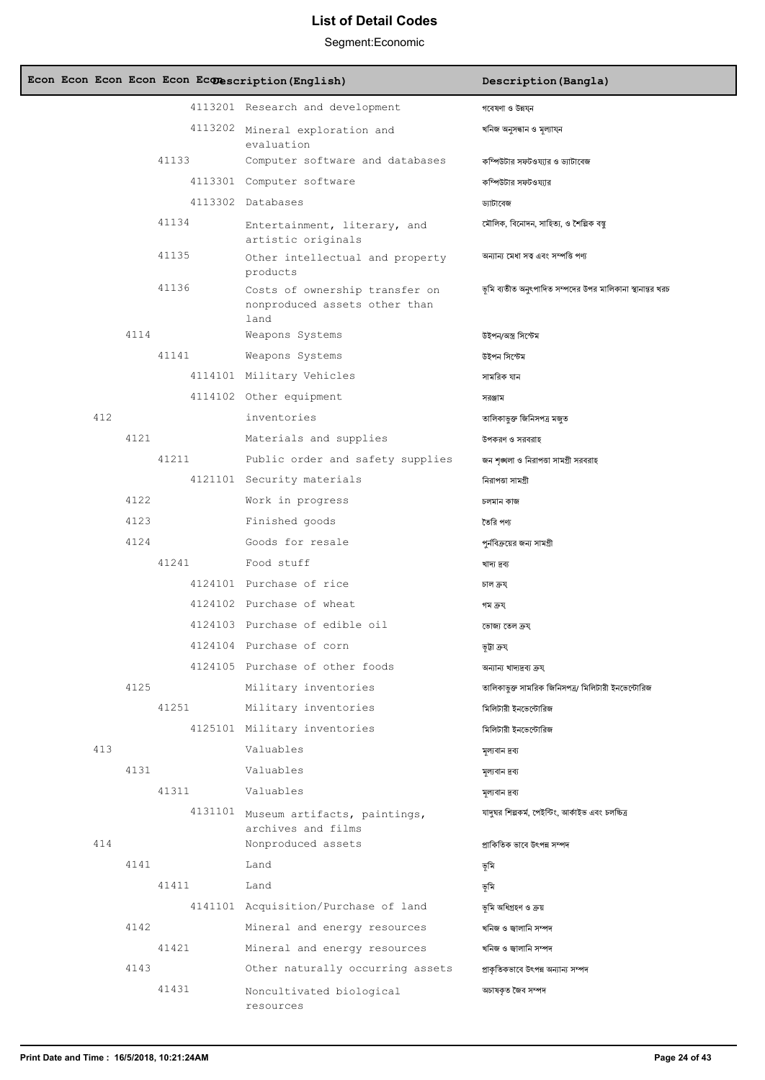| Econ Econ Econ Econ Econ Econ extention (English) |                                                                         | Description (Bangla)                                      |
|---------------------------------------------------|-------------------------------------------------------------------------|-----------------------------------------------------------|
|                                                   | 4113201 Research and development                                        | গবেষণা ও উন্নয্ন                                          |
|                                                   | 4113202 Mineral exploration and<br>evaluation                           | খনিজ অনুসন্ধান ও মূল্যায্ন                                |
| 41133                                             | Computer software and databases                                         | কম্পিউটার সফটওয্যার ও ড্যাটাবেজ                           |
|                                                   | 4113301 Computer software                                               | কম্পিউটার সফটওয্যার                                       |
|                                                   | 4113302 Databases                                                       | ড্যাটাবেজ                                                 |
| 41134                                             | Entertainment, literary, and<br>artistic originals                      | মৌলিক, বিনোদন, সাহিত্য, ও শৈল্পিক বস্তু                   |
| 41135                                             | Other intellectual and property<br>products                             | অন্যান্য মেধা সত্ব এবং সম্পত্তি পণ্য                      |
| 41136                                             | Costs of ownership transfer on<br>nonproduced assets other than<br>land | ভূমি ব্যতীত অনুৎপাদিত সম্পদের উপর মালিকানা স্থানান্তর খরচ |
| 4114                                              | Weapons Systems                                                         | উইপন/অস্ত্ৰ সিস্টেম                                       |
| 41141                                             | Weapons Systems                                                         | উইপন সিস্টেম                                              |
|                                                   | 4114101 Military Vehicles                                               | সামরিক যান                                                |
|                                                   | 4114102 Other equipment                                                 | সরঞ্জাম                                                   |
| 412                                               | inventories                                                             | তালিকাভুক্ত জিনিসপত্ৰ মজুত                                |
| 4121                                              | Materials and supplies                                                  | উপকরণ ও সরবরাহ                                            |
| 41211                                             | Public order and safety supplies                                        | জন শৃঙ্খলা ও নিরাপত্তা সামগ্রী সরবরাহ                     |
|                                                   | 4121101 Security materials                                              | নিরাপত্তা সামগ্রী                                         |
| 4122                                              | Work in progress                                                        | চলমান কাজ                                                 |
| 4123                                              | Finished goods                                                          | তৈরি পণ্য                                                 |
| 4124                                              | Goods for resale                                                        | পুর্নবিক্রয়ের জন্য সামগ্রী                               |
| 41241                                             | Food stuff                                                              | খাদ্য দ্ৰব্য                                              |
|                                                   | 4124101 Purchase of rice                                                | চাল ক্ৰয                                                  |
|                                                   | 4124102 Purchase of wheat                                               | গম ক্ৰয                                                   |
|                                                   | 4124103 Purchase of edible oil                                          | ভোজ্য তেল ক্ৰয                                            |
|                                                   | 4124104 Purchase of corn                                                | ভূটা ক্ৰয                                                 |
|                                                   | 4124105 Purchase of other foods                                         | অন্যান্য খাদ্যদ্ৰব্য ক্ৰয্                                |
| 4125                                              | Military inventories                                                    | তালিকাভুক্ত সামরিক জিনিসপত্র/ মিলিটারী ইনভেন্টোরিজ        |
| 41251                                             | Military inventories                                                    | মিলিটারী ইনভেন্টোরিজ                                      |
|                                                   | 4125101 Military inventories                                            | মিলিটারী ইনভেন্টোরিজ                                      |
| 413                                               | Valuables                                                               | মূল্যবান দ্রব্য                                           |
| 4131                                              | Valuables                                                               | মূল্যবান দ্রব্য                                           |
| 41311                                             | Valuables                                                               | মূল্যবান দ্রব্য                                           |
|                                                   | 4131101 Museum artifacts, paintings,<br>archives and films              | যাদুঘর শিল্পকর্ম, পেইন্টিং, আর্কাইভ এবং চলচ্চিত্র         |
| 414                                               | Nonproduced assets                                                      | প্রাকিতিক ভাবে উৎপন্ন সম্পদ                               |
| 4141                                              | Land                                                                    | ভূমি                                                      |
| 41411                                             | Land                                                                    | ভূমি                                                      |
|                                                   | 4141101 Acquisition/Purchase of land                                    | ভূমি অধিগ্ৰহণ ও ক্ৰয়                                     |
| 4142                                              | Mineral and energy resources                                            | খনিজ ও জ্বালানি সম্পদ                                     |
| 41421                                             | Mineral and energy resources                                            | খনিজ ও জ্বালানি সম্পদ                                     |
| 4143                                              | Other naturally occurring assets                                        | প্রাকৃতিকভাবে উৎপন্ন অন্যান্য সম্পদ                       |
| 41431                                             | Noncultivated biological<br>resources                                   | অচাষকৃত জৈব সম্পদ                                         |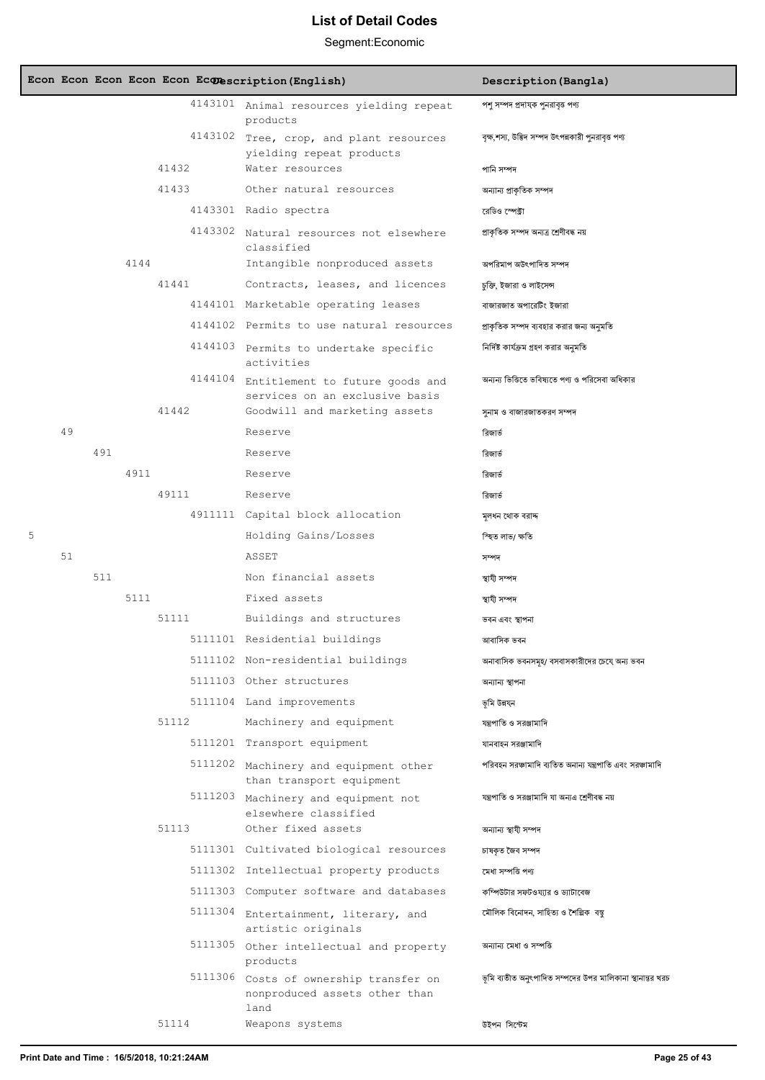|   |    |     |      |       | Econ Econ Econ Econ Econ Econescription (English)                               | Description (Bangla)                                      |
|---|----|-----|------|-------|---------------------------------------------------------------------------------|-----------------------------------------------------------|
|   |    |     |      |       | 4143101 Animal resources yielding repeat<br>products                            | পশু সম্পদ প্ৰদাযক পুনরাবৃত্ত পণ্য                         |
|   |    |     |      |       | 4143102 Tree, crop, and plant resources<br>yielding repeat products             | বৃক্ষ,শস্য, উদ্ভিদ সম্পদ উৎপন্নকারী পুনরাবৃত্ত পণ্য       |
|   |    |     |      | 41432 | Water resources                                                                 | পানি সম্পদ                                                |
|   |    |     |      | 41433 | Other natural resources                                                         | অন্যান্য প্রাকৃতিক সম্পদ                                  |
|   |    |     |      |       | 4143301 Radio spectra                                                           | রেডিও স্পেক্টা                                            |
|   |    |     |      |       | 4143302 Natural resources not elsewhere<br>classified                           | প্ৰাকৃতিক সম্পদ অন্যত্ৰ শ্ৰেণীবদ্ধ নয়                    |
|   |    |     | 4144 |       | Intangible nonproduced assets                                                   | অপরিমাপ অউৎপাদিত সম্পদ                                    |
|   |    |     |      | 41441 | Contracts, leases, and licences                                                 | চুক্তি, ইজারা ও লাইসেন্স                                  |
|   |    |     |      |       | 4144101 Marketable operating leases                                             | বাজারজাত অপারেটিং ইজারা                                   |
|   |    |     |      |       | 4144102 Permits to use natural resources                                        | প্রাকৃতিক সম্পদ ব্যবহার করার জন্য অনুমতি                  |
|   |    |     |      |       | 4144103 Permits to undertake specific<br>activities                             | নির্দিষ্ট কার্যক্রম গ্রহণ করার অনুমতি                     |
|   |    |     |      |       | 4144104 Entitlement to future goods and<br>services on an exclusive basis       | অন্যন্য ভিত্তিতে ভবিষ্যতে পণ্য ও পরিসেবা অধিকার           |
|   |    |     |      | 41442 | Goodwill and marketing assets                                                   | সুনাম ও বাজারজাতকরণ সম্পদ                                 |
|   | 49 |     |      |       | Reserve                                                                         | রিজার্ভ                                                   |
|   |    | 491 |      |       | Reserve                                                                         | রিজার্ভ                                                   |
|   |    |     | 4911 |       | Reserve                                                                         | রিজার্ভ                                                   |
|   |    |     |      | 49111 | Reserve                                                                         | রিজার্ত                                                   |
|   |    |     |      |       | 4911111 Capital block allocation                                                | মূলধন থোক বরাদ্দ                                          |
| 5 |    |     |      |       | Holding Gains/Losses                                                            | স্হিত লাভ/ ক্ষতি                                          |
|   | 51 |     |      |       | ASSET                                                                           | সম্পদ                                                     |
|   |    | 511 |      |       | Non financial assets                                                            | স্থাযী সম্পদ                                              |
|   |    |     | 5111 |       | Fixed assets                                                                    | স্থাযী সম্পদ                                              |
|   |    |     |      | 51111 | Buildings and structures                                                        | ভবন এবং স্থাপনা                                           |
|   |    |     |      |       | 5111101 Residential buildings                                                   | আবাসিক ভবন                                                |
|   |    |     |      |       | 5111102 Non-residential buildings                                               | অনাবাসিক ভবনসমূহ/ বসবাসকারীদের চেযে অন্য ভবন              |
|   |    |     |      |       | 5111103 Other structures                                                        | অন্যান্য স্থাপনা                                          |
|   |    |     |      |       | 5111104 Land improvements                                                       | ভূমি উন্নযন                                               |
|   |    |     |      | 51112 | Machinery and equipment                                                         | যন্ত্রপাতি ও সরঞ্জামাদি                                   |
|   |    |     |      |       | 5111201 Transport equipment                                                     | যানবাহন সরঞ্জামাদি                                        |
|   |    |     |      |       | 5111202 Machinery and equipment other<br>than transport equipment               | পরিবহন সরঞ্চামাদি ব্যতিত অনান্য যন্ত্রপাতি এবং সরঞ্চামাদি |
|   |    |     |      |       | 5111203 Machinery and equipment not<br>elsewhere classified                     | যন্ত্রপাতি ও সরঞ্জামাদি যা অন্যএ শ্রেণীবদ্ধ নয়           |
|   |    |     |      | 51113 | Other fixed assets                                                              | অন্যান্য স্থাযী সম্পদ                                     |
|   |    |     |      |       | 5111301 Cultivated biological resources                                         | চাষকৃত জৈব সম্পদ                                          |
|   |    |     |      |       | 5111302 Intellectual property products                                          | মেধা সম্পত্তি পণ্য                                        |
|   |    |     |      |       | 5111303 Computer software and databases                                         | কম্পিউটার সফটওয্যার ও ড্যাটাবেজ                           |
|   |    |     |      |       | 5111304 Entertainment, literary, and<br>artistic originals                      | মৌলিক বিনোদন, সাহিত্য ও শৈল্পিক বস্তু                     |
|   |    |     |      |       | 5111305 Other intellectual and property<br>products                             | অন্যান্য মেধা ও সম্পত্তি                                  |
|   |    |     |      |       | 5111306 Costs of ownership transfer on<br>nonproduced assets other than<br>land | ভূমি ব্যতীত অনুৎপাদিত সম্পদের উপর মালিকানা স্থানান্তর খরচ |
|   |    |     |      | 51114 | Weapons systems                                                                 | উইপন সিস্টেম                                              |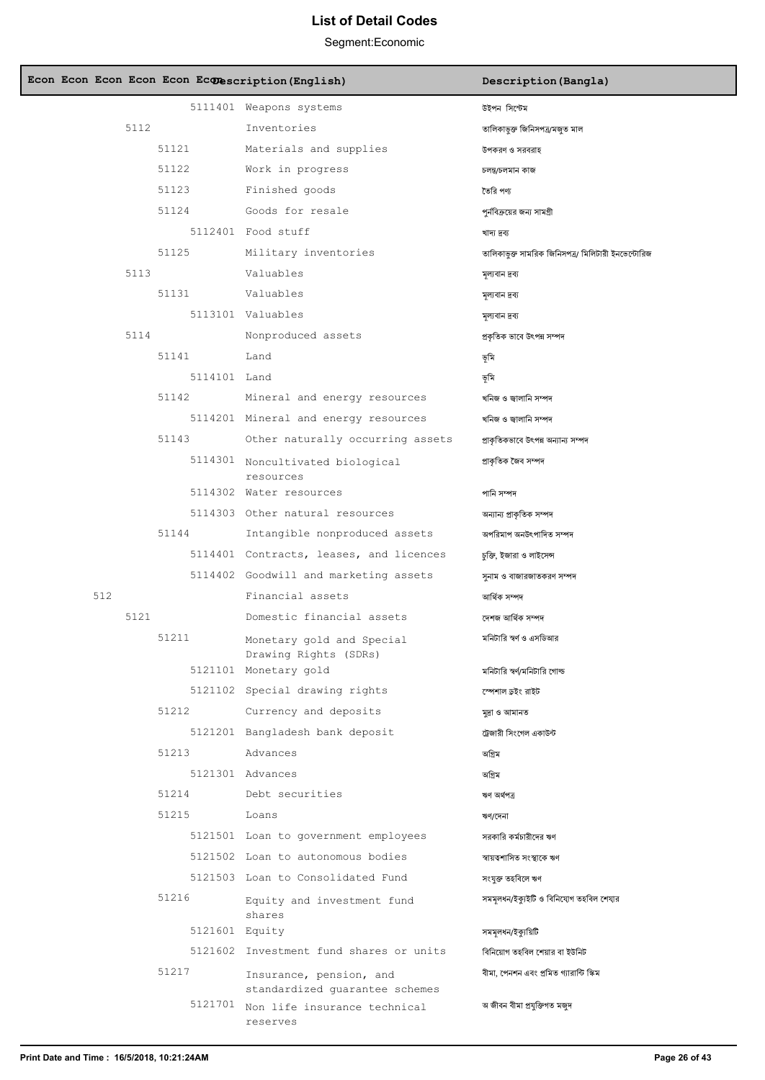| Econ Econ Econ Econ Econ Ec@escription(English) |                                                           | Description (Bangla)                               |
|-------------------------------------------------|-----------------------------------------------------------|----------------------------------------------------|
|                                                 | 5111401 Weapons systems                                   | উইপন সিস্টেম                                       |
| 5112                                            | Inventories                                               | তালিকাভুক্ত জিনিসপত্ৰ/মজুত মাল                     |
| 51121                                           | Materials and supplies                                    | উপকরণ ও সরবরাহ                                     |
| 51122                                           | Work in progress                                          | চলন্ত/চলমান কাজ                                    |
| 51123                                           | Finished goods                                            | তৈরি পণ্য                                          |
| 51124                                           | Goods for resale                                          | পুর্নবিক্রয়ের জন্য সামগ্রী                        |
|                                                 | 5112401 Food stuff                                        | খাদ্য দ্ৰব্য                                       |
| 51125                                           | Military inventories                                      | তালিকাভূক্ত সামরিক জিনিসপত্র/ মিলিটারী ইনভেন্টোরিজ |
| 5113                                            | Valuables                                                 | মূল্যবান দ্রব্য                                    |
| 51131                                           | Valuables                                                 | মূল্যবান দ্রব্য                                    |
|                                                 | 5113101 Valuables                                         | মূল্যবান দ্রব্য                                    |
| 5114                                            | Nonproduced assets                                        | প্রকৃতিক ভাবে উৎপন্ন সম্পদ                         |
| 51141                                           | Land                                                      | ভূমি                                               |
| 5114101 Land                                    |                                                           | ভূমি                                               |
| 51142                                           | Mineral and energy resources                              | খনিজ ও জ্বালানি সম্পদ                              |
|                                                 | 5114201 Mineral and energy resources                      | খনিজ ও জ্বালানি সম্পদ                              |
| 51143                                           | Other naturally occurring assets                          | প্রাকৃতিকভাবে উৎপন্ন অন্যান্য সম্পদ                |
|                                                 | 5114301 Noncultivated biological<br>resources             | প্ৰাকৃতিক জৈব সম্পদ                                |
|                                                 | 5114302 Water resources                                   | পানি সম্পদ                                         |
|                                                 | 5114303 Other natural resources                           | অন্যান্য প্রাকৃতিক সম্পদ                           |
| 51144                                           | Intangible nonproduced assets                             | অপরিমাপ অনউৎপাদিত সম্পদ                            |
|                                                 | 5114401 Contracts, leases, and licences                   | চুক্তি, ইজারা ও লাইসেন্স                           |
|                                                 | 5114402 Goodwill and marketing assets                     | সুনাম ও বাজারজাতকরণ সম্পদ                          |
| 512                                             | Financial assets                                          | আৰ্থিক সম্পদ                                       |
| 5121                                            | Domestic financial assets                                 | দেশজ আৰ্থিক সম্পদ                                  |
| 51211                                           | Monetary gold and Special<br>Drawing Rights (SDRs)        | মনিটারি স্বর্ণ ও এসডিআর                            |
|                                                 | 5121101 Monetary gold                                     | মনিটারি স্বর্ণ/মনিটারি গোল্ড                       |
|                                                 | 5121102 Special drawing rights                            | স্পেশাল ড়ইং রাইট                                  |
| 51212                                           | Currency and deposits                                     | মুদ্ৰা ও আমানত                                     |
|                                                 | 5121201 Bangladesh bank deposit                           | ট্রেজারী সিংগেল একাউন্ট                            |
| 51213                                           | Advances                                                  | অগ্রিম                                             |
|                                                 | 5121301 Advances                                          | অগ্রিম                                             |
| 51214                                           | Debt securities                                           | ঋণ অৰ্থপত্ৰ                                        |
| 51215                                           | Loans                                                     | ঋণ/দেনা                                            |
|                                                 | 5121501 Loan to government employees                      | সরকারি কর্মচারীদের ঋণ                              |
|                                                 | 5121502 Loan to autonomous bodies                         | স্বায়ত্বশাসিত সংস্থাকে ঋণ                         |
|                                                 | 5121503 Loan to Consolidated Fund                         | সংযুক্ত তহবিলে ঋণ                                  |
| 51216                                           | Equity and investment fund<br>shares                      | সমমূলধন/ইক্যুইটি ও বিনিযোগ তহবিল শেযার             |
|                                                 | 5121601 Equity                                            | সমমূলধন/ইক্যুয়িটি                                 |
|                                                 | 5121602 Investment fund shares or units                   | বিনিয়োগ তহবিল শেয়ার বা ইউনিট                     |
| 51217                                           | Insurance, pension, and<br>standardized quarantee schemes | বীমা, পেনশন এবং প্রমিত গ্যারান্টি স্কিম            |
|                                                 | 5121701 Non life insurance technical<br>reserves          | অ জীবন বীমা প্ৰযুক্তিগত মজুদ                       |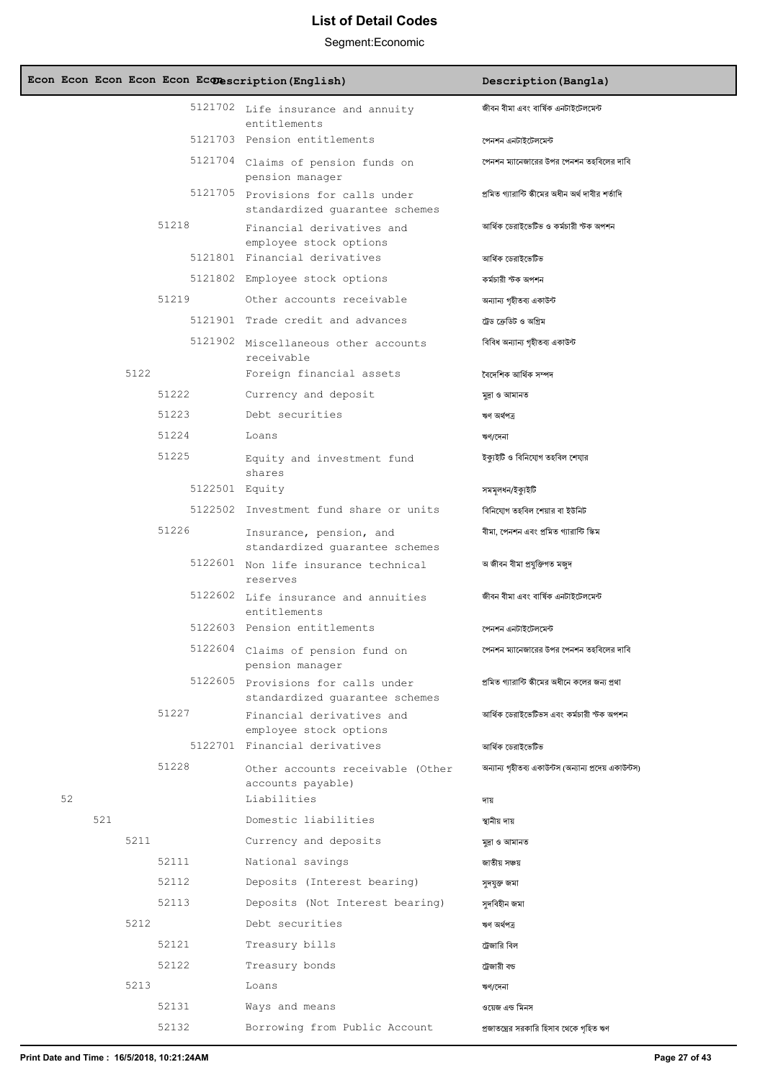| Econ Econ Econ Econ Econ Econescription (English) |                                                                      | Description (Bangla)                                   |
|---------------------------------------------------|----------------------------------------------------------------------|--------------------------------------------------------|
|                                                   | 5121702 Life insurance and annuity<br>entitlements                   | জীবন বীমা এবং বাৰ্ষিক এনটাইটেলমেন্ট                    |
|                                                   | 5121703 Pension entitlements                                         | পেনশন এনটাইটেলমেন্ট                                    |
|                                                   | 5121704 Claims of pension funds on<br>pension manager                | পেনশন ম্যানেজারের উপর পেনশন তহবিলের দাবি               |
|                                                   | 5121705 Provisions for calls under<br>standardized quarantee schemes | প্ৰমিত গ্যারান্টি স্কীমের অধীন অর্থ দাবীর শর্তাদি      |
| 51218                                             | Financial derivatives and<br>employee stock options                  | আৰ্থিক ডেরাইভেটিভ ও কর্মচারী স্টক অপশন                 |
|                                                   | 5121801 Financial derivatives                                        | আৰ্থিক ডেরাইভেটিভ                                      |
|                                                   | 5121802 Employee stock options                                       | কৰ্মচারী স্টক অপশন                                     |
| 51219                                             | Other accounts receivable                                            | অন্যান্য গৃহীতব্য একাউন্ট                              |
|                                                   | 5121901 Trade credit and advances                                    | ট্রেড ক্রেডিট ও অগ্রিম                                 |
|                                                   | 5121902 Miscellaneous other accounts<br>receivable                   | বিবিধ অন্যান্য গৃহীতব্য একাউন্ট                        |
| 5122                                              | Foreign financial assets                                             | বৈদেশিক আৰ্থিক সম্পদ                                   |
| 51222                                             | Currency and deposit                                                 | মুদ্ৰা ও আমানত                                         |
| 51223                                             | Debt securities                                                      | ঋণ অৰ্থপত্ৰ                                            |
| 51224                                             | Loans                                                                | ঋণ/দেনা                                                |
| 51225                                             | Equity and investment fund<br>shares                                 | ইক্যুইটি ও বিনিযোগ তহবিল শেযার                         |
|                                                   | 5122501 Equity                                                       | সমমূলধন/ইক্যুইটি                                       |
|                                                   | 5122502 Investment fund share or units                               | বিনিযোগ তহবিল শেয়ার বা ইউনিট                          |
| 51226                                             | Insurance, pension, and<br>standardized guarantee schemes            | বীমা, পেনশন এবং প্ৰমিত গ্যারান্টি স্কিম                |
|                                                   | 5122601 Non life insurance technical<br>reserves                     | অ জীবন বীমা প্ৰযুক্তিগত মজুদ                           |
|                                                   | 5122602 Life insurance and annuities<br>entitlements                 | জীবন বীমা এবং বাৰ্ষিক এনটাইটেলমেন্ট                    |
|                                                   | 5122603 Pension entitlements                                         | পেনশন এনটাইটেলমেন্ট                                    |
|                                                   | 5122604 Claims of pension fund on<br>pension manager                 | পেনশন ম্যানেজারের উপর পেনশন তহবিলের দাবি               |
|                                                   | 5122605 Provisions for calls under<br>standardized guarantee schemes | প্রমিত গ্যারান্টি স্কীমের অধীনে কলের জন্য প্রথা        |
| 51227                                             | Financial derivatives and<br>employee stock options                  | আৰ্থিক ডেরাইভেটিভস এবং কর্মচারী স্টক অপশন              |
|                                                   | 5122701 Financial derivatives                                        | আৰ্থিক ডেরাইভেটিভ                                      |
| 51228                                             | Other accounts receivable (Other<br>accounts payable)                | অন্যান্য গৃহীতব্য একাউন্টস (অন্যান্য প্রদেয় একাউন্টস) |
| 52                                                | Liabilities                                                          | দায়                                                   |
| 521                                               | Domestic liabilities                                                 | স্থানীয় দায়                                          |
| 5211                                              | Currency and deposits                                                | মুদ্ৰা ও আমানত                                         |
| 52111                                             | National savings                                                     | জাতীয় সঞ্চয়                                          |
| 52112                                             | Deposits (Interest bearing)                                          | সুদযুক্ত জমা                                           |
| 52113                                             | Deposits (Not Interest bearing)                                      | সুদবিহীন জমা                                           |
| 5212                                              | Debt securities                                                      | ঋণ অৰ্থপত্ৰ                                            |
| 52121                                             | Treasury bills                                                       | ট্রেজারি বিল                                           |
| 52122                                             | Treasury bonds                                                       | ট্রেজারী বড                                            |
| 5213                                              | Loans                                                                | ঋণ/দেনা                                                |
| 52131                                             | Ways and means                                                       | ওয়েজ এন্ড মিনস                                        |
| 52132                                             | Borrowing from Public Account                                        | প্রজাতন্ত্রের সরকারি হিসাব থেকে গৃহিত ঋণ               |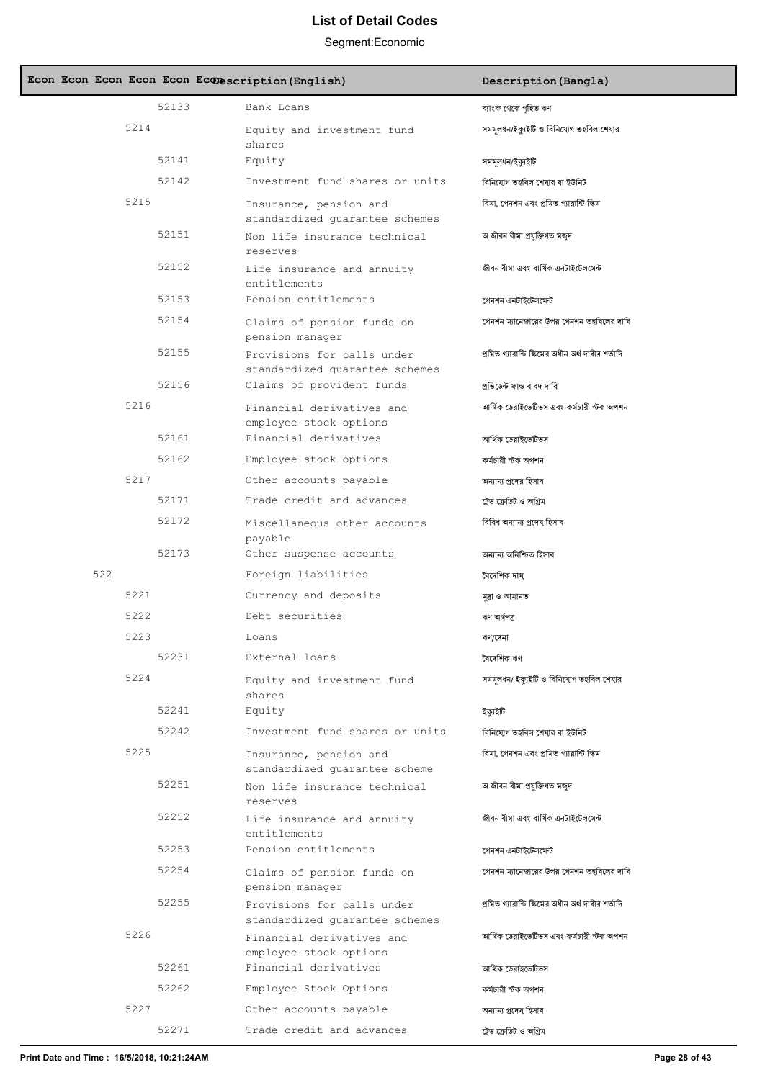| Econ Econ Econ Econ Econ Econescription (English) |                                                              | Description (Bangla)                              |
|---------------------------------------------------|--------------------------------------------------------------|---------------------------------------------------|
| 52133                                             | Bank Loans                                                   | ব্যাংক থেকে গৃহিত ঋণ                              |
| 5214                                              | Equity and investment fund<br>shares                         | সমমূলধন/ইক্যুইটি ও বিনিযোগ তহবিল শেযার            |
| 52141                                             | Equity                                                       | সমমূলধন/ইক্যুইটি                                  |
| 52142                                             | Investment fund shares or units                              | বিনিযোগ তহবিল শেযার বা ইউনিট                      |
| 5215                                              | Insurance, pension and<br>standardized quarantee schemes     | বিমা, পেনশন এবং প্রমিত গ্যারান্টি স্কিম           |
| 52151                                             | Non life insurance technical<br>reserves                     | অ জীবন বীমা প্ৰযুক্তিগত মজুদ                      |
| 52152                                             | Life insurance and annuity<br>entitlements                   | জীবন বীমা এবং বাৰ্ষিক এনটাইটেলমেন্ট               |
| 52153                                             | Pension entitlements                                         | পেনশন এনটাইটেলমেন্ট                               |
| 52154                                             | Claims of pension funds on<br>pension manager                | পেনশন ম্যানেজারের উপর পেনশন তহবিলের দাবি          |
| 52155                                             | Provisions for calls under<br>standardized quarantee schemes | প্রমিত গ্যারান্টি স্কিমের অধীন অর্থ দাবীর শর্তাদি |
| 52156                                             | Claims of provident funds                                    | প্ৰভিডেন্ট ফান্ড বাবদ দাবি                        |
| 5216                                              | Financial derivatives and<br>employee stock options          | আৰ্থিক ডেরাইভেটিভস এবং কর্মচারী স্টক অপশন         |
| 52161                                             | Financial derivatives                                        | আৰ্থিক ডেরাইভেটিভস                                |
| 52162                                             | Employee stock options                                       | কৰ্মচারী স্টক অপশন                                |
| 5217                                              | Other accounts payable                                       | অন্যান্য প্ৰদেয় হিসাব                            |
| 52171                                             | Trade credit and advances                                    | ট্রেড ক্রেডিট ও অগ্রিম                            |
| 52172                                             | Miscellaneous other accounts<br>payable                      | বিবিধ অন্যান্য প্ৰদেয হিসাব                       |
| 52173                                             | Other suspense accounts                                      | অন্যান্য অনিশ্চিত হিসাব                           |
| 522                                               | Foreign liabilities                                          | বৈদেশিক দায                                       |
| 5221                                              | Currency and deposits                                        | মুদ্ৰা ও আমানত                                    |
| 5222                                              | Debt securities                                              | ঋণ অৰ্থপত্ৰ                                       |
| 5223                                              | Loans                                                        | ঋণ/দেনা                                           |
| 52231                                             | External loans                                               | বৈদেশিক ঋণ                                        |
| 5224                                              | Equity and investment fund<br>shares                         | সমমূলধন/ ইক্যুইটি ও বিনিযোগ তহবিল শেযার           |
| 52241                                             | Equity                                                       | ইক্যইটি                                           |
| 52242                                             | Investment fund shares or units                              | বিনিযোগ তহবিল শেযার বা ইউনিট                      |
| 5225                                              | Insurance, pension and<br>standardized quarantee scheme      | বিমা, পেনশন এবং প্রমিত গ্যারান্টি স্কিম           |
| 52251                                             | Non life insurance technical<br>reserves                     | অ জীবন বীমা প্ৰযুক্তিগত মজুদ                      |
| 52252                                             | Life insurance and annuity<br>entitlements                   | জীবন বীমা এবং বাৰ্ষিক এনটাইটেলমেন্ট               |
| 52253                                             | Pension entitlements                                         | পেনশন এনটাইটেলমেন্ট                               |
| 52254                                             | Claims of pension funds on<br>pension manager                | পেনশন ম্যানেজারের উপর পেনশন তহবিলের দাবি          |
| 52255                                             | Provisions for calls under<br>standardized quarantee schemes | প্রমিত গ্যারান্টি স্কিমের অধীন অর্থ দাবীর শর্তাদি |
| 5226                                              | Financial derivatives and<br>employee stock options          | আৰ্থিক ডেরাইভেটিভস এবং কর্মচারী স্টক অপশন         |
| 52261                                             | Financial derivatives                                        | আৰ্থিক ডেরাইভেটিভস                                |
| 52262                                             | Employee Stock Options                                       | কৰ্মচারী স্টক অপশন                                |
| 5227                                              | Other accounts payable                                       | অন্যান্য প্ৰদেয হিসাব                             |
| 52271                                             | Trade credit and advances                                    | ট্রেড ক্রেডিট ও অগ্রিম                            |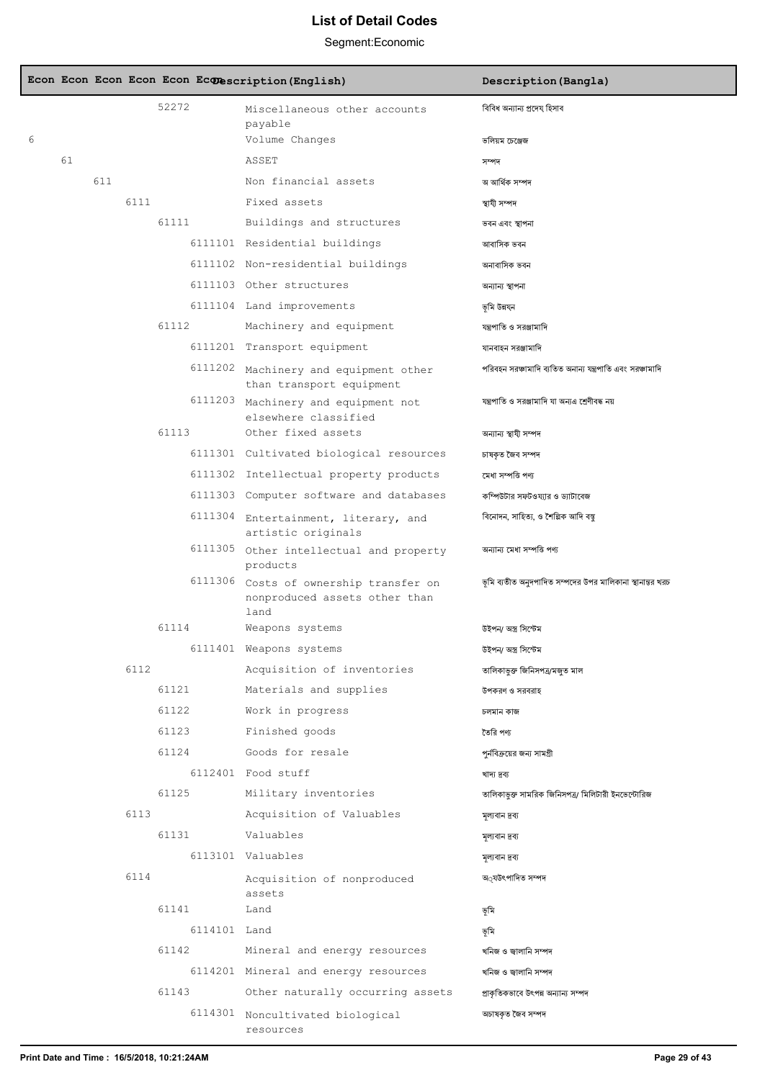|   |    |     |      |              | Econ Econ Econ Econ Econ Econescription (English)                               | Description (Bangla)                                      |
|---|----|-----|------|--------------|---------------------------------------------------------------------------------|-----------------------------------------------------------|
|   |    |     |      | 52272        | Miscellaneous other accounts<br>payable                                         | বিবিধ অন্যান্য প্ৰদেয হিসাব                               |
| 6 |    |     |      |              | Volume Changes                                                                  | ভলিয়ম চেঞ্জেজ                                            |
|   | 61 |     |      |              | ASSET                                                                           | সম্পদ                                                     |
|   |    | 611 |      |              | Non financial assets                                                            | অ আৰ্থিক সম্পদ                                            |
|   |    |     | 6111 |              | Fixed assets                                                                    | স্থাযী সম্পদ                                              |
|   |    |     |      | 61111        | Buildings and structures                                                        | ভবন এবং স্থাপনা                                           |
|   |    |     |      |              | 6111101 Residential buildings                                                   | আবাসিক ভবন                                                |
|   |    |     |      |              | 6111102 Non-residential buildings                                               | অনাবাসিক ভবন                                              |
|   |    |     |      |              | 6111103 Other structures                                                        | অন্যান্য স্থাপনা                                          |
|   |    |     |      |              | 6111104 Land improvements                                                       | ভূমি উন্নয্ন                                              |
|   |    |     |      | 61112        | Machinery and equipment                                                         | যন্ত্রপাতি ও সরঞ্জামাদি                                   |
|   |    |     |      |              | 6111201 Transport equipment                                                     | যানবাহন সরঞ্জামাদি                                        |
|   |    |     |      |              | 6111202 Machinery and equipment other<br>than transport equipment               | পরিবহন সরঞ্চামাদি ব্যতিত অনান্য যন্ত্রপাতি এবং সরঞ্চামাদি |
|   |    |     |      | 6111203      | Machinery and equipment not<br>elsewhere classified                             | যন্ত্রপাতি ও সরঞ্জামাদি যা অন্যএ শ্রেণীবদ্ধ নয়           |
|   |    |     |      | 61113        | Other fixed assets                                                              | অন্যান্য স্থাযী সম্পদ                                     |
|   |    |     |      |              | 6111301 Cultivated biological resources                                         | চাষকৃত জৈব সম্পদ                                          |
|   |    |     |      |              | 6111302 Intellectual property products                                          | মেধা সম্পত্তি পণ্য                                        |
|   |    |     |      |              | 6111303 Computer software and databases                                         | কম্পিউটার সফটওয্যার ও ড্যাটাবেজ                           |
|   |    |     |      |              | 6111304 Entertainment, literary, and<br>artistic originals                      | বিনোদন, সাহিত্য, ও শৈল্পিক আদি বস্তু                      |
|   |    |     |      | 6111305      | Other intellectual and property<br>products                                     | অন্যান্য মেধা সম্পত্তি পণ্য                               |
|   |    |     |      |              | 6111306 Costs of ownership transfer on<br>nonproduced assets other than<br>land | ভূমি ব্যতীত অনুদপাদিত সম্পদের উপর মালিকানা স্থানান্তর খরচ |
|   |    |     |      | 61114        | Weapons systems                                                                 | উইপন/ অস্ত্ৰ সিস্টেম                                      |
|   |    |     |      |              | 6111401 Weapons systems                                                         | উইপন/ অস্ত্ৰ সিস্টেম                                      |
|   |    |     | 6112 |              | Acquisition of inventories                                                      | তালিকাভুক্ত জিনিসপত্ৰ/মজুত মাল                            |
|   |    |     |      | 61121        | Materials and supplies                                                          | উপকরণ ও সরবরাহ                                            |
|   |    |     |      | 61122        | Work in progress                                                                | চলমান কাজ                                                 |
|   |    |     |      | 61123        | Finished goods                                                                  | তৈরি পণ্য                                                 |
|   |    |     |      | 61124        | Goods for resale                                                                | পুর্নবিক্রয়ের জন্য সামগ্রী                               |
|   |    |     |      |              | 6112401 Food stuff                                                              | খাদ্য দ্ৰব্য                                              |
|   |    |     |      | 61125        | Military inventories                                                            | তালিকাভুক্ত সামরিক জিনিসপত্র/ মিলিটারী ইনভেন্টোরিজ        |
|   |    |     | 6113 |              | Acquisition of Valuables                                                        | মূল্যবান দ্রব্য                                           |
|   |    |     |      | 61131        | Valuables                                                                       | মূল্যবান দ্রব্য                                           |
|   |    |     |      |              | 6113101 Valuables                                                               | মূল্যবান দ্রব্য                                           |
|   |    |     | 6114 |              | Acquisition of nonproduced<br>assets                                            | অ্যউৎপাদিত সম্পদ                                          |
|   |    |     |      | 61141        | Land                                                                            | ভূমি                                                      |
|   |    |     |      | 6114101 Land |                                                                                 | ভূমি                                                      |
|   |    |     |      | 61142        | Mineral and energy resources                                                    | খনিজ ও জ্বালানি সম্পদ                                     |
|   |    |     |      |              | 6114201 Mineral and energy resources                                            | খনিজ ও জালানি সম্পদ                                       |
|   |    |     |      | 61143        | Other naturally occurring assets                                                | প্রাকৃতিকভাবে উৎপন্ন অন্যান্য সম্পদ                       |
|   |    |     |      | 6114301      | Noncultivated biological<br>resources                                           | অচাষকৃত জৈব সম্পদ                                         |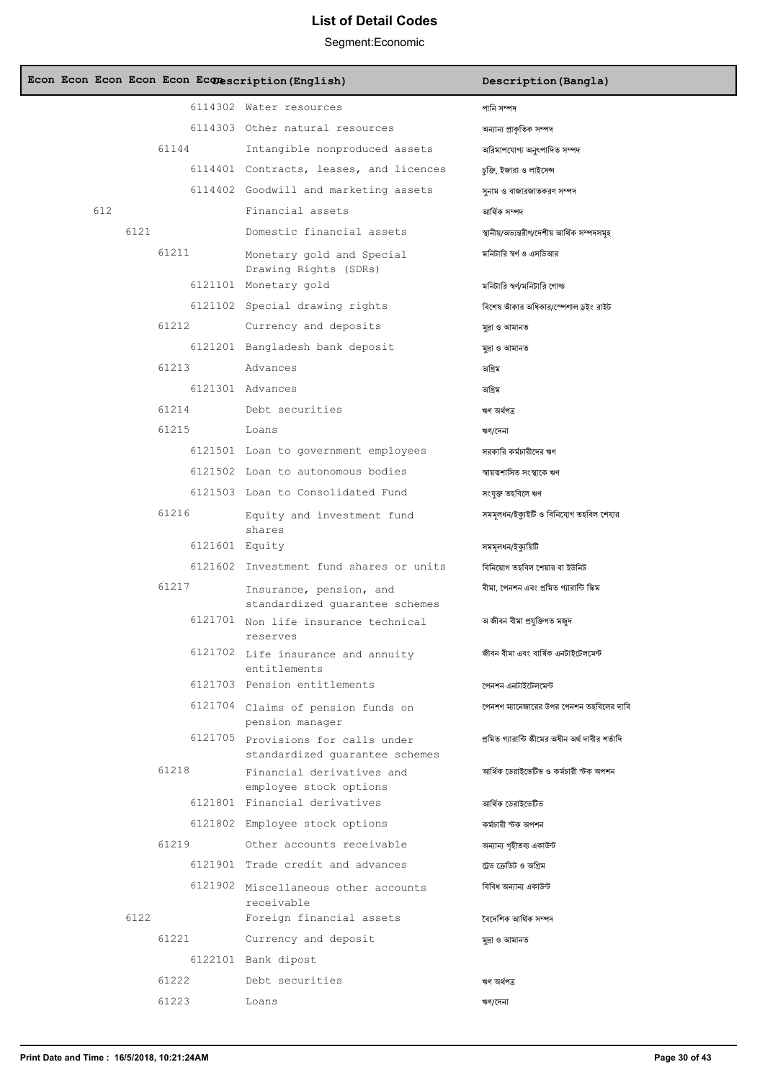| Econ Econ Econ Econ Econ Econescription (English) |                                                                      | Description (Bangla)                              |
|---------------------------------------------------|----------------------------------------------------------------------|---------------------------------------------------|
|                                                   | 6114302 Water resources                                              | পানি সম্পদ                                        |
|                                                   | 6114303 Other natural resources                                      | অন্যান্য প্রাকৃতিক সম্পদ                          |
| 61144                                             | Intangible nonproduced assets                                        | অরিমাপযোগ্য অনুৎপাদিত সম্পদ                       |
|                                                   | 6114401 Contracts, leases, and licences                              | চুক্তি, ইজারা ও লাইসেন্স                          |
|                                                   | 6114402 Goodwill and marketing assets                                | সুনাম ও বাজারজাতকরণ সম্পদ                         |
| 612                                               | Financial assets                                                     | আৰ্থিক সম্পদ                                      |
| 6121                                              | Domestic financial assets                                            | স্থানীয়/অভ্যন্তরীণ/দেশীয় আর্থিক সম্পদসমূহ       |
| 61211                                             | Monetary gold and Special<br>Drawing Rights (SDRs)                   | মনিটারি স্বর্ণ ও এসডিআর                           |
|                                                   | 6121101 Monetary gold                                                | মনিটারি স্বর্ণ/মনিটারি গোল্ড                      |
|                                                   | 6121102 Special drawing rights                                       | বিশেষ আঁকার অধিকার/স্পেশাল ড্রইং রাইট             |
| 61212                                             | Currency and deposits                                                | মুদ্ৰা ও আমানত                                    |
|                                                   | 6121201 Bangladesh bank deposit                                      | মুদ্ৰা ও আমানত                                    |
| 61213                                             | Advances                                                             | অগ্রিম                                            |
|                                                   | 6121301 Advances                                                     | অগ্রিম                                            |
| 61214                                             | Debt securities                                                      | ঋণ অৰ্থপত্ৰ                                       |
| 61215                                             | Loans                                                                | ঋণ/দেনা                                           |
|                                                   | 6121501 Loan to government employees                                 | সরকারি কর্মচারীদের ঋণ                             |
|                                                   | 6121502 Loan to autonomous bodies                                    | স্বায়ত্বশাসিত সংস্থাকে ঋণ                        |
|                                                   | 6121503 Loan to Consolidated Fund                                    | সংযুক্ত তহবিলে ঋণ                                 |
| 61216                                             | Equity and investment fund<br>shares                                 | সমমূলধন/ইক্যুইটি ও বিনিযোগ তহবিল শেযার            |
|                                                   | 6121601 Equity                                                       | সমমূলধন/ইক্যুয়িটি                                |
|                                                   | 6121602 Investment fund shares or units                              | বিনিয়োগ তহবিল শেয়ার বা ইউনিট                    |
| 61217                                             | Insurance, pension, and<br>standardized quarantee schemes            | বীমা, পেনশন এবং প্ৰমিত গ্যারান্টি স্কিম           |
|                                                   | 6121701 Non life insurance technical<br>reserves                     | অ জীবন বীমা প্ৰযুক্তিগত মজুদ                      |
|                                                   | 6121702 Life insurance and annuity<br>entitlements                   | জীবন বীমা এবং বাৰ্ষিক এনটাইটেলমেন্ট               |
|                                                   | 6121703 Pension entitlements                                         | পেনশন এনটাইটেলমেন্ট                               |
|                                                   | 6121704 Claims of pension funds on<br>pension manager                | পেনশণ ম্যানেজারের উপর পেনশন তহবিলের দাবি          |
|                                                   | 6121705 Provisions for calls under<br>standardized quarantee schemes | প্রমিত গ্যারান্টি স্কীমের অধীন অর্থ দাবীর শর্তাদি |
| 61218                                             | Financial derivatives and<br>employee stock options                  | আৰ্থিক ডেরাইভেটিভ ও কর্মচারী স্টক অপশন            |
|                                                   | 6121801 Financial derivatives                                        | আৰ্থিক ডেরাইভেটিভ                                 |
|                                                   | 6121802 Employee stock options                                       | কৰ্মচারী স্টক অপশন                                |
| 61219                                             | Other accounts receivable                                            | অন্যান্য গৃহীতব্য একাউন্ট                         |
|                                                   | 6121901 Trade credit and advances                                    | ট্রেড ক্রেডিট ও অগ্রিম                            |
|                                                   | 6121902 Miscellaneous other accounts<br>receivable                   | বিবিধ অন্যান্য একাউন্ট                            |
| 6122                                              | Foreign financial assets                                             | বৈদেশিক আৰ্থিক সম্পদ                              |
| 61221                                             | Currency and deposit                                                 | মুদ্ৰা ও আমানত                                    |
|                                                   | 6122101 Bank dipost                                                  |                                                   |
| 61222                                             | Debt securities                                                      | ঋণ অৰ্থপত্ৰ                                       |
| 61223                                             | Loans                                                                | ঋণ/দেনা                                           |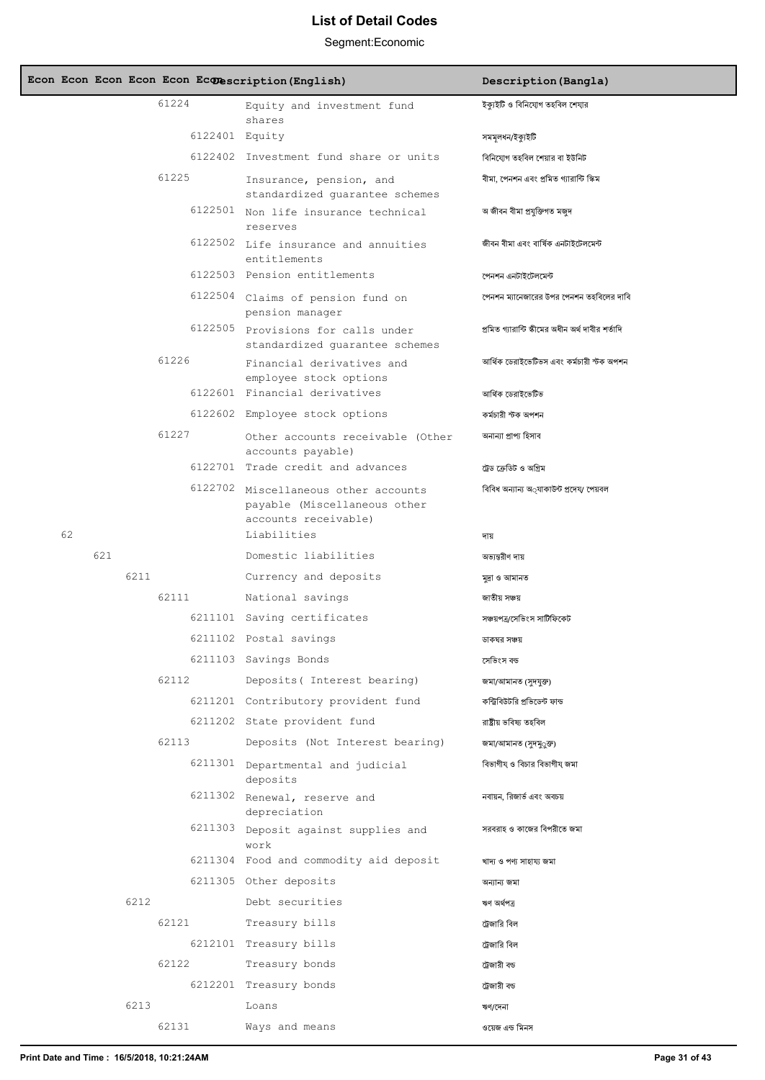|    |     |      |                | Econ Econ Econ Econ Econ Econescription (English)                                            | Description (Bangla)                                     |
|----|-----|------|----------------|----------------------------------------------------------------------------------------------|----------------------------------------------------------|
|    |     |      | 61224          | Equity and investment fund<br>shares                                                         | ইক্যুইটি ও বিনিযোগ তহবিল শেযার                           |
|    |     |      | 6122401 Equity |                                                                                              | সমমূলধন/ইক্যুইটি                                         |
|    |     |      |                | 6122402 Investment fund share or units                                                       | বিনিযোগ তহবিল শেয়ার বা ইউনিট                            |
|    |     |      | 61225          | Insurance, pension, and                                                                      | বীমা, পেনশন এবং প্রমিত গ্যারান্টি স্কিম                  |
|    |     |      |                | standardized quarantee schemes<br>6122501 Non life insurance technical<br>reserves           | অ জীবন বীমা প্ৰযুক্তিগত মজুদ                             |
|    |     |      |                | 6122502 Life insurance and annuities<br>entitlements                                         | জীবন বীমা এবং বাৰ্ষিক এনটাইটেলমেন্ট                      |
|    |     |      |                | 6122503 Pension entitlements                                                                 | পেনশন এনটাইটেলমেন্ট                                      |
|    |     |      | 6122504        | Claims of pension fund on<br>pension manager                                                 | পেনশন ম্যানেজারের উপর পেনশন তহবিলের দাবি                 |
|    |     |      |                | 6122505 Provisions for calls under<br>standardized quarantee schemes                         | প্রমিত গ্যারান্টি স্কীমের অধীন অর্থ দাবীর শর্তাদি        |
|    |     |      | 61226          | Financial derivatives and<br>employee stock options                                          | আৰ্থিক ডেরাইভেটিভস এবং কর্মচারী স্টক অপশন                |
|    |     |      |                | 6122601 Financial derivatives                                                                | আৰ্থিক ডেরাইভেটিভ                                        |
|    |     |      |                | 6122602 Employee stock options                                                               | কৰ্মচারী স্টক অপশন                                       |
|    |     |      | 61227          | Other accounts receivable (Other<br>accounts payable)                                        | অনান্যা প্ৰাপ্য হিসাব                                    |
|    |     |      |                | 6122701 Trade credit and advances                                                            | ট্রেড ক্রেডিট ও অগ্রিম                                   |
|    |     |      |                | 6122702 Miscellaneous other accounts<br>payable (Miscellaneous other<br>accounts receivable) | বিবিধ অন্যান্য অ্যাকাউন্ট প্ৰদেয⁄ পেয়বল                 |
| 62 |     |      |                | Liabilities                                                                                  | দায                                                      |
|    | 621 |      |                | Domestic liabilities                                                                         | অভ্যন্তরীণ দায                                           |
|    |     | 6211 |                | Currency and deposits                                                                        | মুদ্ৰা ও আমানত                                           |
|    |     |      | 62111          | National savings                                                                             | জাতীয় সঞ্চয়                                            |
|    |     |      |                | 6211101 Saving certificates                                                                  | সঞ্চয়পত্ৰ/সেভিংস সাটিফিকেট                              |
|    |     |      |                | 6211102 Postal savings                                                                       | ডাকঘর সঞ্চয়                                             |
|    |     |      |                | 6211103 Savings Bonds                                                                        | সেভিংস বন্ড                                              |
|    |     |      | 62112          | Deposits ( Interest bearing)                                                                 | জমা/আমানত (সুদযুক্ত)                                     |
|    |     |      |                | 6211201 Contributory provident fund                                                          | কন্ট্রিবিউটরি প্রভিডেন্ট ফান্ড                           |
|    |     |      |                | 6211202 State provident fund                                                                 | রাষ্ট্রীয় ভবিষ্য তহবিল                                  |
|    |     |      | 62113          | Deposits (Not Interest bearing)                                                              | জমা/আমানত (সুদমু্ত্রু)                                   |
|    |     |      |                | 6211301 Departmental and judicial<br>deposits                                                | বিভাগীয ও বিচার বিভাগীয জমা<br>নবায়ন, রিজার্ভ এবং অবচয় |
|    |     |      |                | 6211302 Renewal, reserve and<br>depreciation                                                 | সরবরাহ ও কাজের বিপরীতে জমা                               |
|    |     |      |                | 6211303 Deposit against supplies and<br>work                                                 |                                                          |
|    |     |      |                | 6211304 Food and commodity aid deposit                                                       | খাদ্য ও পণ্য সাহায্য জমা                                 |
|    |     |      |                | 6211305 Other deposits                                                                       | অন্যান্য জমা                                             |
|    |     | 6212 |                | Debt securities                                                                              | ঋণ অৰ্থপত্ৰ                                              |
|    |     |      | 62121          | Treasury bills                                                                               | ট্রেজারি বিল                                             |
|    |     |      |                | 6212101 Treasury bills                                                                       | ট্রেজারি বিল                                             |
|    |     |      | 62122          | Treasury bonds                                                                               | ট্রেজারী বড                                              |
|    |     |      |                | 6212201 Treasury bonds                                                                       | ট্রেজারী বড                                              |
|    |     | 6213 |                | Loans                                                                                        | ঋণ/দেনা                                                  |
|    |     |      | 62131          | Ways and means                                                                               | ওয়েজ এন্ড মিনস                                          |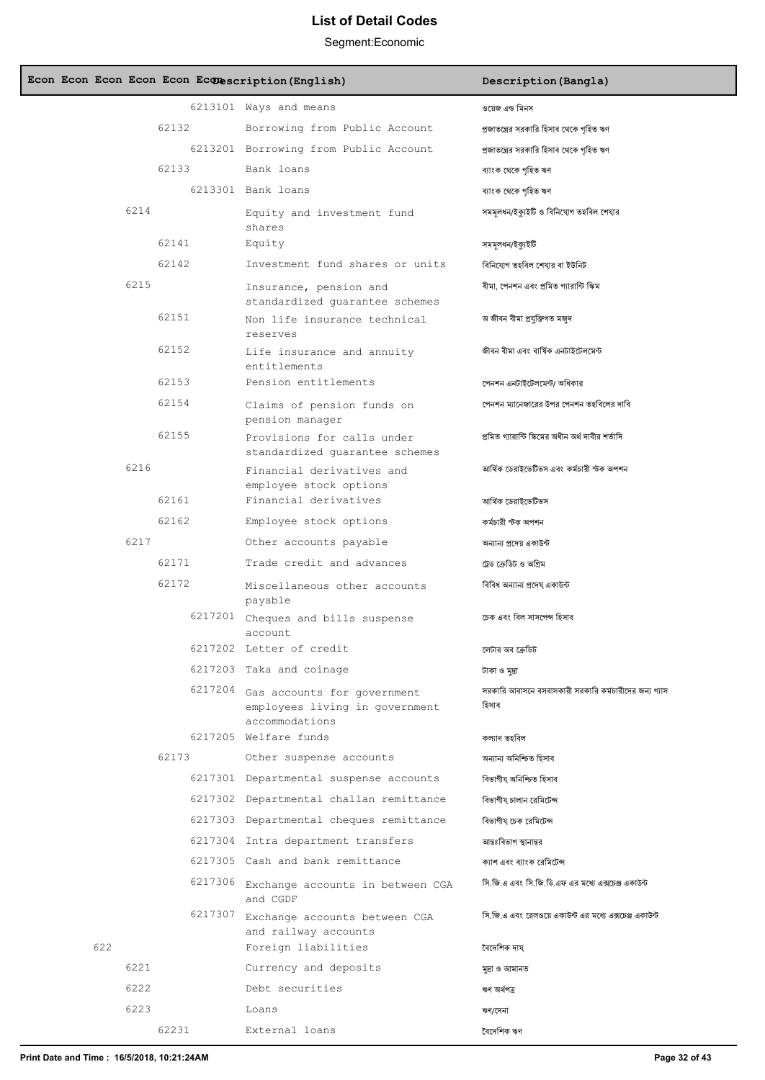### Segment:Economic

|     |      |         | Econ Econ Econ Econ Econ Econescription (English)                                       | Description (Bangla)                                           |
|-----|------|---------|-----------------------------------------------------------------------------------------|----------------------------------------------------------------|
|     |      |         | 6213101 Ways and means                                                                  | ওয়েজ এন্ড মিনস                                                |
|     |      | 62132   | Borrowing from Public Account                                                           | প্রজাতন্ত্রের সরকারি হিসাব থেকে গহিত ঋণ                        |
|     |      |         | 6213201 Borrowing from Public Account                                                   | প্রজাতন্ত্রের সরকারি হিসাব থেকে গহিত ঋণ                        |
|     |      | 62133   | Bank loans                                                                              | ব্যাংক থেকে গহিত ঋণ                                            |
|     |      |         | 6213301 Bank loans                                                                      | ব্যাংক থেকে গৃহিত ঋণ                                           |
|     | 6214 |         | Equity and investment fund<br>shares                                                    | সমমলধন/ইক্যইটি ও বিনিযোগ তহবিল শেযার                           |
|     |      | 62141   | Equity                                                                                  | সমমূলধন/ইক্যুইটি                                               |
|     |      | 62142   | Investment fund shares or units                                                         | বিনিযোগ তহবিল শেযার বা ইউনিট                                   |
|     | 6215 |         | Insurance, pension and<br>standardized quarantee schemes                                | বীমা, পেনশন এবং প্ৰমিত গ্যারান্টি স্কিম                        |
|     |      | 62151   | Non life insurance technical<br>reserves                                                | অ জীবন বীমা প্ৰযুক্তিগত মজুদ                                   |
|     |      | 62152   | Life insurance and annuity<br>entitlements                                              | জীবন বীমা এবং বাৰ্ষিক এনটাইটেলমেন্ট                            |
|     |      | 62153   | Pension entitlements                                                                    | পেনশন এনটাইটেলমেন্ট/ অধিকার                                    |
|     |      | 62154   | Claims of pension funds on<br>pension manager                                           | পেনশন ম্যানেজারের উপর পেনশন তহবিলের দাবি                       |
|     |      | 62155   | Provisions for calls under<br>standardized quarantee schemes                            | প্রমিত গ্যারান্টি স্কিমের অধীন অর্থ দাবীর শর্তাদি              |
|     | 6216 |         | Financial derivatives and<br>employee stock options                                     | আৰ্থিক ডেরাইভেটিভস এবং কর্মচারী স্টক অপশন                      |
|     |      | 62161   | Financial derivatives                                                                   | আৰ্থিক ডেরাইভেটিভস                                             |
|     |      | 62162   | Employee stock options                                                                  | কৰ্মচারী স্টক অপশন                                             |
|     | 6217 |         | Other accounts payable                                                                  | অন্যান্য প্রদেয় একাউন্ট                                       |
|     |      | 62171   | Trade credit and advances                                                               | ট্রেড ক্রেডিট ও অগ্রিম                                         |
|     |      | 62172   | Miscellaneous other accounts<br>payable                                                 | বিবিধ অন্যান্য প্ৰদেয একাউন্ট                                  |
|     |      |         | 6217201 Cheques and bills suspense<br>account                                           | চেক এবং বিল সাসপেন্স হিসাব                                     |
|     |      |         | 6217202 Letter of credit                                                                | লেটার অব ক্রেডিট                                               |
|     |      |         | 6217203 Taka and coinage                                                                | টাকা ও মুদ্রা                                                  |
|     |      |         | 6217204 Gas accounts for government<br>employees living in government<br>accommodations | সরকারি আবাসনে বসবাসকারী সরকারি কর্মচারীদের জন্য গ্যাস<br>হিসাব |
|     |      |         | 6217205 Welfare funds                                                                   | কল্যাণ তহবিল                                                   |
|     |      | 62173   | Other suspense accounts                                                                 | অন্যান্য অনিশ্চিত হিসাব                                        |
|     |      |         | 6217301 Departmental suspense accounts                                                  | বিভাগীয অনিশ্চিত হিসাব                                         |
|     |      |         | 6217302 Departmental challan remittance                                                 | বিভাগীয চালান রেমিটেন্স                                        |
|     |      |         | 6217303 Departmental cheques remittance                                                 | বিভাগীয চেক রেমিটেন্স                                          |
|     |      |         | 6217304 Intra department transfers                                                      | আন্তঃবিভাগ স্থানান্তর                                          |
|     |      |         | 6217305 Cash and bank remittance                                                        | ক্যাশ এবং ব্যাংক রেমিটেন্স                                     |
|     |      |         | 6217306 Exchange accounts in between CGA<br>and CGDF                                    | সি জি এ এবং সি জি ডি এফ এর মধ্যে এক্সচেঞ্জ একাউন্ট             |
|     |      | 6217307 | Exchange accounts between CGA<br>and railway accounts                                   | সি জি.এ এবং রেলওয়ে একাউন্ট এর মধ্যে এক্সচেঞ্জ একাউন্ট         |
| 622 |      |         | Foreign liabilities                                                                     | বৈদেশিক দায                                                    |
|     | 6221 |         | Currency and deposits                                                                   | মুদ্ৰা ও আমানত                                                 |
|     | 6222 |         | Debt securities                                                                         | ঋণ অৰ্থপত্ৰ                                                    |

6223 Loans ঋণ/নদনর

62231 External loans ববনদতশক ঋণ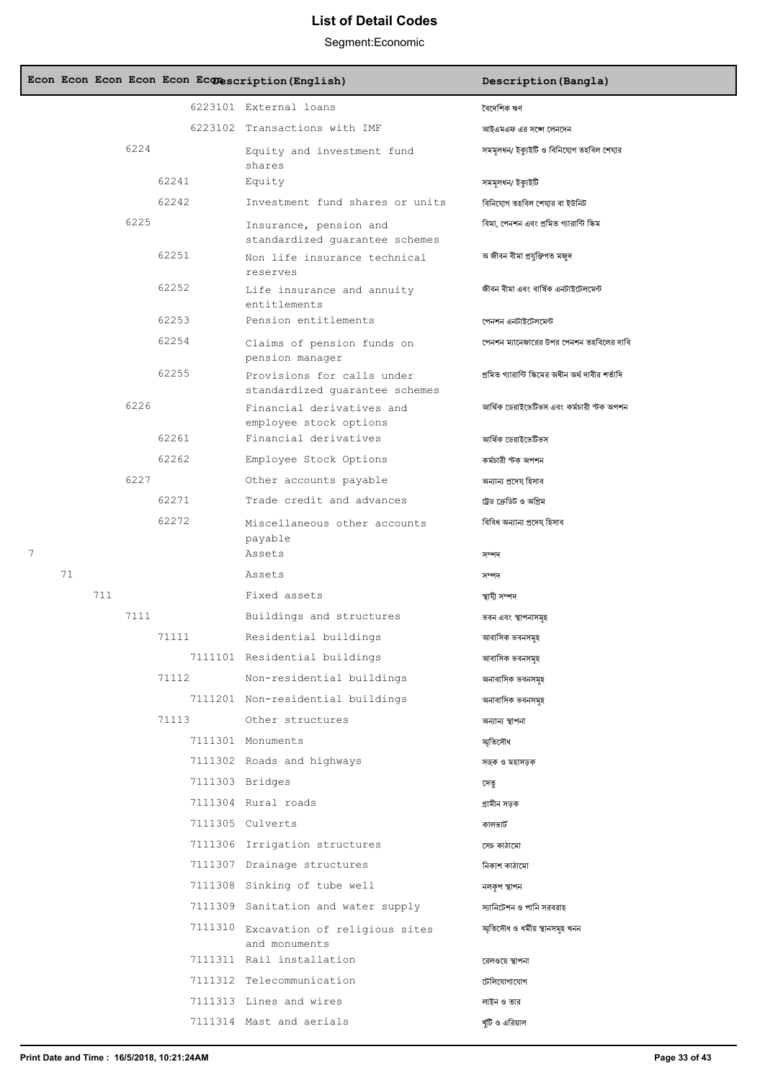|   |    |     |      |       | Econ Econ Econ Econ Econ Econescription (English)            | Description (Bangla)                              |
|---|----|-----|------|-------|--------------------------------------------------------------|---------------------------------------------------|
|   |    |     |      |       | 6223101 External loans                                       | বৈদেশিক ঋণ                                        |
|   |    |     |      |       | 6223102 Transactions with IMF                                | আইএমএফ এর সঙ্গে লেনদেন                            |
|   |    |     | 6224 |       | Equity and investment fund<br>shares                         | সমমূলধন/ ইক্যুইটি ও বিনিযোগ তহবিল শেযার           |
|   |    |     |      | 62241 | Equity                                                       | সমমূলধন/ ইক্যুইটি                                 |
|   |    |     |      | 62242 | Investment fund shares or units                              | বিনিযোগ তহবিল শেযার বা ইউনিট                      |
|   |    |     | 6225 |       | Insurance, pension and<br>standardized guarantee schemes     | বিমা, পেনশন এবং প্রমিত গ্যারান্টি স্কিম           |
|   |    |     |      | 62251 | Non life insurance technical<br>reserves                     | অ জীবন বীমা প্ৰযুক্তিগত মজুদ                      |
|   |    |     |      | 62252 | Life insurance and annuity<br>entitlements                   | জীবন বীমা এবং বাৰ্ষিক এনটাইটেলমেন্ট               |
|   |    |     |      | 62253 | Pension entitlements                                         | পেনশন এনটাইটেলমেন্ট                               |
|   |    |     |      | 62254 | Claims of pension funds on<br>pension manager                | পেনশন ম্যানেজারের উপর পেনশন তহবিলের দাবি          |
|   |    |     |      | 62255 | Provisions for calls under<br>standardized quarantee schemes | প্রমিত গ্যারান্টি স্কিমের অধীন অর্থ দাবীর শর্তাদি |
|   |    |     | 6226 |       | Financial derivatives and<br>employee stock options          | আৰ্থিক ডেরাইভেটিভস এবং কর্মচারী স্টক অপশন         |
|   |    |     |      | 62261 | Financial derivatives                                        | আৰ্থিক ডেরাইভেটিভস                                |
|   |    |     |      | 62262 | Employee Stock Options                                       | কৰ্মচারী স্টক অপশন                                |
|   |    |     | 6227 |       | Other accounts payable                                       | অন্যান্য প্ৰদেয হিসাব                             |
|   |    |     |      | 62271 | Trade credit and advances                                    | ট্রেড ক্রেডিট ও অগ্রিম                            |
|   |    |     |      | 62272 | Miscellaneous other accounts<br>payable                      | বিবিধ অন্যান্য প্ৰদেয হিসাব                       |
| 7 |    |     |      |       | Assets                                                       | সম্পদ                                             |
|   | 71 |     |      |       | Assets                                                       | সম্পদ                                             |
|   |    | 711 |      |       | Fixed assets                                                 | স্থাযী সম্পদ                                      |
|   |    |     | 7111 |       | Buildings and structures                                     | ভবন এবং স্থাপনাসমূহ                               |
|   |    |     |      | 71111 | Residential buildings                                        | আবাসিক ভবনসমূহ                                    |
|   |    |     |      |       | 7111101 Residential buildings                                | আবাসিক ভবনসমহ                                     |
|   |    |     |      | 71112 | Non-residential buildings                                    | অনাবাসিক ভবনসমূহ                                  |
|   |    |     |      |       | 7111201 Non-residential buildings                            | অনাবাসিক ভবনসমহ                                   |
|   |    |     |      | 71113 | Other structures                                             | অন্যান্য স্থাপনা                                  |
|   |    |     |      |       | 7111301 Monuments                                            | স্মৃতিসৌধ                                         |
|   |    |     |      |       | 7111302 Roads and highways                                   | সড়ক ও মহাসড়ক                                    |
|   |    |     |      |       | 7111303 Bridges                                              | সেতু                                              |
|   |    |     |      |       | 7111304 Rural roads                                          | গ্ৰামীন সড়ক                                      |
|   |    |     |      |       | 7111305 Culverts                                             | কালভার্ট                                          |
|   |    |     |      |       | 7111306 Irrigation structures                                | সেচ কাঠামো                                        |
|   |    |     |      |       | 7111307 Drainage structures                                  | নিকাশ কাঠামো                                      |
|   |    |     |      |       | 7111308 Sinking of tube well                                 | নলকৃপ স্থাপন                                      |
|   |    |     |      |       | 7111309 Sanitation and water supply                          | স্যানিটেশন ও পানি সরবরাহ                          |
|   |    |     |      |       | 7111310 Excavation of religious sites<br>and monuments       | স্মৃতিসৌধ ও ধৰ্মীয় স্থানসমূহ খনন                 |
|   |    |     |      |       | 7111311 Rail installation                                    | রেলওয়ে স্থাপনা                                   |
|   |    |     |      |       | 7111312 Telecommunication                                    | টেলিযোগাযোগ                                       |
|   |    |     |      |       | 7111313 Lines and wires                                      | লাইন ও তার                                        |
|   |    |     |      |       | 7111314 Mast and aerials                                     | খুঁটি ও এরিয়াল                                   |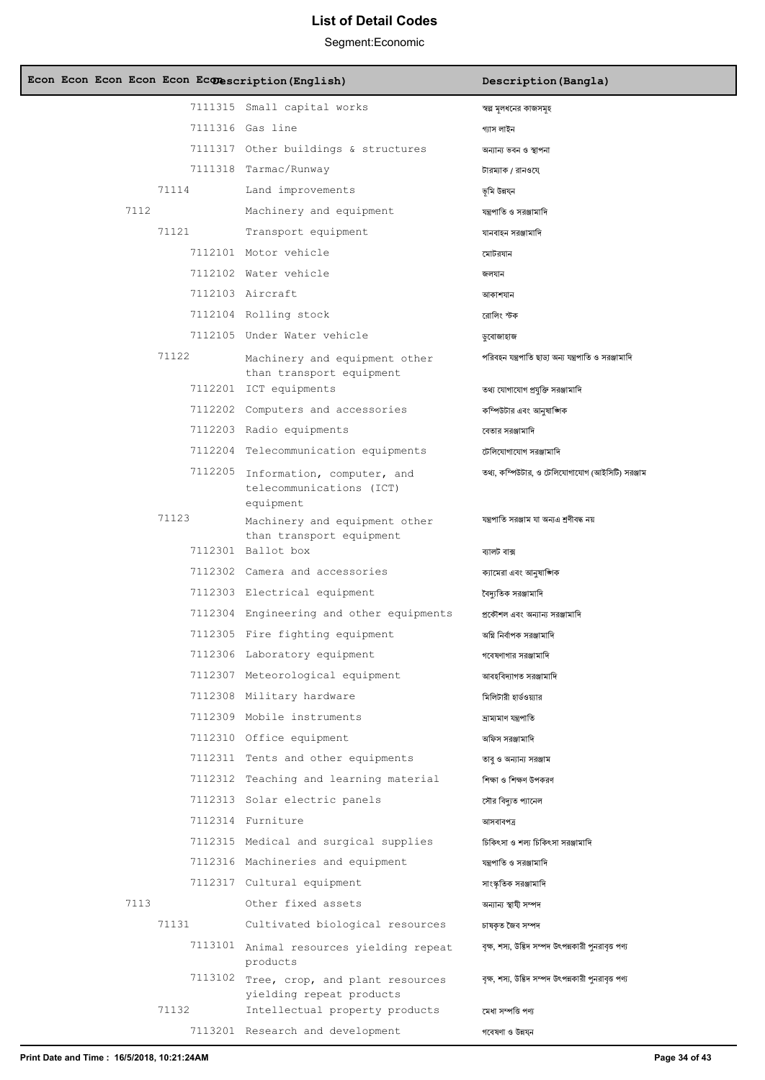| Econ Econ Econ Econ Econ Econescription (English) |                                                                             | Description (Bangla)                                 |
|---------------------------------------------------|-----------------------------------------------------------------------------|------------------------------------------------------|
|                                                   | 7111315 Small capital works                                                 | স্বল্প মূলধনের কাজসমূহ                               |
|                                                   | 7111316 Gas line                                                            | গ্যাস লাইন                                           |
|                                                   | 7111317 Other buildings & structures                                        | অন্যান্য ভবন ও স্থাপনা                               |
|                                                   | 7111318 Tarmac/Runway                                                       | টারম্যাক / রানওযে                                    |
| 71114                                             | Land improvements                                                           | ভূমি উন্নয্ন                                         |
| 7112                                              | Machinery and equipment                                                     | যন্ত্রপাতি ও সরঞ্জামাদি                              |
| 71121                                             | Transport equipment                                                         | যানবাহন সরঞ্জামাদি                                   |
|                                                   | 7112101 Motor vehicle                                                       | মোটরযান                                              |
|                                                   | 7112102 Water vehicle                                                       | জলযান                                                |
|                                                   | 7112103 Aircraft                                                            | আকাশযান                                              |
|                                                   | 7112104 Rolling stock                                                       | রোলিং স্টক                                           |
|                                                   | 7112105 Under Water vehicle                                                 | ডুবোজাহাজ                                            |
| 71122                                             | Machinery and equipment other<br>than transport equipment                   | পরিবহন যন্ত্রপাতি ছাড়া অন্য যন্ত্রপাতি ও সরঞ্জামাদি |
|                                                   | 7112201 ICT equipments                                                      | তথ্য যোগাযোগ প্ৰযুক্তি সরঞ্জামাদি                    |
|                                                   | 7112202 Computers and accessories                                           | কম্পিউটার এবং আনুষাঙ্গিক                             |
|                                                   | 7112203 Radio equipments                                                    | বেতার সরঞ্জামাদি                                     |
|                                                   | 7112204 Telecommunication equipments                                        | টেলিযোগাযোগ সরঞ্জামাদি                               |
|                                                   | 7112205 Information, computer, and<br>telecommunications (ICT)<br>equipment | তথ্য, কম্পিউটার, ও টেলিযোগাযোগ (আইসিটি) সরঞ্জাম      |
| 71123                                             | Machinery and equipment other<br>than transport equipment                   | যন্ত্ৰপাতি সরঞ্জাম যা অন্যএ শ্রণীবদ্ধ নয়            |
|                                                   | 7112301 Ballot box                                                          | ব্যালট বাক্স                                         |
|                                                   | 7112302 Camera and accessories                                              | ক্যামেরা এবং আনুষাঙ্গিক                              |
|                                                   | 7112303 Electrical equipment                                                | বৈদ্যতিক সরঞ্জামাদি                                  |
|                                                   | 7112304 Engineering and other equipments                                    | প্রকৌশল এবং অন্যান্য সরঞ্জামাদি                      |
|                                                   | 7112305 Fire fighting equipment                                             | অগ্নি নিৰ্বাপক সরঞ্জামাদি                            |
|                                                   | 7112306 Laboratory equipment                                                | গবেষণাগার সরঞ্জামাদি                                 |
|                                                   | 7112307 Meteorological equipment                                            | আবহবিদ্যাগত সরঞ্জামাদি                               |
|                                                   | 7112308 Military hardware                                                   | মিলিটারী হার্ডওয়্যার                                |
|                                                   | 7112309 Mobile instruments                                                  | দ্ৰাম্যমাণ যন্ত্ৰপাতি                                |
|                                                   | 7112310 Office equipment                                                    | অফিস সরঞ্জামাদি                                      |
|                                                   | 7112311 Tents and other equipments                                          | তাব ও অন্যান্য সরঞ্জাম                               |
|                                                   | 7112312 Teaching and learning material                                      | শিক্ষা ও শিক্ষণ উপকরণ                                |
|                                                   | 7112313 Solar electric panels                                               | সৌর বিদ্যুত প্যানেল                                  |
|                                                   | 7112314 Furniture                                                           | আসবাবপত্ৰ                                            |
|                                                   | 7112315 Medical and surgical supplies                                       | চিকিৎসা ও শল্য চিকিৎসা সরঞ্জামাদি                    |
|                                                   | 7112316 Machineries and equipment                                           | যন্ত্রপাতি ও সরঞ্জামাদি                              |
|                                                   | 7112317 Cultural equipment                                                  | সাংস্কৃতিক সরঞ্জামাদি                                |
| 7113                                              | Other fixed assets                                                          | অন্যান্য স্থাযী সম্পদ                                |
| 71131                                             | Cultivated biological resources                                             | চাষকত জৈব সম্পদ                                      |
|                                                   | 7113101 Animal resources yielding repeat<br>products                        | বৃক্ষ, শস্য, উদ্ভিদ সম্পদ উৎপন্নকারী পুনরাবৃত্ত পণ্য |
|                                                   | 7113102 Tree, crop, and plant resources<br>yielding repeat products         | বৃক্ষ, শস্য, উদ্ভিদ সম্পদ উৎপন্নকারী পুনরাবৃত্ত পণ্য |
| 71132                                             | Intellectual property products<br>7113201 Research and development          | মেধা সম্পত্তি পণ্য<br>গবেষণা ও উন্নয্ন               |
|                                                   |                                                                             |                                                      |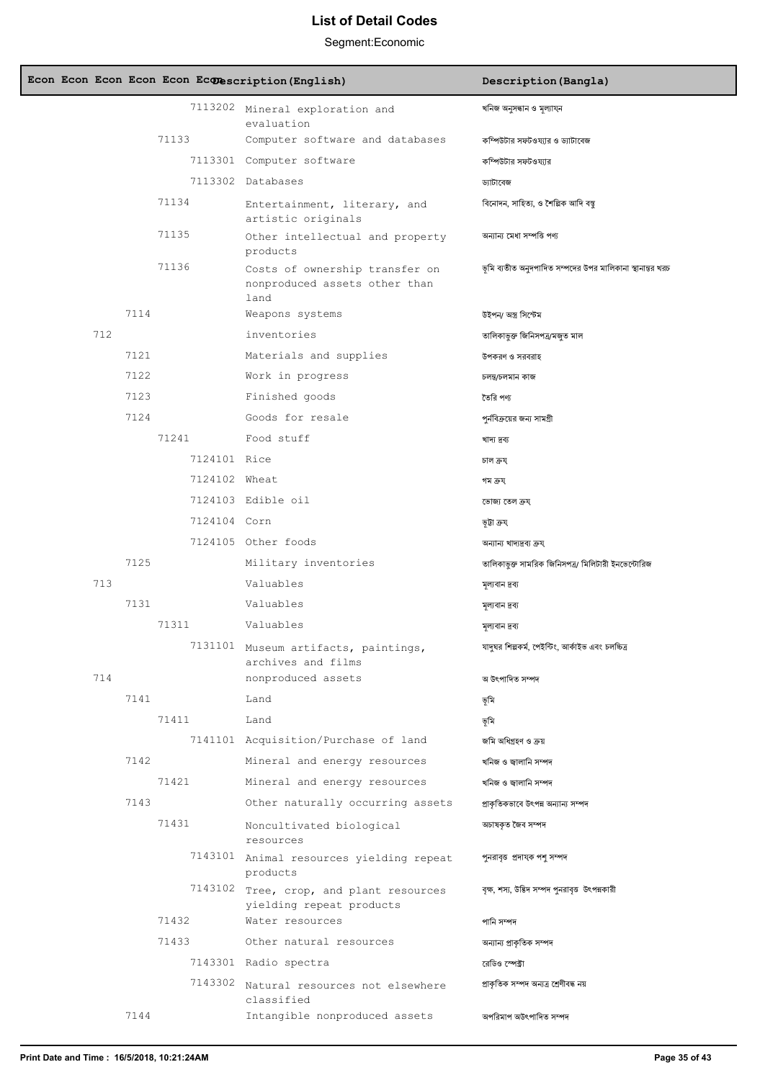|  |     |      |       |               | Econ Econ Econ Econ Econ Econescription (English)                       | Description (Bangla)                                      |
|--|-----|------|-------|---------------|-------------------------------------------------------------------------|-----------------------------------------------------------|
|  |     |      |       |               | 7113202 Mineral exploration and<br>evaluation                           | খনিজ অনুসন্ধান ও মূল্যায্ন                                |
|  |     |      | 71133 |               | Computer software and databases                                         | কম্পিউটার সফটওয্যার ও ড্যাটাবেজ                           |
|  |     |      |       |               | 7113301 Computer software                                               | কম্পিউটার সফটওয্যার                                       |
|  |     |      |       |               | 7113302 Databases                                                       | ড্যাটাবেজ                                                 |
|  |     |      | 71134 |               | Entertainment, literary, and<br>artistic originals                      | বিনোদন, সাহিত্য, ও শৈল্পিক আদি বস্তু                      |
|  |     |      | 71135 |               | Other intellectual and property<br>products                             | অন্যান্য মেধা সম্পত্তি পণ্য                               |
|  |     |      | 71136 |               | Costs of ownership transfer on<br>nonproduced assets other than<br>land | ভূমি ব্যতীত অনুদপাদিত সম্পদের উপর মালিকানা স্থানান্তর খরচ |
|  |     | 7114 |       |               | Weapons systems                                                         | উইপন/ অস্ত্ৰ সিস্টেম                                      |
|  | 712 |      |       |               | inventories                                                             | তালিকাভুক্ত জিনিসপত্ৰ/মজত মাল                             |
|  |     | 7121 |       |               | Materials and supplies                                                  | উপকরণ ও সরবরাহ                                            |
|  |     | 7122 |       |               | Work in progress                                                        | চলন্ত/চলমান কাজ                                           |
|  |     | 7123 |       |               | Finished goods                                                          | তৈরি পণ্য                                                 |
|  |     | 7124 |       |               | Goods for resale                                                        | পর্নবিক্রয়ের জন্য সামগ্রী                                |
|  |     |      | 71241 |               | Food stuff                                                              | খাদ্য দ্ৰব্য                                              |
|  |     |      |       | 7124101 Rice  |                                                                         | চাল ক্ৰয                                                  |
|  |     |      |       | 7124102 Wheat |                                                                         | গম ক্ৰয                                                   |
|  |     |      |       |               | 7124103 Edible oil                                                      | ভোজ্য তেল ক্ৰয                                            |
|  |     |      |       | 7124104 Corn  |                                                                         | ভূটা ক্ৰয                                                 |
|  |     |      |       |               | 7124105 Other foods                                                     | অন্যান্য খাদ্যদ্রব্য ক্রয্                                |
|  |     | 7125 |       |               | Military inventories                                                    | তালিকাভূক্ত সামরিক জিনিসপত্র/ মিলিটারী ইনভেন্টোরিজ        |
|  | 713 |      |       |               | Valuables                                                               | মূল্যবান দ্রব্য                                           |
|  |     | 7131 |       |               | Valuables                                                               | মূল্যবান দ্রব্য                                           |
|  |     |      | 71311 |               | Valuables                                                               | মূল্যবান দ্রব্য                                           |
|  |     |      |       |               | 7131101 Museum artifacts, paintings,<br>archives and films              | যাদঘর শিল্পকর্ম, পেইন্টিং, আর্কাইভ এবং চলচ্চিত্র          |
|  | 714 |      |       |               | nonproduced assets                                                      | অ উৎপাদিত সম্পদ                                           |
|  |     | 7141 |       |               | Land                                                                    | ভূমি                                                      |
|  |     |      | 71411 |               | Land                                                                    | ভূমি                                                      |
|  |     |      |       |               | 7141101 Acquisition/Purchase of land                                    | জমি অধিগ্ৰহণ ও ক্ৰয়                                      |
|  |     | 7142 |       |               | Mineral and energy resources                                            | খনিজ ও জ্বালানি সম্পদ                                     |
|  |     |      | 71421 |               | Mineral and energy resources                                            | খনিজ ও জ্বালানি সম্পদ                                     |
|  |     | 7143 |       |               | Other naturally occurring assets                                        | প্রাকৃতিকভাবে উৎপন্ন অন্যান্য সম্পদ                       |
|  |     |      | 71431 |               | Noncultivated biological<br>resources                                   | অচাষকৃত জৈব সম্পদ                                         |
|  |     |      |       |               | 7143101 Animal resources yielding repeat<br>products                    | পুনরাবৃত্ত প্রদাযক পশু সম্পদ                              |
|  |     |      |       | 7143102       | Tree, crop, and plant resources<br>yielding repeat products             | বৃক্ষ, শস্য, উত্তিদ সম্পদ পুনরাবৃত্ত উৎপন্নকারী           |
|  |     |      | 71432 |               | Water resources                                                         | পানি সম্পদ                                                |
|  |     |      | 71433 |               | Other natural resources                                                 | অন্যান্য প্রাকৃতিক সম্পদ                                  |
|  |     |      |       |               | 7143301 Radio spectra                                                   | রেডিও স্পেক্টা                                            |
|  |     |      |       | 7143302       | Natural resources not elsewhere<br>classified                           | প্ৰাকৃতিক সম্পদ অন্যত্ৰ শ্ৰেণীবদ্ধ নয়                    |
|  |     | 7144 |       |               | Intangible nonproduced assets                                           | অপরিমাপ অউৎপাদিত সম্পদ                                    |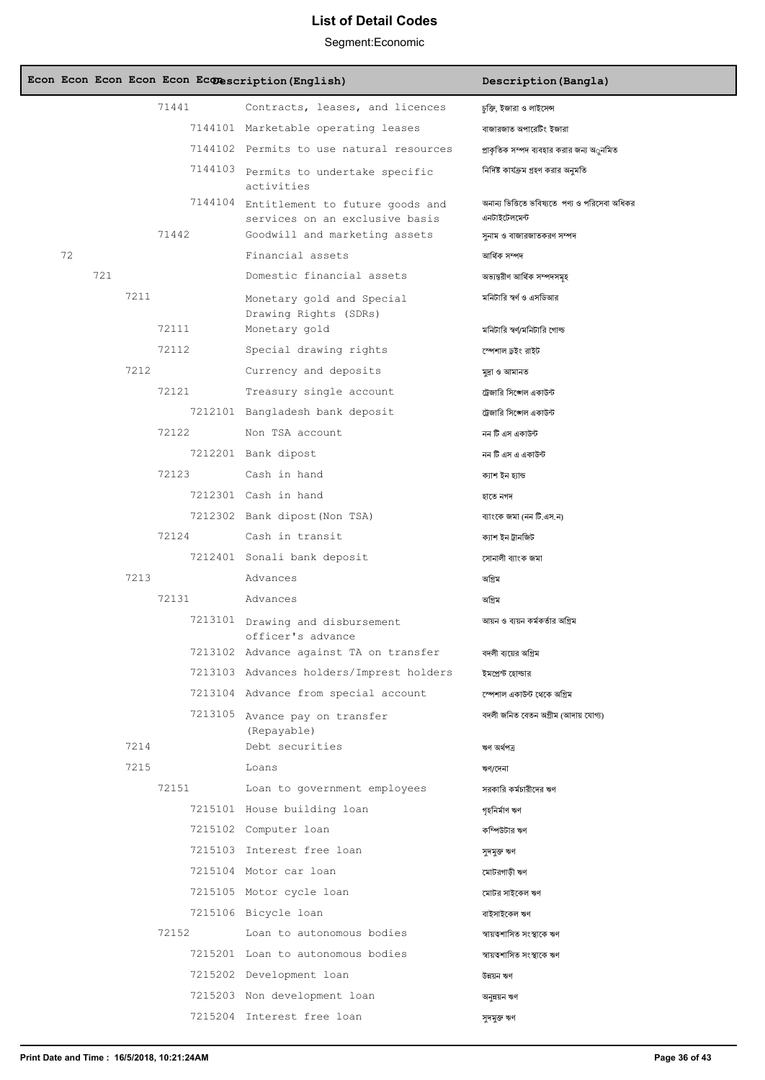|    |     |      |         | Econ Econ Econ Econ Econ Econescription (English)                 | Description (Bangla)                                            |
|----|-----|------|---------|-------------------------------------------------------------------|-----------------------------------------------------------------|
|    |     |      | 71441   | Contracts, leases, and licences                                   | চুক্তি, ইজারা ও লাইসেন্স                                        |
|    |     |      |         | 7144101 Marketable operating leases                               | বাজারজাত অপারেটিং ইজারা                                         |
|    |     |      |         | 7144102 Permits to use natural resources                          | প্রাকৃতিক সম্পদ ব্যবহার করার জন্য অ্রুনমিত                      |
|    |     |      | 7144103 | Permits to undertake specific<br>activities                       | নির্দিষ্ট কার্যক্রম গ্রহণ করার অনুমতি                           |
|    |     |      | 7144104 | Entitlement to future goods and<br>services on an exclusive basis | অনান্য ভিত্তিতে ভবিষ্যতে  পণ্য ও পরিসেবা অধিকর<br>এনটাইটেলমেন্ট |
|    |     |      | 71442   | Goodwill and marketing assets                                     | সুনাম ও বাজারজাতকরণ সম্পদ                                       |
| 72 |     |      |         | Financial assets                                                  | আৰ্থিক সম্পদ                                                    |
|    | 721 |      |         | Domestic financial assets                                         | অভ্যন্তরীণ আর্থিক সম্পদসমূহ                                     |
|    |     | 7211 |         | Monetary gold and Special<br>Drawing Rights (SDRs)                | মনিটারি স্বর্ণ ও এসডিআর                                         |
|    |     |      | 72111   | Monetary gold                                                     | মনিটারি স্বর্ণ/মনিটারি গোল্ড                                    |
|    |     |      | 72112   | Special drawing rights                                            | স্পেশাল ডুইং রাইট                                               |
|    |     | 7212 |         | Currency and deposits                                             | মুদ্ৰা ও আমানত                                                  |
|    |     |      | 72121   | Treasury single account                                           | ট্রেজারি সিঙ্গেল একাউন্ট                                        |
|    |     |      |         | 7212101 Bangladesh bank deposit                                   | ট্রেজারি সিঙ্গেল একাউন্ট                                        |
|    |     |      | 72122   | Non TSA account                                                   | নন টি এস একাউন্ট                                                |
|    |     |      |         | 7212201 Bank dipost                                               | নন টি এস এ একাউন্ট                                              |
|    |     |      | 72123   | Cash in hand                                                      | ক্যাশ ইন হ্যান্ড                                                |
|    |     |      |         | 7212301 Cash in hand                                              | হাতে নগদ                                                        |
|    |     |      |         | 7212302 Bank dipost (Non TSA)                                     | ব্যাংকে জমা (নন টি.এস.ন)                                        |
|    |     |      | 72124   | Cash in transit                                                   | ক্যাশ ইন ট্ৰানজিট                                               |
|    |     |      |         | 7212401 Sonali bank deposit                                       | সোনালী ব্যাংক জমা                                               |
|    |     | 7213 |         | Advances                                                          | অগ্রিম                                                          |
|    |     |      | 72131   | Advances                                                          | অগ্রিম                                                          |
|    |     |      |         | 7213101 Drawing and disbursement<br>officer's advance             | আয়ন ও ব্যয়ন কর্মকর্তার অগ্রিম                                 |
|    |     |      |         | 7213102 Advance against TA on transfer                            | বদলী ব্যয়ের অগ্রিম                                             |
|    |     |      |         | 7213103 Advances holders/Imprest holders                          | ইমপ্ৰেন্ট হোল্ডার                                               |
|    |     |      |         | 7213104 Advance from special account                              | স্পেশাল একাউন্ট থেকে অগ্রিম                                     |
|    |     |      |         | 7213105 Avance pay on transfer<br>(Repayable)                     | বদলী জনিত বেতন অগ্ৰীম (আদায় যোগ্য)                             |
|    |     | 7214 |         | Debt securities                                                   | ঋণ অৰ্থপত্ৰ                                                     |
|    |     | 7215 |         | Loans                                                             | ঋণ/দেনা                                                         |
|    |     |      | 72151   | Loan to government employees                                      | সরকারি কর্মচারীদের ঋণ                                           |
|    |     |      |         | 7215101 House building loan                                       | গৃহনিৰ্মাণ ঋণ                                                   |
|    |     |      |         | 7215102 Computer loan                                             | কম্পিউটার ঋণ                                                    |
|    |     |      |         | 7215103 Interest free loan                                        | সুদমুক্ত ঋণ                                                     |
|    |     |      |         | 7215104 Motor car loan                                            | মোটরগাড়ী ঋণ                                                    |
|    |     |      |         | 7215105 Motor cycle loan                                          | মোটর সাইকেল ঋণ                                                  |
|    |     |      |         | 7215106 Bicycle loan                                              | বাইসাইকেল ঋণ                                                    |
|    |     |      | 72152   | Loan to autonomous bodies                                         | স্বায়ত্বশাসিত সংস্থাকে ঋণ                                      |
|    |     |      |         | 7215201 Loan to autonomous bodies                                 | স্বায়ত্বশাসিত সংস্থাকে ঋণ                                      |
|    |     |      |         | 7215202 Development loan                                          | উন্নয়ন ঋণ                                                      |
|    |     |      |         | 7215203 Non development loan                                      | অনুন্নয়ন ঋণ                                                    |
|    |     |      |         | 7215204 Interest free loan                                        | সুদমুক্ত ঋণ                                                     |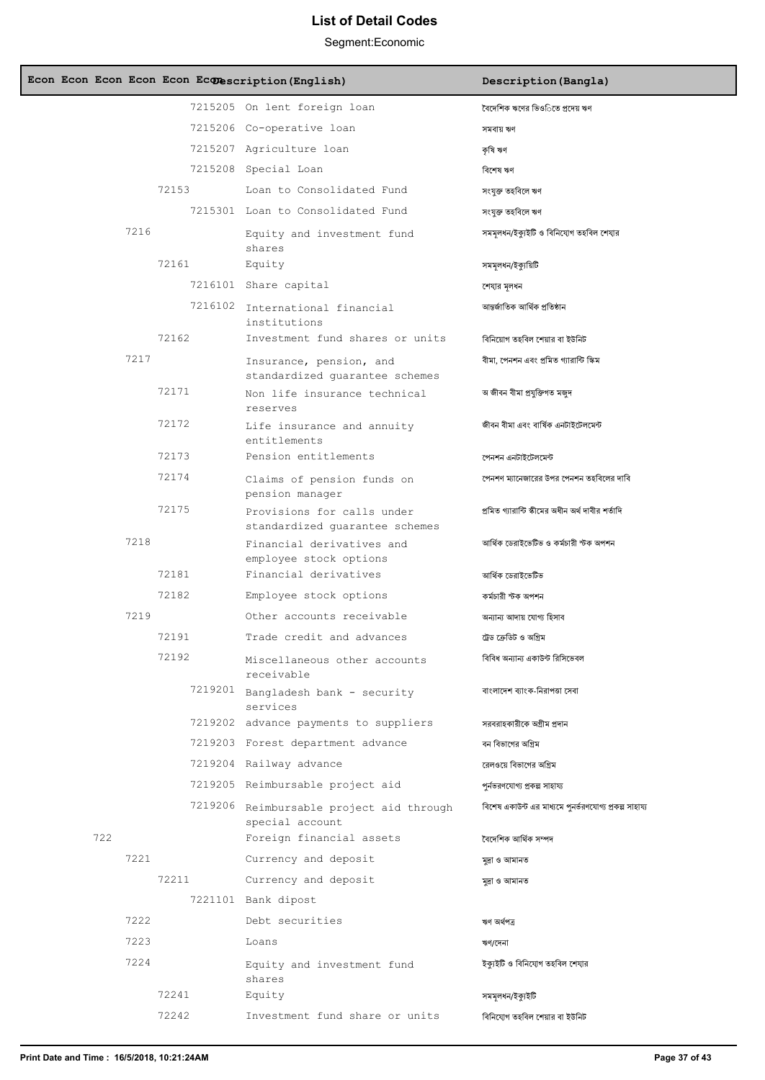| Econ Econ Econ Econ Econ Econescription (English) |                                                              | Description (Bangla)                                   |
|---------------------------------------------------|--------------------------------------------------------------|--------------------------------------------------------|
|                                                   | 7215205 On lent foreign loan                                 | বৈদেশিক ঋণের ভিওিতে প্রদেয় ঋণ                         |
|                                                   | 7215206 Co-operative loan                                    | সমবায় ঋণ                                              |
|                                                   | 7215207 Agriculture loan                                     | কৃষি ঋণ                                                |
|                                                   | 7215208 Special Loan                                         | বিশেষ ঋণ                                               |
| 72153                                             | Loan to Consolidated Fund                                    | সংযুক্ত তহবিলে ঋণ                                      |
|                                                   | 7215301 Loan to Consolidated Fund                            | সংযুক্ত তহবিলে ঋণ                                      |
| 7216                                              | Equity and investment fund<br>shares                         | সমমূলধন/ইক্যুইটি ও বিনিযোগ তহবিল শেযার                 |
| 72161                                             | Equity                                                       | সমমূলধন/ইক্যুয়িটি                                     |
|                                                   | 7216101 Share capital                                        | শেযার মূলধন                                            |
|                                                   | 7216102 International financial<br>institutions              | আন্তর্জাতিক আর্থিক প্রতিষ্ঠান                          |
| 72162                                             | Investment fund shares or units                              | বিনিয়োগ তহবিল শেয়ার বা ইউনিট                         |
| 7217                                              | Insurance, pension, and<br>standardized quarantee schemes    | বীমা, পেনশন এবং প্ৰমিত গ্যারান্টি স্কিম                |
| 72171                                             | Non life insurance technical<br>reserves                     | অ জীবন বীমা প্ৰযুক্তিগত মজুদ                           |
| 72172                                             | Life insurance and annuity<br>entitlements                   | জীবন বীমা এবং বাৰ্ষিক এনটাইটেলমেন্ট                    |
| 72173                                             | Pension entitlements                                         | পেনশন এনটাইটেলমেন্ট                                    |
| 72174                                             | Claims of pension funds on<br>pension manager                | পেনশণ ম্যানেজারের উপর পেনশন তহবিলের দাবি               |
| 72175                                             | Provisions for calls under<br>standardized quarantee schemes | প্ৰমিত গ্যারান্টি স্কীমের অধীন অর্থ দাবীর শর্তাদি      |
| 7218                                              | Financial derivatives and<br>employee stock options          | আৰ্থিক ডেরাইভেটিভ ও কর্মচারী স্টক অপশন                 |
| 72181                                             | Financial derivatives                                        | আৰ্থিক ডেরাইভেটিভ                                      |
| 72182                                             | Employee stock options                                       | কৰ্মচারী স্টক অপশন                                     |
| 7219                                              | Other accounts receivable                                    | অন্যান্য আদায় যোগ্য হিসাব                             |
| 72191                                             | Trade credit and advances                                    | ট্রেড ক্রেডিট ও অগ্রিম                                 |
| 72192                                             | Miscellaneous other accounts<br>receivable                   | বিবিধ অন্যান্য একাউন্ট রিসিভেবল                        |
|                                                   | 7219201 Bangladesh bank - security<br>services               | বাংলাদেশ ব্যাংক-নিরাপত্তা সেবা                         |
|                                                   | 7219202 advance payments to suppliers                        | সরবরাহকারীকে অগ্রীম প্রদান                             |
|                                                   | 7219203 Forest department advance                            | বন বিভাগের অগ্রিম                                      |
|                                                   | 7219204 Railway advance                                      | রেলওয়ে বিভাগের অগ্রিম                                 |
|                                                   | 7219205 Reimbursable project aid                             | পুর্নভরণযোগ্য প্রকল্প সাহায্য                          |
|                                                   | 7219206 Reimbursable project aid through<br>special account  | বিশেষ একাউন্ট এর মাধ্যমে পুনর্ভরণযোগ্য প্রকল্প সাহায্য |
| 722                                               | Foreign financial assets                                     | বৈদেশিক আৰ্থিক সম্পদ                                   |
| 7221                                              | Currency and deposit                                         | মুদ্ৰা ও আমানত                                         |
| 72211                                             | Currency and deposit                                         | মুদ্ৰা ও আমানত                                         |
|                                                   | 7221101 Bank dipost                                          |                                                        |
| 7222                                              | Debt securities                                              | ঋণ অৰ্থপত্ৰ                                            |
| 7223                                              | Loans                                                        | ঋণ/দেনা                                                |
| 7224                                              | Equity and investment fund<br>shares                         | ইক্যুইটি ও বিনিযোগ তহবিল শেযার                         |
| 72241                                             | Equity                                                       | সমমূলধন/ইক্যুইটি                                       |
| 72242                                             | Investment fund share or units                               | বিনিযোগ তহবিল শেয়ার বা ইউনিট                          |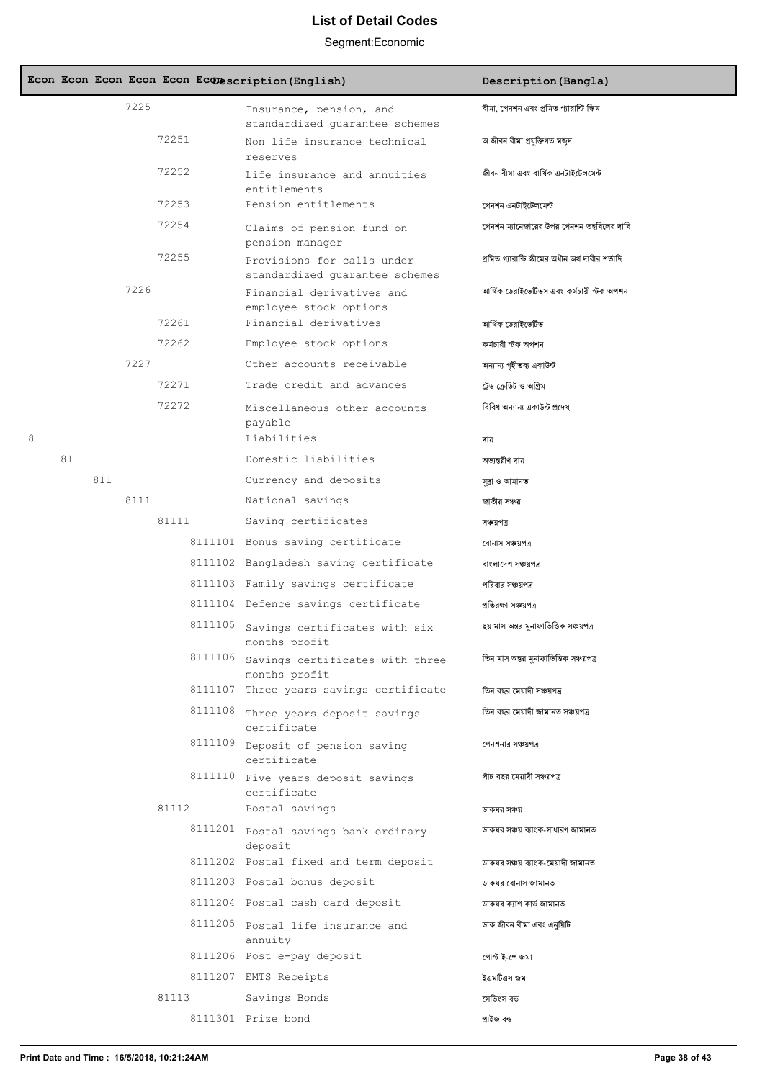|   |    |     |      |       |         | Econ Econ Econ Econ Econ Econescription (English)            | Description (Bangla)                              |
|---|----|-----|------|-------|---------|--------------------------------------------------------------|---------------------------------------------------|
|   |    |     | 7225 |       |         | Insurance, pension, and<br>standardized guarantee schemes    | বীমা, পেনশন এবং প্রমিত গ্যারান্টি স্কিম           |
|   |    |     |      | 72251 |         | Non life insurance technical<br>reserves                     | অ জীবন বীমা প্ৰযুক্তিগত মজুদ                      |
|   |    |     |      | 72252 |         | Life insurance and annuities<br>entitlements                 | জীবন বীমা এবং বাৰ্ষিক এনটাইটেলমেন্ট               |
|   |    |     |      | 72253 |         | Pension entitlements                                         | পেনশন এনটাইটেলমেন্ট                               |
|   |    |     |      | 72254 |         | Claims of pension fund on<br>pension manager                 | পেনশন ম্যানেজারের উপর পেনশন তহবিলের দাবি          |
|   |    |     |      | 72255 |         | Provisions for calls under<br>standardized guarantee schemes | প্ৰমিত গ্যারান্টি স্কীমের অধীন অর্থ দাবীর শর্তাদি |
|   |    |     | 7226 |       |         | Financial derivatives and<br>employee stock options          | আৰ্থিক ডেরাইভেটিভস এবং কর্মচারী স্টক অপশন         |
|   |    |     |      | 72261 |         | Financial derivatives                                        | আৰ্থিক ডেরাইভেটিভ                                 |
|   |    |     |      | 72262 |         | Employee stock options                                       | কৰ্মচারী স্টক অপশন                                |
|   |    |     | 7227 |       |         | Other accounts receivable                                    | অন্যান্য গৃহীতব্য একাউন্ট                         |
|   |    |     |      | 72271 |         | Trade credit and advances                                    | ট্রেড ক্রেডিট ও অগ্রিম                            |
|   |    |     |      | 72272 |         | Miscellaneous other accounts<br>payable                      | বিবিধ অন্যান্য একাউন্ট প্রদেয্                    |
| 8 |    |     |      |       |         | Liabilities                                                  | দায                                               |
|   | 81 |     |      |       |         | Domestic liabilities                                         | অভ্যন্তরীণ দায়                                   |
|   |    | 811 |      |       |         | Currency and deposits                                        | মুদ্ৰা ও আমানত                                    |
|   |    |     | 8111 |       |         | National savings                                             | জাতীয় সঞ্চয়                                     |
|   |    |     |      | 81111 |         | Saving certificates                                          | সঞ্চয়পত্ৰ                                        |
|   |    |     |      |       |         | 8111101 Bonus saving certificate                             | বোনাস সঞ্চয়পত্ৰ                                  |
|   |    |     |      |       |         | 8111102 Bangladesh saving certificate                        | বাংলাদেশ সঞ্চয়পত্ৰ                               |
|   |    |     |      |       |         | 8111103 Family savings certificate                           | পরিবার সঞ্চয়পত্র                                 |
|   |    |     |      |       |         | 8111104 Defence savings certificate                          | প্ৰতিবক্ষা সঞ্চয়পত্ৰ                             |
|   |    |     |      |       | 8111105 | Savings certificates with six<br>months profit               | ছয় মাস অন্তর মুনাফাভিত্তিক সঞ্চয়পত্র            |
|   |    |     |      |       | 8111106 | Savings certificates with three<br>months profit             | তিন মাস অন্তর মুনাফাভিত্তিক সঞ্চয়পত্র            |
|   |    |     |      |       |         | 8111107 Three years savings certificate                      | তিন বছর মেয়াদী সঞ্চয়পত্র                        |
|   |    |     |      |       | 8111108 | Three years deposit savings<br>certificate                   | তিন বছর মেয়াদী জামানত সঞ্চয়পত্র                 |
|   |    |     |      |       |         | 8111109 Deposit of pension saving<br>certificate             | পেনশনার সঞ্চয়পত্র                                |
|   |    |     |      |       |         | 8111110 Five years deposit savings<br>certificate            | পাঁচ বছর মেয়াদী সঞ্চয়পত্র                       |
|   |    |     |      | 81112 |         | Postal savings                                               | ডাকঘর সঞ্চয়                                      |
|   |    |     |      |       |         | 8111201 Postal savings bank ordinary<br>deposit              | ডাকঘর সঞ্চয় ব্যাংক-সাধারণ জামানত                 |
|   |    |     |      |       |         | 8111202 Postal fixed and term deposit                        | ডাকঘর সঞ্চয় ব্যাংক-মেয়াদী জামানত                |
|   |    |     |      |       |         | 8111203 Postal bonus deposit                                 | ডাকঘর বোনাস জামানত                                |
|   |    |     |      |       |         | 8111204 Postal cash card deposit                             | ডাকঘর ক্যাশ কার্ড জামানত                          |
|   |    |     |      |       |         | 8111205 Postal life insurance and<br>annuity                 | ডাক জীবন বীমা এবং এনুয়িটি                        |
|   |    |     |      |       |         | 8111206 Post e-pay deposit                                   | পোস্ট ই-পে জমা                                    |
|   |    |     |      |       |         | 8111207 EMTS Receipts                                        | ইএমটিএস জমা                                       |
|   |    |     |      | 81113 |         | Savings Bonds                                                | সেভিংস বন্ড                                       |
|   |    |     |      |       |         | 8111301 Prize bond                                           | প্ৰাইজ বন্ড                                       |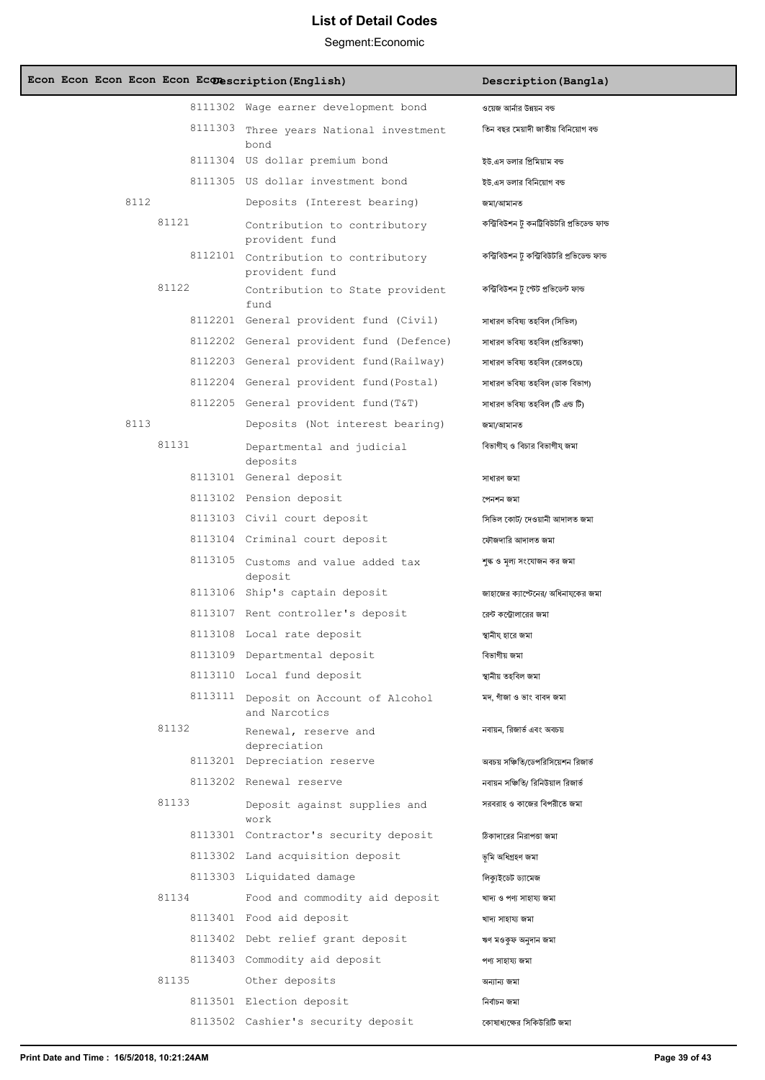|  |      |       | Econ Econ Econ Econ Econ Econescription (English)      | Description (Bangla)                           |
|--|------|-------|--------------------------------------------------------|------------------------------------------------|
|  |      |       | 8111302 Wage earner development bond                   | ওয়েজ আর্নার উন্নয়ন বন্ড                      |
|  |      |       | 8111303 Three years National investment<br>bond        | তিন বছর মেয়াদী জাতীয় বিনিয়োগ বন্ড           |
|  |      |       | 8111304 US dollar premium bond                         | ইউ.এস ডলার প্রিমিয়াম বন্ড                     |
|  |      |       | 8111305 US dollar investment bond                      | ইউ.এস ডলার বিনিয়োগ বন্ড                       |
|  | 8112 |       | Deposits (Interest bearing)                            | জমা/আমানত                                      |
|  |      | 81121 | Contribution to contributory<br>provident fund         | কন্ট্রিবিউশন টু কনট্রিবিউটরি প্রভিডেন্ড ফান্ড  |
|  |      |       | 8112101 Contribution to contributory<br>provident fund | কন্ট্রিবিউশন টু কন্ট্রিবিউটরি প্রভিডেন্ড ফান্ড |
|  |      | 81122 | Contribution to State provident<br>fund                | কন্ট্ৰিবিউশন টু স্টেট প্ৰভিডেন্ট ফান্ড         |
|  |      |       | 8112201 General provident fund (Civil)                 | সাধারণ ভবিষ্য তহবিল (সিভিল)                    |
|  |      |       | 8112202 General provident fund (Defence)               | সাধারণ ভবিষ্য তহবিল (প্রতিরক্ষা)               |
|  |      |       | 8112203 General provident fund (Railway)               | সাধারণ ভবিষ্য তহবিল (রেলওয়ে)                  |
|  |      |       | 8112204 General provident fund (Postal)                | সাধারণ ভবিষ্য তহবিল (ডাক বিভাগ)                |
|  |      |       | 8112205 General provident fund (T&T)                   | সাধারণ ভবিষ্য তহবিল (টি এন্ড টি)               |
|  | 8113 |       | Deposits (Not interest bearing)                        | জমা/আমানত                                      |
|  |      | 81131 | Departmental and judicial<br>deposits                  | বিভাগীয ও বিচার বিভাগীয জমা                    |
|  |      |       | 8113101 General deposit                                | সাধারণ জমা                                     |
|  |      |       | 8113102 Pension deposit                                | পেনশন জমা                                      |
|  |      |       | 8113103 Civil court deposit                            | সিভিল কোর্ট/ দেওয়ানী আদালত জমা                |
|  |      |       | 8113104 Criminal court deposit                         | ফৌজদারি আদালত জমা                              |
|  |      |       | 8113105 Customs and value added tax<br>deposit         | শঙ্ক ও মল্য সংযোজন কর জমা                      |
|  |      |       | 8113106 Ship's captain deposit                         | জাহাজের ক্যাপ্টেনের/ অধিনাযকের জমা             |
|  |      |       | 8113107 Rent controller's deposit                      | রেন্ট কন্ট্রোলারের জমা                         |
|  |      |       | 8113108 Local rate deposit                             | স্থানীয হারে জমা                               |
|  |      |       | 8113109 Departmental deposit                           | বিভাগীয় জমা                                   |
|  |      |       | 8113110 Local fund deposit                             | স্থানীয় তহবিল জমা                             |
|  |      |       | 8113111 Deposit on Account of Alcohol<br>and Narcotics | মদ, গাঁজা ও ভাং বাবদ জমা                       |
|  |      | 81132 | Renewal, reserve and<br>depreciation                   | নবায়ন, রিজার্ভ এবং অবচয়                      |
|  |      |       | 8113201 Depreciation reserve                           | অবচয় সঞ্চিতি/ডেপরিসিয়েশন রিজার্ভ             |
|  |      |       | 8113202 Renewal reserve                                | নবায়ন সঞ্চিতি/ রিনিউয়াল রিজার্ভ              |
|  |      | 81133 | Deposit against supplies and<br>work                   | সরবরাহ ও কাজের বিপরীতে জমা                     |
|  |      |       | 8113301 Contractor's security deposit                  | ঠিকাদারের নিরাপত্তা জমা                        |
|  |      |       | 8113302 Land acquisition deposit                       | ভূমি অধিগ্ৰহণ জমা                              |
|  |      |       | 8113303 Liquidated damage                              | লিক্যইডেট ড্যামেজ                              |
|  |      | 81134 | Food and commodity aid deposit                         | খাদ্য ও পণ্য সাহায্য জমা                       |
|  |      |       | 8113401 Food aid deposit                               | খাদ্য সাহায্য জমা                              |
|  |      |       | 8113402 Debt relief grant deposit                      | ঋণ মওকুফ অনুদান জমা                            |
|  |      |       | 8113403 Commodity aid deposit                          | পণ্য সাহায্য জমা                               |
|  |      | 81135 | Other deposits                                         | অন্যান্য জমা                                   |
|  |      |       | 8113501 Election deposit                               | নিৰ্বাচন জমা                                   |
|  |      |       | 8113502 Cashier's security deposit                     | কোষাধ্যক্ষের সিকিউরিটি জমা                     |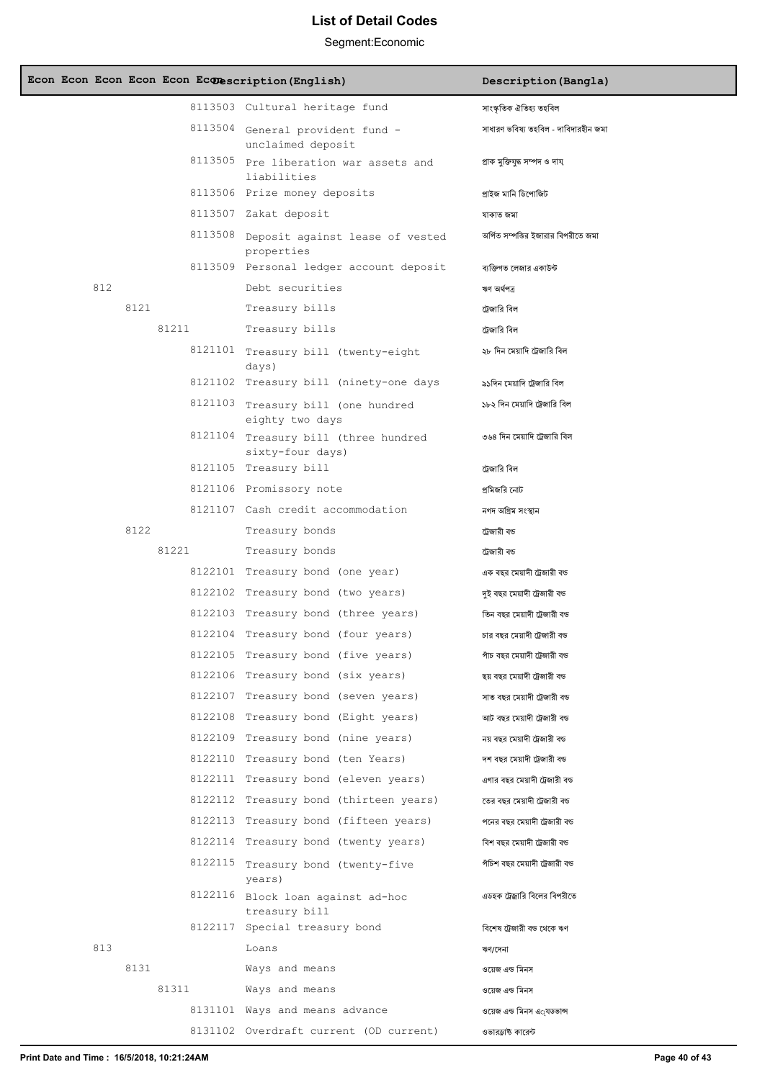| Econ Econ Econ Econ Econ Econescription (English) |                                                                                 | Description (Bangla)                                         |
|---------------------------------------------------|---------------------------------------------------------------------------------|--------------------------------------------------------------|
|                                                   | 8113503 Cultural heritage fund                                                  | সাংস্কৃতিক ঐতিহ্য তহবিল                                      |
|                                                   | 8113504 General provident fund -<br>unclaimed deposit                           | সাধারণ ভবিষ্য তহবিল - দাবিদারহীন জমা                         |
|                                                   | 8113505 Pre liberation war assets and<br>liabilities                            | প্ৰাক মুক্তিযুদ্ধ সম্পদ ও দায                                |
|                                                   | 8113506 Prize money deposits                                                    | প্ৰাইজ মানি ডিপোজিট                                          |
|                                                   | 8113507 Zakat deposit                                                           | যাকাত জমা                                                    |
|                                                   | 8113508 Deposit against lease of vested<br>properties                           | অৰ্পিত সম্পত্তির ইজারার বিপরীতে জমা                          |
|                                                   | 8113509 Personal ledger account deposit                                         | ব্যক্তিগত লেজার একাউন্ট                                      |
| 812                                               | Debt securities                                                                 | ঋণ অৰ্থপত্ৰ                                                  |
| 8121                                              | Treasury bills                                                                  | ট্রেজারি বিল                                                 |
| 81211                                             | Treasury bills                                                                  | ট্রেজারি বিল                                                 |
|                                                   | 8121101 Treasury bill (twenty-eight<br>days)                                    | ২৮ দিন মেয়াদি ট্রেজারি বিল                                  |
|                                                   | 8121102 Treasury bill (ninety-one days                                          | ৯১দিন মেয়াদি ট্রেজারি বিল                                   |
|                                                   | 8121103 Treasury bill (one hundred<br>eighty two days                           | ১৮২ দিন মেয়াদি ট্রেজারি বিল                                 |
|                                                   | 8121104 Treasury bill (three hundred<br>sixty-four days)                        | ৩৬৪ দিন মেয়াদি ট্রেজারি বিল                                 |
|                                                   | 8121105 Treasury bill                                                           | ট্রেজারি বিল                                                 |
|                                                   | 8121106 Promissory note                                                         | প্রমিজরি নোট                                                 |
|                                                   | 8121107 Cash credit accommodation                                               | নগদ অগ্রিম সংস্থান                                           |
| 8122                                              | Treasury bonds                                                                  | ট্রেজারী বড                                                  |
| 81221                                             | Treasury bonds                                                                  | ট্রেজারী বড                                                  |
|                                                   | 8122101 Treasury bond (one year)                                                | এক বছর মেয়াদী ট্রেজারী বড                                   |
|                                                   | 8122102 Treasury bond (two years)                                               | দুই বছর মেয়াদী ট্রেজারী বন্ড                                |
|                                                   | 8122103 Treasury bond (three years)                                             | তিন বছর মেয়াদী ট্রেজারী বড                                  |
|                                                   | 8122104 Treasury bond (four years)                                              | চার বছর মেয়াদী ট্রেজারী বড                                  |
|                                                   | 8122105 Treasury bond (five years)                                              | পাঁচ বছর মেয়াদী ট্রেজারী বড                                 |
|                                                   | 8122106 Treasury bond (six years)                                               | ছয় বছর মেয়াদী ট্রেজারী বড                                  |
|                                                   | 8122107 Treasury bond (seven years)                                             | সাত বছর মেয়াদী ট্রেজারী বড                                  |
|                                                   | 8122108 Treasury bond (Eight years)                                             | আট বছর মেয়াদী ট্রেজারী বড                                   |
|                                                   | 8122109 Treasury bond (nine years)                                              | নয় বছর মেয়াদী ট্রেজারী বড                                  |
|                                                   | 8122110 Treasury bond (ten Years)                                               | দশ বছর মেয়াদী ট্রেজারী বড                                   |
|                                                   | 8122111 Treasury bond (eleven years)                                            | এগার বছর মেয়াদী ট্রেজারী বড                                 |
|                                                   | 8122112 Treasury bond (thirteen years)<br>8122113 Treasury bond (fifteen years) | তের বছর মেয়াদী ট্রেজারী বড                                  |
|                                                   | 8122114 Treasury bond (twenty years)                                            | পনের বছর মেয়াদী ট্রেজারী বড                                 |
|                                                   |                                                                                 | বিশ বছর মেয়াদী ট্রেজারী বড<br>পঁচিশ বছর মেয়াদী ট্রেজারী বড |
|                                                   | 8122115 Treasury bond (twenty-five<br>years)                                    |                                                              |
|                                                   | 8122116 Block loan against ad-hoc<br>treasury bill                              | এডহক ট্রেজ্বারি বিলের বিপরীতে                                |
|                                                   | 8122117 Special treasury bond                                                   | বিশেষ ট্রেজারী বড থেকে ঋণ                                    |
| 813                                               | Loans                                                                           | ঋণ/দেনা                                                      |
| 8131                                              | Ways and means                                                                  | ওয়েজ এন্ড মিনস                                              |
| 81311                                             | Ways and means                                                                  | ওয়েজ এন্ড মিনস                                              |
|                                                   | 8131101 Ways and means advance                                                  | ওয়েজ এন্ড মিনস এ্যডভান্স                                    |
|                                                   | 8131102 Overdraft current (OD current)                                          | ওভারড়াষ্ট কারেন্ট                                           |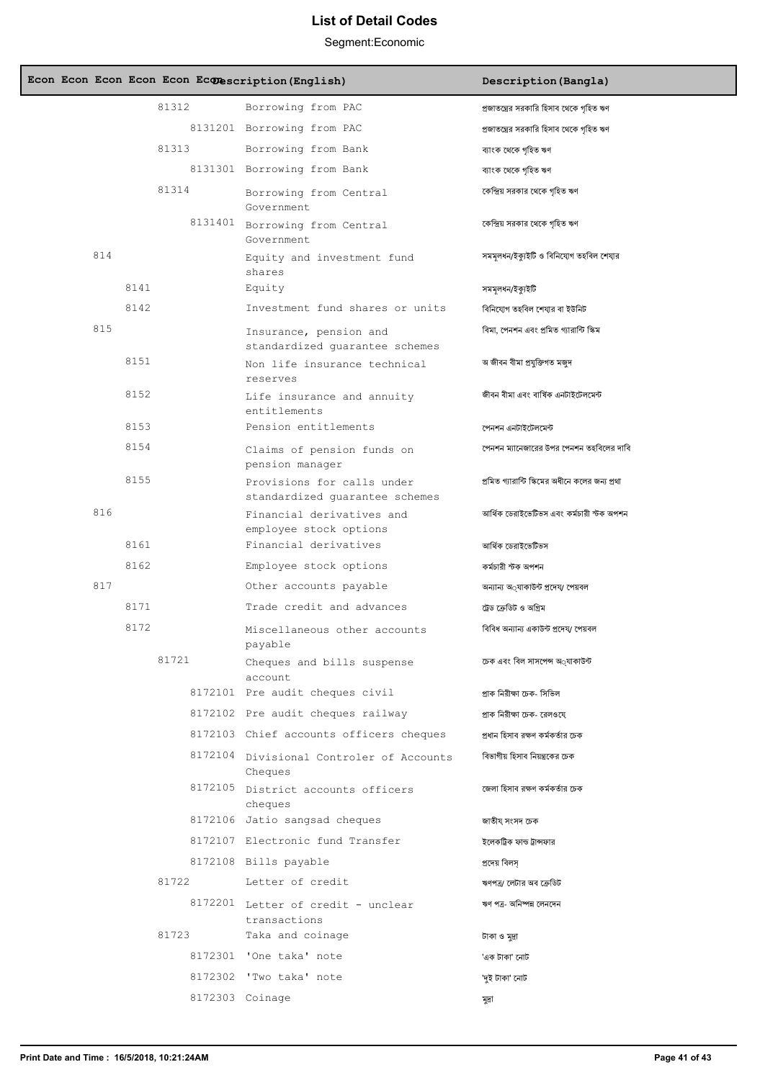|     |      |       | Econ Econ Econ Econ Econ Econescription (English)            | Description (Bangla)                            |
|-----|------|-------|--------------------------------------------------------------|-------------------------------------------------|
|     |      | 81312 | Borrowing from PAC                                           | প্রজাতন্ত্রের সরকারি হিসাব থেকে গৃহিত ঋণ        |
|     |      |       | 8131201 Borrowing from PAC                                   | প্রজাতন্ত্রের সরকারি হিসাব থেকে গৃহিত ঋণ        |
|     |      | 81313 | Borrowing from Bank                                          | ব্যাংক থেকে গৃহিত ঋণ                            |
|     |      |       | 8131301 Borrowing from Bank                                  | ব্যাংক থেকে গৃহিত ঋণ                            |
|     |      | 81314 | Borrowing from Central<br>Government.                        | কেন্দ্রিয় সরকার থেকে গৃহিত ঋণ                  |
|     |      |       | 8131401 Borrowing from Central<br>Government                 | কেন্দ্রিয় সরকার থেকে গৃহিত ঋণ                  |
| 814 |      |       | Equity and investment fund<br>shares                         | সমমূলধন/ইক্যুইটি ও বিনিযোগ তহবিল শেযার          |
|     | 8141 |       | Equity                                                       | সমমূলধন/ইক্যুইটি                                |
|     | 8142 |       | Investment fund shares or units                              | বিনিযোগ তহবিল শেযার বা ইউনিট                    |
| 815 |      |       | Insurance, pension and<br>standardized quarantee schemes     | বিমা, পেনশন এবং প্রমিত গ্যারান্টি স্কিম         |
|     | 8151 |       | Non life insurance technical<br>reserves                     | অ জীবন বীমা প্ৰযুক্তিগত মজুদ                    |
|     | 8152 |       | Life insurance and annuity<br>entitlements                   | জীবন বীমা এবং বাৰ্ষিক এনটাইটেলমেন্ট             |
|     | 8153 |       | Pension entitlements                                         | পেনশন এনটাইটেলমেন্ট                             |
|     | 8154 |       | Claims of pension funds on<br>pension manager                | পেনশন ম্যানেজারের উপর পেনশন তহবিলের দাবি        |
|     | 8155 |       | Provisions for calls under<br>standardized guarantee schemes | প্রমিত গ্যারান্টি স্কিমের অধীনে কলের জন্য প্রথা |
| 816 |      |       | Financial derivatives and<br>employee stock options          | আৰ্থিক ডেরাইভেটিভস এবং কর্মচারী স্টক অপশন       |
|     | 8161 |       | Financial derivatives                                        | আৰ্থিক ডেরাইভেটিভস                              |
|     | 8162 |       | Employee stock options                                       | কৰ্মচারী স্টক অপশন                              |
| 817 |      |       | Other accounts payable                                       | অন্যান্য অ্যাকাউন্ট প্ৰদেয⁄ পেয়বল              |
|     | 8171 |       | Trade credit and advances                                    | ট্রেড ক্রেডিট ও অগ্রিম                          |
|     | 8172 |       | Miscellaneous other accounts<br>payable                      | বিবিধ অন্যান্য একাউন্ট প্রদেয⁄ পেয়বল           |
|     |      | 81721 | Cheques and bills suspense<br>account                        | চেক এবং বিল সাসপেন্স অ্যাকাউন্ট                 |
|     |      |       | 8172101 Pre audit cheques civil                              | প্ৰাক নিরীক্ষা চেক- সিভিল                       |
|     |      |       | 8172102 Pre audit cheques railway                            | প্রাক নিরীক্ষা চেক- রেলওযে                      |
|     |      |       | 8172103 Chief accounts officers cheques                      | প্রধান হিসাব রক্ষণ কর্মকর্তার চেক               |
|     |      |       | 8172104 Divisional Controler of Accounts<br>Cheques          | বিভাগীয় হিসাব নিয়ন্ত্রকের চেক                 |
|     |      |       | 8172105 District accounts officers<br>cheques                | জেলা হিসাব রক্ষণ কর্মকর্তার চেক                 |
|     |      |       | 8172106 Jatio sangsad cheques                                | জাতীয্ সংসদ চেক                                 |
|     |      |       | 8172107 Electronic fund Transfer                             | ইলেকট্রিক ফান্ড ট্রান্সফার                      |
|     |      |       | 8172108 Bills payable                                        | প্ৰদেয় বিলস                                    |
|     |      | 81722 | Letter of credit                                             | ঋণপত্ৰ/ লেটার অব ক্রেডিট                        |
|     |      |       | 8172201 Letter of credit - unclear<br>transactions           | ঋণ পত্ৰ- অনিষ্পন্ন লেনদেন                       |
|     |      | 81723 | Taka and coinage                                             | টাকা ও মুদ্ৰা                                   |
|     |      |       | 8172301 'One taka' note                                      | 'এক টাকা' নোট                                   |
|     |      |       | 8172302 'Two taka' note                                      | 'দুই টাকা' নোট                                  |
|     |      |       | 8172303 Coinage                                              | মুদ্ৰা                                          |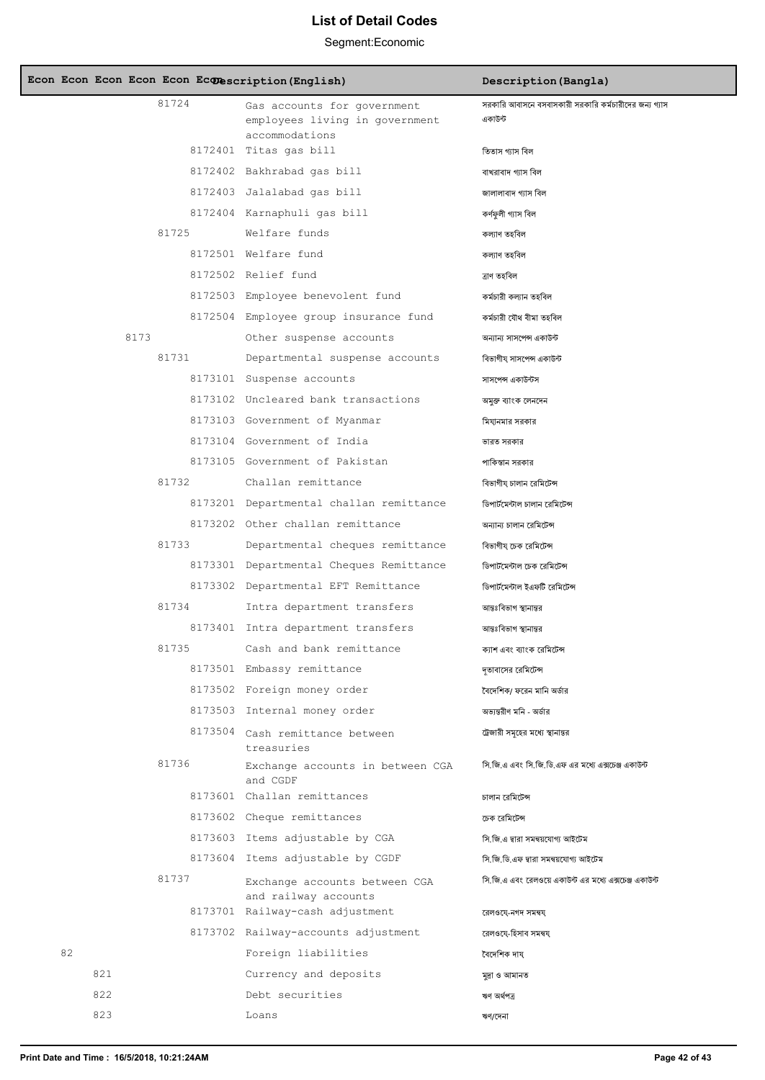|    |     |      |       | Econ Econ Econ Econ Econ Econescription (English)                               | Description (Bangla)                                             |
|----|-----|------|-------|---------------------------------------------------------------------------------|------------------------------------------------------------------|
|    |     |      | 81724 | Gas accounts for government<br>employees living in government<br>accommodations | সরকারি আবাসনে বসবাসকারী সরকারি কর্মচারীদের জন্য গ্যাস<br>একাউন্ট |
|    |     |      |       | 8172401 Titas gas bill                                                          | তিতাস গ্যাস বিল                                                  |
|    |     |      |       | 8172402 Bakhrabad gas bill                                                      | বাখরাবাদ গ্যাস বিল                                               |
|    |     |      |       | 8172403 Jalalabad gas bill                                                      | জালালাবাদ গ্যাস বিল                                              |
|    |     |      |       | 8172404 Karnaphuli qas bill                                                     | কৰ্ণফুলী গ্যাস বিল                                               |
|    |     |      | 81725 | Welfare funds                                                                   | কল্যাণ তহবিল                                                     |
|    |     |      |       | 8172501 Welfare fund                                                            | কল্যাণ তহবিল                                                     |
|    |     |      |       | 8172502 Relief fund                                                             | ত্ৰাণ তহবিল                                                      |
|    |     |      |       | 8172503 Employee benevolent fund                                                | কৰ্মচারী কল্যান তহবিল                                            |
|    |     |      |       | 8172504 Employee group insurance fund                                           | কৰ্মচারী যৌথ বীমা তহবিল                                          |
|    |     | 8173 |       | Other suspense accounts                                                         | অন্যান্য সাসপেন্স একাউন্ট                                        |
|    |     |      | 81731 | Departmental suspense accounts                                                  | বিভাগীয্ সাসপেন্স একাউন্ট                                        |
|    |     |      |       | 8173101 Suspense accounts                                                       | সাসপেন্স একাউন্টস                                                |
|    |     |      |       | 8173102 Uncleared bank transactions                                             | অমুক্ত ব্যাংক লেনদেন                                             |
|    |     |      |       | 8173103 Government of Myanmar                                                   | মিযানমার সরকার                                                   |
|    |     |      |       | 8173104 Government of India                                                     | ভারত সরকার                                                       |
|    |     |      |       | 8173105 Government of Pakistan                                                  | পাকিস্তান সরকার                                                  |
|    |     |      | 81732 | Challan remittance                                                              | বিভাগীয চালান রেমিটেন্স                                          |
|    |     |      |       | 8173201 Departmental challan remittance                                         | ডিপার্টমেন্টাল চালান রেমিটেন্স                                   |
|    |     |      |       | 8173202 Other challan remittance                                                | অন্যান্য চালান রেমিটেন্স                                         |
|    |     |      | 81733 | Departmental cheques remittance                                                 | বিভাগীয চেক রেমিটেন্স                                            |
|    |     |      |       | 8173301 Departmental Cheques Remittance                                         | ডিপার্টমেন্টাল চেক রেমিটেন্স                                     |
|    |     |      |       | 8173302 Departmental EFT Remittance                                             | ডিপার্টমেন্টাল ইএফটি রেমিটেন্স                                   |
|    |     |      | 81734 | Intra department transfers                                                      | আন্তঃবিভাগ স্থানান্তর                                            |
|    |     |      |       | 8173401 Intra department transfers                                              | আন্তঃবিভাগ স্থানান্তর                                            |
|    |     |      | 81735 | Cash and bank remittance                                                        | ক্যাশ এবং ব্যাংক রেমিটেন্স                                       |
|    |     |      |       | 8173501 Embassy remittance                                                      | দতাবাসের রেমিটেন্স                                               |
|    |     |      |       | 8173502 Foreign money order                                                     | বৈদেশিক/ ফরেন মানি অর্ডার                                        |
|    |     |      |       | 8173503 Internal money order                                                    | অভ্যন্তরীণ মনি - অর্ডার                                          |
|    |     |      |       | 8173504 Cash remittance between<br>treasuries                                   | ট্রেজারী সমূহের মধ্যে স্থানান্তর                                 |
|    |     |      | 81736 | Exchange accounts in between CGA<br>and CGDF                                    | সি জি এ এবং সি জি ডি এফ এর মধ্যে এক্সচেঞ্জ একাউন্ট               |
|    |     |      |       | 8173601 Challan remittances                                                     | চালান রেমিটেন্স                                                  |
|    |     |      |       | 8173602 Cheque remittances                                                      | চেক রেমিটেন্স                                                    |
|    |     |      |       | 8173603 Items adjustable by CGA                                                 | সি জি এ দ্বারা সমন্বয়যোগ্য আইটেম                                |
|    |     |      |       | 8173604 Items adjustable by CGDF                                                | সি.জি.ডি.এফ দ্বারা সমন্বয়যোগ্য আইটেম                            |
|    |     |      | 81737 | Exchange accounts between CGA<br>and railway accounts                           | সি জি এ এবং রেলওয়ে একাউন্ট এর মধ্যে এক্সচেঞ্জ একাউন্ট           |
|    |     |      |       | 8173701 Railway-cash adjustment                                                 | রেলওযে-নগদ সমন্বয                                                |
|    |     |      |       | 8173702 Railway-accounts adjustment                                             | রেলওযে-হিসাব সমন্বয্                                             |
| 82 |     |      |       | Foreign liabilities                                                             | বৈদেশিক দায                                                      |
|    | 821 |      |       | Currency and deposits                                                           | মুদ্ৰা ও আমানত                                                   |
|    | 822 |      |       | Debt securities                                                                 | ঋণ অৰ্থপত্ৰ                                                      |
|    | 823 |      |       | Loans                                                                           | ঋণ/দেনা                                                          |